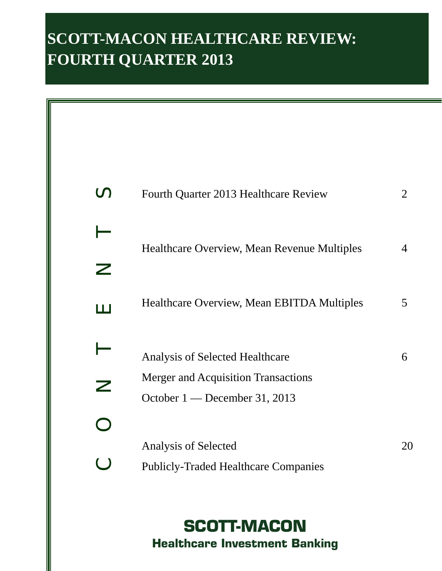# **SCOTT-MACON HEALTHCARE REVIEW: FOURTH QUARTER 2013**

| $\mathcal{C}$              | Fourth Quarter 2013 Healthcare Review                                       | 2              |
|----------------------------|-----------------------------------------------------------------------------|----------------|
|                            | Healthcare Overview, Mean Revenue Multiples                                 | $\overline{4}$ |
| Z                          |                                                                             |                |
| ய                          | Healthcare Overview, Mean EBITDA Multiples                                  | 5              |
|                            | Analysis of Selected Healthcare                                             | 6              |
| $\boldsymbol{\mathcal{Z}}$ | <b>Merger and Acquisition Transactions</b><br>October 1 — December 31, 2013 |                |
| $\Box$                     |                                                                             |                |
| O                          | Analysis of Selected<br><b>Publicly-Traded Healthcare Companies</b>         | 20             |

**SCOTT-MACON Healthcare Investment Banking**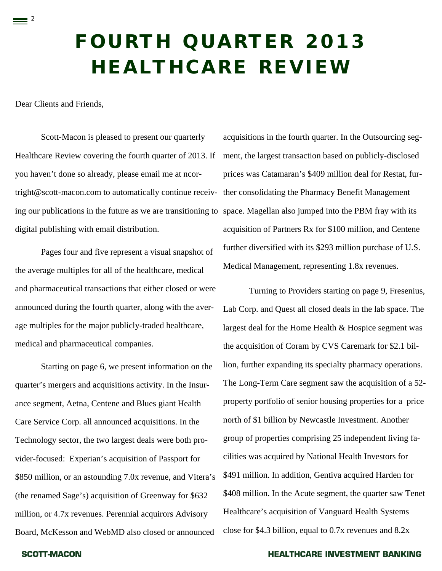# **FOURTH QUARTER 2013 HEALTHCARE REVIEW**

Dear Clients and Friends,

 $\equiv$  2

Scott-Macon is pleased to present our quarterly Healthcare Review covering the fourth quarter of 2013. If you haven't done so already, please email me at ncortright@scott-macon.com to automatically continue receiving our publications in the future as we are transitioning to space. Magellan also jumped into the PBM fray with its digital publishing with email distribution.

Pages four and five represent a visual snapshot of the average multiples for all of the healthcare, medical and pharmaceutical transactions that either closed or were announced during the fourth quarter, along with the average multiples for the major publicly-traded healthcare, medical and pharmaceutical companies.

 Starting on page 6, we present information on the quarter's mergers and acquisitions activity. In the Insurance segment, Aetna, Centene and Blues giant Health Care Service Corp. all announced acquisitions. In the Technology sector, the two largest deals were both provider-focused: Experian's acquisition of Passport for \$850 million, or an astounding 7.0x revenue, and Vitera's (the renamed Sage's) acquisition of Greenway for \$632 million, or 4.7x revenues. Perennial acquirors Advisory Board, McKesson and WebMD also closed or announced

acquisitions in the fourth quarter. In the Outsourcing segment, the largest transaction based on publicly-disclosed prices was Catamaran's \$409 million deal for Restat, further consolidating the Pharmacy Benefit Management acquisition of Partners Rx for \$100 million, and Centene further diversified with its \$293 million purchase of U.S. Medical Management, representing 1.8x revenues.

Turning to Providers starting on page 9, Fresenius, Lab Corp. and Quest all closed deals in the lab space. The largest deal for the Home Health & Hospice segment was the acquisition of Coram by CVS Caremark for \$2.1 billion, further expanding its specialty pharmacy operations. The Long-Term Care segment saw the acquisition of a 52 property portfolio of senior housing properties for a price north of \$1 billion by Newcastle Investment. Another group of properties comprising 25 independent living facilities was acquired by National Health Investors for \$491 million. In addition, Gentiva acquired Harden for \$408 million. In the Acute segment, the quarter saw Tenet Healthcare's acquisition of Vanguard Health Systems close for \$4.3 billion, equal to 0.7x revenues and 8.2x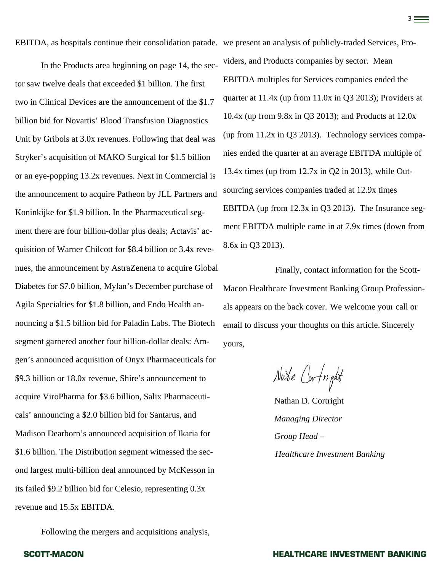EBITDA, as hospitals continue their consolidation parade. we present an analysis of publicly-traded Services, Pro-

In the Products area beginning on page 14, the sector saw twelve deals that exceeded \$1 billion. The first two in Clinical Devices are the announcement of the \$1.7 billion bid for Novartis' Blood Transfusion Diagnostics Unit by Gribols at 3.0x revenues. Following that deal was Stryker's acquisition of MAKO Surgical for \$1.5 billion or an eye-popping 13.2x revenues. Next in Commercial is the announcement to acquire Patheon by JLL Partners and Koninkijke for \$1.9 billion. In the Pharmaceutical segment there are four billion-dollar plus deals; Actavis' acquisition of Warner Chilcott for \$8.4 billion or 3.4x revenues, the announcement by AstraZenena to acquire Global Diabetes for \$7.0 billion, Mylan's December purchase of Agila Specialties for \$1.8 billion, and Endo Health announcing a \$1.5 billion bid for Paladin Labs. The Biotech segment garnered another four billion-dollar deals: Amgen's announced acquisition of Onyx Pharmaceuticals for \$9.3 billion or 18.0x revenue, Shire's announcement to acquire ViroPharma for \$3.6 billion, Salix Pharmaceuticals' announcing a \$2.0 billion bid for Santarus, and Madison Dearborn's announced acquisition of Ikaria for \$1.6 billion. The Distribution segment witnessed the second largest multi-billion deal announced by McKesson in its failed \$9.2 billion bid for Celesio, representing 0.3x revenue and 15.5x EBITDA.

Following the mergers and acquisitions analysis,

viders, and Products companies by sector. Mean EBITDA multiples for Services companies ended the quarter at 11.4x (up from 11.0x in Q3 2013); Providers at 10.4x (up from 9.8x in Q3 2013); and Products at 12.0x (up from 11.2x in Q3 2013). Technology services companies ended the quarter at an average EBITDA multiple of 13.4x times (up from 12.7x in Q2 in 2013), while Outsourcing services companies traded at 12.9x times EBITDA (up from 12.3x in Q3 2013). The Insurance segment EBITDA multiple came in at 7.9x times (down from 8.6x in Q3 2013).

Finally, contact information for the Scott-Macon Healthcare Investment Banking Group Professionals appears on the back cover. We welcome your call or email to discuss your thoughts on this article. Sincerely yours,

Nate Cortright

Nathan D. Cortright *Managing Director Group Head – Healthcare Investment Banking*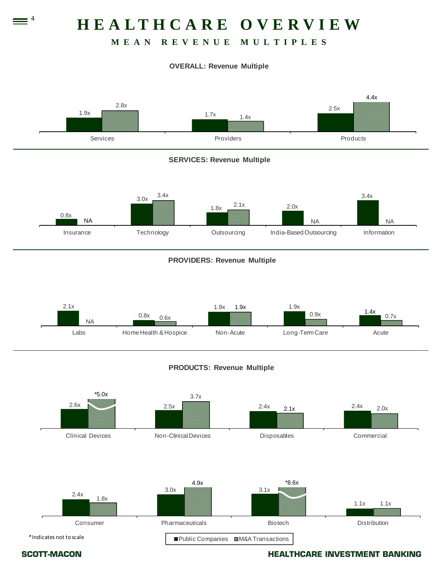# **HEALTHCARE OVERVIEW**

# **MEAN REVENUE MULTIPLES**

### **OVERALL: Revenue Multiple**



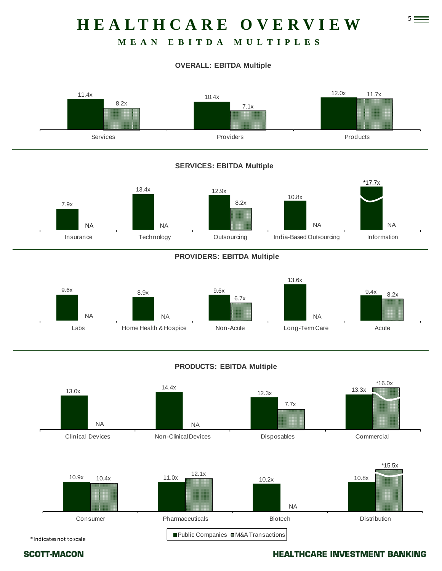# 5 **HEALTHCARE OVERVIEW**

# **MEAN EBITDA MULTIPLES**

# **OVERALL: EBITDA Multiple**



### **SERVICES: EBITDA Multiple**



### **PROVIDERS: EBITDA Multiple**



## **PRODUCTS: EBITDA Multiple**



\*Indicates not toscale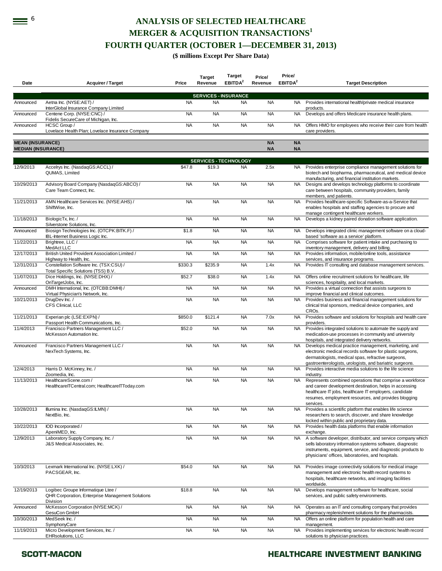# **EXECTED HEALTHCARE MERGER & ACQUISITION TRANSACTIONS<sup>1</sup> FOURTH QUARTER (OCTOBER 1—DECEMBER 31, 2013)**

### **(\$ millions Except Per Share Data)**

| Date                                                 | <b>Acquirer / Target</b>                                                                                  | Price     | <b>Target</b><br>Revenue | <b>Target</b><br>EBITDA <sup>2</sup> | Price/<br>Revenue      | Price/<br>EBITDA <sup>2</sup> | <b>Target Description</b>                                                                                                                                                                                                                         |
|------------------------------------------------------|-----------------------------------------------------------------------------------------------------------|-----------|--------------------------|--------------------------------------|------------------------|-------------------------------|---------------------------------------------------------------------------------------------------------------------------------------------------------------------------------------------------------------------------------------------------|
|                                                      |                                                                                                           |           |                          | <b>SERVICES - INSURANCE</b>          |                        |                               |                                                                                                                                                                                                                                                   |
| Announced                                            | Aetna Inc. (NYSE:AET) /<br>InterGlobal Insurance Company Limited                                          | <b>NA</b> | <b>NA</b>                | <b>NA</b>                            | <b>NA</b>              | NA.                           | Provides international health/private medical insurance<br>products.                                                                                                                                                                              |
| Announced                                            | Centene Corp. (NYSE:CNC) /<br>Fidelis SecureCare of Michigan, Inc.                                        | <b>NA</b> | <b>NA</b>                | <b>NA</b>                            | <b>NA</b>              | <b>NA</b>                     | Develops and offers Medicare insurance health plans.                                                                                                                                                                                              |
| Announced                                            | HCSC Group /<br>Lovelace Health Plan; Lovelace Insurance Company                                          | <b>NA</b> | <b>NA</b>                | <b>NA</b>                            | <b>NA</b>              | <b>NA</b>                     | Offers HMO for employees who receive their care from health<br>care providers.                                                                                                                                                                    |
| <b>MEAN (INSURANCE)</b><br><b>MEDIAN (INSURANCE)</b> |                                                                                                           |           |                          |                                      | <b>NA</b><br><b>NA</b> | <b>NA</b><br><b>NA</b>        |                                                                                                                                                                                                                                                   |
|                                                      |                                                                                                           |           |                          | <b>SERVICES - TECHNOLOGY</b>         |                        |                               |                                                                                                                                                                                                                                                   |
| 12/9/2013                                            | Accelrys Inc. (NasdaqGS:ACCL) /<br>QUMAS. Limited                                                         | \$47.8    | \$19.3                   | <b>NA</b>                            | 2.5x                   |                               | NA Provides enterprise compliance management solutions for<br>biotech and biopharma, pharmaceutical, and medical device<br>manufacturing, and financial institution markets.                                                                      |
| 10/29/2013                                           | Advisory Board Company (NasdaqGS:ABCO) /<br>Care Team Connect, Inc.                                       | <b>NA</b> | <b>NA</b>                | <b>NA</b>                            | <b>NA</b>              | <b>NA</b>                     | Designs and develops technology platforms to coordinate<br>care between hospitals, community providers, family<br>members, and patients.                                                                                                          |
| 11/21/2013                                           | AMN Healthcare Services Inc. (NYSE:AHS) /<br>ShiftWise, Inc.                                              | <b>NA</b> | <b>NA</b>                | <b>NA</b>                            | <b>NA</b>              | <b>NA</b>                     | Provides healthcare-specific Software-as-a-Service that<br>enables hospitals and staffing agencies to procure and<br>manage contingent healthcare workers.                                                                                        |
| 11/18/2013                                           | BiologicTx, Inc. /<br>Silverstone Solutions, Inc.                                                         | <b>NA</b> | <b>NA</b>                | <b>NA</b>                            | <b>NA</b>              | <b>NA</b>                     | Develops a kidney paired donation software application.                                                                                                                                                                                           |
| Announced                                            | Biosign Technologies Inc. (OTCPK:BITK.F) /<br>IBL-Internet Business Logic Inc.                            | \$1.8     | <b>NA</b>                | <b>NA</b>                            | <b>NA</b>              | NA.                           | Develops integrated clinic management software on a cloud-<br>based 'software as a service' platform.                                                                                                                                             |
| 11/22/2013                                           | Brightree, LLC /<br>MedAct LLC                                                                            | <b>NA</b> | <b>NA</b>                | <b>NA</b>                            | <b>NA</b>              | <b>NA</b>                     | Comprises software for patient intake and purchasing to<br>inventory management, delivery and billing.                                                                                                                                            |
| 12/17/2013                                           | British United Provident Association Limited /<br>Highway to Health, Inc.                                 | <b>NA</b> | <b>NA</b>                | <b>NA</b>                            | <b>NA</b>              | <b>NA</b>                     | Provides information, mobile/online tools, assistance<br>services, and insurance programs.                                                                                                                                                        |
| 12/31/2013                                           | Constellation Software Inc. (TSX:CSU) /<br>Total Specific Solutions (TSS) B.V.                            | \$330.3   | \$235.9                  | <b>NA</b>                            | 1.4x                   | <b>NA</b>                     | Provides IT consulting and database management services.                                                                                                                                                                                          |
| 11/07/2013                                           | Dice Holdings, Inc. (NYSE:DHX) /<br>OnTargetJobs, Inc.                                                    | \$52.7    | \$38.0                   | <b>NA</b>                            | 1.4x                   | <b>NA</b>                     | Offers online recruitment solutions for healthcare, life<br>sciences, hospitality, and local markets.                                                                                                                                             |
| Announced                                            | DMH International, Inc. (OTCBB:DMHI) /<br>Virtual Physician's Network, Inc.                               | <b>NA</b> | <b>NA</b>                | <b>NA</b>                            | <b>NA</b>              | <b>NA</b>                     | Provides a virtual connection that assists surgeons to<br>improve financial and clinical outcomes.                                                                                                                                                |
| 10/21/2013                                           | DrugDev Inc./<br>CFS Clinical, LLC                                                                        | <b>NA</b> | <b>NA</b>                | <b>NA</b>                            | <b>NA</b>              | NA.                           | Provides business and financial management solutions for<br>clinical trial sponsors, medical device companies, and<br>CRO <sub>s</sub> .                                                                                                          |
| 11/21/2013                                           | Experian plc (LSE:EXPN) /<br>Passport Health Communications, Inc.                                         | \$850.0   | \$121.4                  | <b>NA</b>                            | 7.0x                   | <b>NA</b>                     | Provides software and solutions for hospitals and health care<br>providers.                                                                                                                                                                       |
| 11/4/2013                                            | Francisco Partners Management LLC /<br>McKesson Automation Inc.                                           | \$52.0    | <b>NA</b>                | <b>NA</b>                            | <b>NA</b>              | <b>NA</b>                     | Provides integrated solutions to automate the supply and<br>medication-use processes in community and university<br>hospitals, and integrated delivery networks.                                                                                  |
| Announced                                            | Francisco Partners Management LLC /<br>NexTech Systems, Inc.                                              | <b>NA</b> | <b>NA</b>                | <b>NA</b>                            | <b>NA</b>              | <b>NA</b>                     | Develops medical practice management, marketing, and<br>electronic medical records software for plastic surgeons,<br>dermatologists, medical spas, refractive surgeons,<br>gastroenterologists, urologists, and bariatric surgeons.               |
| 12/4/2013                                            | Harris D. McKinney, Inc. /<br>Zoomedia, Inc.                                                              | <b>NA</b> | <b>NA</b>                | <b>NA</b>                            | <b>NA</b>              | <b>NA</b>                     | Provides interactive media solutions to the life science<br>industry.                                                                                                                                                                             |
| 11/13/2013                                           | HealthcareScene.com /<br>HealthcarelTCentral.com; HealthcarelTToday.com                                   | <b>NA</b> | <b>NA</b>                | <b>NA</b>                            | <b>NA</b>              | <b>NA</b>                     | Represents combined operations that comprise a workforce<br>and career development destination, helps in accessing<br>healthcare IT jobs, healthcare IT employers, candidate<br>resumes, employment resources, and provides blogging<br>services. |
| 10/28/2013                                           | Illumina Inc. (NasdaqGS:ILMN) /<br>NextBio, Inc.                                                          | <b>NA</b> | <b>NA</b>                | <b>NA</b>                            | <b>NA</b>              |                               | NA Provides a scientific platform that enables life science<br>researchers to search, discover, and share knowledge<br>locked within public and proprietary data.                                                                                 |
| 10/22/2013                                           | IOD Incorporated /<br>ApeniMED, Inc.                                                                      | <b>NA</b> | <b>NA</b>                | <b>NA</b>                            | <b>NA</b>              | <b>NA</b>                     | Provides health data platforms that enable information<br>exchange.                                                                                                                                                                               |
| 12/9/2013                                            | Laboratory Supply Company, Inc. /<br>J&S Medical Associates, Inc.                                         | <b>NA</b> | <b>NA</b>                | <b>NA</b>                            | <b>NA</b>              | <b>NA</b>                     | A software developer, distributor, and service company which<br>sells laboratory information systems software, diagnostic<br>instruments, equipment, service, and diagnostic products to<br>physicians' offices, laboratories, and hospitals.     |
| 10/3/2013                                            | Lexmark International Inc. (NYSE:LXK) /<br>PACSGEAR, Inc.                                                 | \$54.0    | <b>NA</b>                | <b>NA</b>                            | <b>NA</b>              | <b>NA</b>                     | Provides image connectivity solutions for medical image<br>management and electronic health record systems to<br>hospitals, healthcare networks, and imaging facilities<br>worldwide.                                                             |
| 12/19/2013                                           | Logibec Groupe Informatique Ltee /<br><b>QHR Corporation, Enterprise Management Solutions</b><br>Division | \$18.8    | <b>NA</b>                | <b>NA</b>                            | <b>NA</b>              | <b>NA</b>                     | Develops management software for healthcare, social<br>services, and public safety environments.                                                                                                                                                  |
| Announced                                            | McKesson Corporation (NYSE:MCK) /<br>GesuCon GmbH                                                         | <b>NA</b> | <b>NA</b>                | <b>NA</b>                            | <b>NA</b>              | <b>NA</b>                     | Operates as an IT and consulting company that provides<br>pharmacy replenishment solutions for the pharmacists.                                                                                                                                   |
| 10/30/2013                                           | MedSeek Inc./<br>SymphonyCare                                                                             | <b>NA</b> | <b>NA</b>                | <b>NA</b>                            | <b>NA</b>              | NA.                           | Offers an online platform for population health and care<br>management.                                                                                                                                                                           |
| 11/19/2013                                           | Micro Development Services, Inc. /<br><b>EHRsolutions, LLC</b>                                            | <b>NA</b> | <b>NA</b>                | <b>NA</b>                            | <b>NA</b>              | NA                            | Provides implementing services for electronic health record<br>solutions to physician practices.                                                                                                                                                  |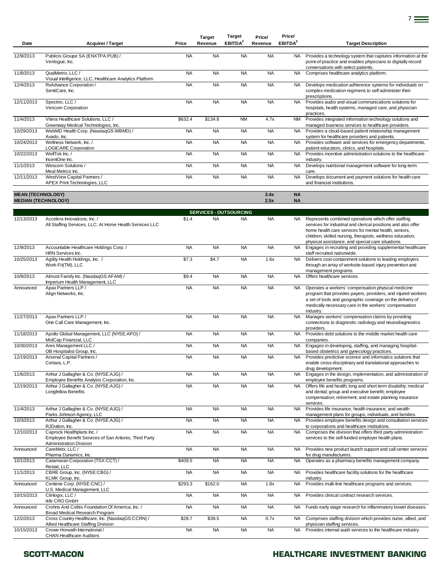| Date                     | <b>Acquirer / Target</b>                                                                                              | Price     | <b>Target</b><br>Revenue      | Target<br>EBITDA <sup>2</sup> | Price/<br>Revenue | Price/<br>EBITDA <sup>2</sup> | <b>Target Description</b>                                                                                                                                                                                                                                                                        |
|--------------------------|-----------------------------------------------------------------------------------------------------------------------|-----------|-------------------------------|-------------------------------|-------------------|-------------------------------|--------------------------------------------------------------------------------------------------------------------------------------------------------------------------------------------------------------------------------------------------------------------------------------------------|
| 12/9/2013                | Publicis Groupe SA (ENXTPA:PUB) /<br>Verilogue, Inc.                                                                  | <b>NA</b> | <b>NA</b>                     | <b>NA</b>                     | <b>NA</b>         | NA.                           | Provides a technology system that captures information at the<br>point-of-practice and enables physicians to digitally record<br>conversations with select patients.                                                                                                                             |
| 11/8/2013                | QualMetrix, LLC /                                                                                                     | <b>NA</b> | <b>NA</b>                     | <b>NA</b>                     | <b>NA</b>         | NA                            | Comprises healthcare analytics platform.                                                                                                                                                                                                                                                         |
| 12/4/2013                | Visual Intelligence, LLC, Healthcare Analytics Platform<br>RxAdvance Corporation /<br>SentiCare, Inc.                 | <b>NA</b> | <b>NA</b>                     | <b>NA</b>                     | <b>NA</b>         | NA                            | Develops medication adherence systems for individuals on<br>complex medication regimens to self administer their<br>prescriptions.                                                                                                                                                               |
| 12/11/2013               | Spectrio, LLC /<br>Vericom Corporation                                                                                | <b>NA</b> | <b>NA</b>                     | <b>NA</b>                     | <b>NA</b>         | <b>NA</b>                     | Provides audio and visual communications solutions for<br>hospitals, health systems, managed care, and physician<br>practices.                                                                                                                                                                   |
| 11/4/2013                | Vitera Healthcare Solutions, LLC /<br>Greenway Medical Technologies, Inc.                                             | \$632.4   | \$134.8                       | <b>NM</b>                     | 4.7x              | NM                            | Provides integrated information technology solutions and<br>managed business services to healthcare providers.                                                                                                                                                                                   |
| 10/29/2013               | WebMD Health Corp. (NasdaqGS:WBMD) /<br>Avado, Inc.                                                                   | <b>NA</b> | <b>NA</b>                     | <b>NA</b>                     | <b>NA</b>         | <b>NA</b>                     | Provides a cloud-based patient relationship management<br>system for healthcare providers and patients.                                                                                                                                                                                          |
| 10/24/2013               | Wellness Network, Inc./<br><b>LOGICARE Corporation</b>                                                                | <b>NA</b> | <b>NA</b>                     | <b>NA</b>                     | <b>NA</b>         | NA.                           | Provides software and services for emergency departments,<br>patient educators, clinics, and hospitals.                                                                                                                                                                                          |
| 10/22/2013               | WellTok Inc. /<br>IncentOne Inc.                                                                                      | <b>NA</b> | <b>NA</b>                     | <b>NA</b>                     | <b>NA</b>         | NA.                           | Provides incentive administration solutions to the healthcare<br>industry.                                                                                                                                                                                                                       |
| 11/1/2013                | Wescom Solutions /<br>Meal Metrics Inc.                                                                               | <b>NA</b> | <b>NA</b>                     | <b>NA</b>                     | <b>NA</b>         | <b>NA</b>                     | Develops nutritional management software for long-term<br>care                                                                                                                                                                                                                                   |
| 12/11/2013               | WestView Capital Partners /<br>APEX Print Technologies, LLC                                                           | <b>NA</b> | <b>NA</b>                     | <b>NA</b>                     | <b>NA</b>         | <b>NA</b>                     | Develops document and payment solutions for health care<br>and financial institutions.                                                                                                                                                                                                           |
| <b>MEAN (TECHNOLOGY)</b> | <b>MEDIAN (TECHNOLOGY)</b>                                                                                            |           |                               |                               | 3.4x<br>2.5x      | <b>NA</b><br><b>NA</b>        |                                                                                                                                                                                                                                                                                                  |
|                          |                                                                                                                       |           | <b>SERVICES - OUTSOURCING</b> |                               |                   |                               |                                                                                                                                                                                                                                                                                                  |
| 12/13/2013               | Accelera Innovations, Inc. /<br>All Staffing Services, LLC; At Home Health Services LLC                               | \$1.4     | <b>NA</b>                     | <b>NA</b>                     | <b>NA</b>         | NA.                           | Represents combined operations which offer staffing<br>services for industrial and clerical positions and also offer<br>home health care services for mental health, seniors,<br>children, skilled nursing, therapists, wellness education,<br>physical assistance, and special care situations. |
| 12/9/2013                | Accountable Healthcare Holdings Corp./<br>HRN Services Inc.                                                           | <b>NA</b> | <b>NA</b>                     | <b>NA</b>                     | <b>NA</b>         | <b>NA</b>                     | Engages in recruiting and providing supplemental healthcare<br>staff recruited nationwide.                                                                                                                                                                                                       |
| 10/25/2013               | Agility Health Holdings, Inc. /<br>Work-Fit(TM), LLC                                                                  | \$7.3     | \$4.7                         | <b>NA</b>                     | 1.6x              | <b>NA</b>                     | Delivers cost-containment solutions to leading employers<br>through an array of worksite-based injury prevention and<br>management programs.                                                                                                                                                     |
| 10/9/2013                | Almost Family Inc. (NasdaqGS:AFAM) /<br>Imperium Health Management, LLC                                               | \$9.4     | <b>NA</b>                     | <b>NA</b>                     | <b>NA</b>         | <b>NA</b>                     | Offers healthcare services.                                                                                                                                                                                                                                                                      |
| Announced                | Apax Partners LLP /<br>Align Networks, Inc.                                                                           | <b>NA</b> | <b>NA</b>                     | <b>NA</b>                     | <b>NA</b>         | NA                            | Operates a workers' compensation physical medicine<br>program that provides payers, providers, and injured workers<br>a set of tools and geographic coverage on the delivery of<br>medically necessary care in the workers' compensation<br>industry.                                            |
| 11/27/2013               | Apax Partners LLP /<br>One Call Care Management, Inc.                                                                 | <b>NA</b> | <b>NA</b>                     | <b>NA</b>                     | <b>NA</b>         | <b>NA</b>                     | Manages workers' compensation claims by providing<br>connections to diagnostic radiology and neurodiagnostics<br>providers.                                                                                                                                                                      |
| 11/18/2013               | Apollo Global Management, LLC (NYSE:APO) /<br>MidCap Financial, LLC                                                   | <b>NA</b> | <b>NA</b>                     | <b>NA</b>                     | <b>NA</b>         | <b>NA</b>                     | Provides debt solutions to the middle market health care<br>companies.                                                                                                                                                                                                                           |
| 10/30/2013               | Ares Management LLC /<br>OB Hospitalist Group, Inc.                                                                   | <b>NA</b> | <b>NA</b>                     | <b>NA</b>                     | <b>NA</b>         | <b>NA</b>                     | Engages in developing, staffing, and managing hospital-<br>based obstetrics and gynecology practices.                                                                                                                                                                                            |
| 12/19/2013               | Arsenal Capital Partners /<br>Certara, L.P.                                                                           | <b>NA</b> | <b>NA</b>                     | <b>NA</b>                     | <b>NA</b>         | NA                            | Provides predictive science and informatics solutions that<br>enable cross-disciplinary and translational approaches to<br>drug development.                                                                                                                                                     |
| 11/6/2013                | Arthur J Gallagher & Co. (NYSE:AJG) /<br>Employee Benefits Analysis Corporation, Inc.                                 | <b>NA</b> | <b>NA</b>                     | <b>NA</b>                     | <b>NA</b>         | NA                            | Engages in the design, implementation, and administration of<br>employee benefits programs.                                                                                                                                                                                                      |
| 12/19/2013               | Arthur J Gallagher & Co. (NYSE:AJG) /<br><b>Longfellow Benefits</b>                                                   | <b>NA</b> | <b>NA</b>                     | <b>NA</b>                     | <b>NA</b>         | <b>NA</b>                     | Offers life and health; long and short term disability; medical<br>and dental; group and executive benefit; employee<br>compensation; retirement; and estate planning insurance<br>services.                                                                                                     |
| 11/4/2013                | Arthur J Gallagher & Co. (NYSE:AJG) /<br>Parks Johnson Agency, LLC                                                    | <b>NA</b> | <b>NA</b>                     | <b>NA</b>                     | <b>NA</b>         | <b>NA</b>                     | Provides life insurance, health insurance, and wealth<br>management plans for groups, individuals, and families.                                                                                                                                                                                 |
| 10/3/2013                | Arthur J Gallagher & Co. (NYSE:AJG) /<br>RJDutton, Inc.                                                               | <b>NA</b> | <b>NA</b>                     | <b>NA</b>                     | <b>NA</b>         | NA                            | Provides employee benefits design and consultation services<br>to corporations and healthcare institutions.                                                                                                                                                                                      |
| 12/10/2013               | Caprock Healthplans Inc. /<br>Employee Benefit Services of San Antonio, Third Party<br><b>Administration Division</b> | <b>NA</b> | <b>NA</b>                     | <b>NA</b>                     | <b>NA</b>         | <b>NA</b>                     | Comprises the division that offers third party administration<br>services to the self-funded employer health plans.                                                                                                                                                                              |
| Announced                | CareMetx, LLC /<br>Pharma Dynamics, Inc.                                                                              | <b>NA</b> | <b>NA</b>                     | <b>NA</b>                     | <b>NA</b>         | NA                            | Provides new product launch support and call center services<br>for drug manufacturers.                                                                                                                                                                                                          |
| 10/1/2013                | Catamaran Corporation (TSX:CCT) /<br>Restat, LLC                                                                      | \$409.5   | <b>NA</b>                     | <b>NA</b>                     | <b>NA</b>         | NA                            | Operates as a pharmacy benefits management company.                                                                                                                                                                                                                                              |
| 11/1/2013                | CBRE Group, Inc. (NYSE:CBG) /<br>KLMK Group, Inc.                                                                     | <b>NA</b> | <b>NA</b>                     | <b>NA</b>                     | <b>NA</b>         | NA                            | Provides healthcare facility solutions for the healthcare<br>industry.                                                                                                                                                                                                                           |
| Announced                | Centene Corp. (NYSE:CNC) /<br>U.S. Medical Management, LLC                                                            | \$293.3   | \$162.0                       | <b>NA</b>                     | 1.8x              | <b>NA</b>                     | Provides multi-line healthcare programs and services.                                                                                                                                                                                                                                            |
| 10/15/2013               | Clinlogix, LLC /<br>ikfe CRO GmbH                                                                                     | <b>NA</b> | <b>NA</b>                     | <b>NA</b>                     | <b>NA</b>         | NA                            | Provides clinical contract research services.                                                                                                                                                                                                                                                    |
| Announced                | Crohns And Colitis Foundation Of America, Inc. /<br>Broad Medical Research Program                                    | <b>NA</b> | <b>NA</b>                     | <b>NA</b>                     | <b>NA</b>         | NA                            | Funds early stage research for inflammatory bowel diseases.                                                                                                                                                                                                                                      |
| 12/2/2013                | Cross Country Healthcare, Inc. (NasdaqGS:CCRN) /<br>Allied Healthcare Staffing Division                               | \$28.7    | \$39.5                        | <b>NA</b>                     | 0.7x              | NA.                           | Comprises staffing division which provides nurse, allied, and<br>physician staffing services.                                                                                                                                                                                                    |
| 10/15/2013               | Crowe Horwath International /<br><b>CHAN Healthcare Auditors</b>                                                      | <b>NA</b> | <b>NA</b>                     | <b>NA</b>                     | <b>NA</b>         | NA                            | Provides internal audit services to the healthcare industry.                                                                                                                                                                                                                                     |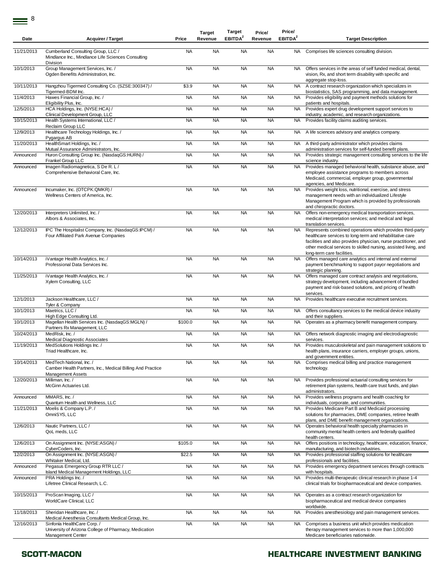| Date       | <b>Acquirer / Target</b>                                                                                           | Price     | <b>Target</b><br>Revenue | Target<br>EBITDA <sup>2</sup> | Price/<br>Revenue | Price/<br>EBITDA <sup>2</sup> | <b>Target Description</b>                                                                                                                                                                                                                                                                 |
|------------|--------------------------------------------------------------------------------------------------------------------|-----------|--------------------------|-------------------------------|-------------------|-------------------------------|-------------------------------------------------------------------------------------------------------------------------------------------------------------------------------------------------------------------------------------------------------------------------------------------|
| 11/21/2013 | Cumberland Consulting Group, LLC /<br>Mindlance Inc., Mindlance Life Sciences Consulting<br>Division               | <b>NA</b> | <b>NA</b>                | <b>NA</b>                     | <b>NA</b>         | NA.                           | Comprises life sciences consulting division.                                                                                                                                                                                                                                              |
| 10/1/2013  | Group Management Services, Inc. /<br>Ogden Benefits Administration, Inc.                                           | <b>NA</b> | <b>NA</b>                | <b>NA</b>                     | <b>NA</b>         | <b>NA</b>                     | Offers services in the areas of self funded medical, dental,<br>vision, Rx, and short term disability with specific and<br>aggregate stop-loss.                                                                                                                                           |
| 10/11/2013 | Hangzhou Tigermed Consulting Co. (SZSE:300347) /<br>Tigermed-BDM Inc.                                              | \$3.9     | <b>NA</b>                | <b>NA</b>                     | <b>NA</b>         | <b>NA</b>                     | A contract research organization which specializes in<br>biostatistics, SAS programming, and data management.                                                                                                                                                                             |
| 11/4/2013  | Hawes Financial Group, Inc. /<br>Eligibility Plus, Inc.                                                            | <b>NA</b> | <b>NA</b>                | <b>NA</b>                     | <b>NA</b>         | NA.                           | Provides eligibility and payment methods solutions for<br>patients and hospitals.                                                                                                                                                                                                         |
| 12/5/2013  | HCA Holdings, Inc. (NYSE:HCA) /<br>Clinical Development Group, LLC                                                 | <b>NA</b> | <b>NA</b>                | <b>NA</b>                     | <b>NA</b>         | NA.                           | Provides expert drug development support services to<br>industry, academic, and research organizations.                                                                                                                                                                                   |
| 10/15/2013 | Health Systems International, LLC /<br>Reclaim Group LLC                                                           | <b>NA</b> | <b>NA</b>                | <b>NA</b>                     | <b>NA</b>         | <b>NA</b>                     | Provides facility claims auditing services.                                                                                                                                                                                                                                               |
| 12/9/2013  | Healthcare Technology Holdings, Inc. /<br>Pygargus AB                                                              | <b>NA</b> | <b>NA</b>                | <b>NA</b>                     | <b>NA</b>         | NA.                           | A life sciences advisory and analytics company.                                                                                                                                                                                                                                           |
| 11/20/2013 | HealthSmart Holdings, Inc. /<br>Mutual Assurance Administrators, Inc.                                              | <b>NA</b> | <b>NA</b>                | <b>NA</b>                     | <b>NA</b>         | NA                            | A third-party administrator which provides claims<br>administration services for self-funded benefit plans.                                                                                                                                                                               |
| Announced  | Huron Consulting Group Inc. (NasdaqGS:HURN) /<br>Frankel Group LLC                                                 | <b>NA</b> | <b>NA</b>                | <b>NA</b>                     | <b>NA</b>         | <b>NA</b>                     | Provides strategic management consulting services to the life<br>science industry.                                                                                                                                                                                                        |
| Announced  | Imagen Radiomagnetica, S De R. L/<br>Comprehensive Behavioral Care, Inc.                                           | <b>NA</b> | <b>NA</b>                | <b>NA</b>                     | <b>NA</b>         | <b>NA</b>                     | Provides managed behavioral health, substance abuse, and<br>employee assistance programs to members across<br>Medicaid, commercial, employer group, governmental<br>agencies, and Medicare.                                                                                               |
| Announced  | Incumaker, Inc. (OTCPK:QMKR) /<br>Wellness Centers of America, Inc.                                                | <b>NA</b> | <b>NA</b>                | <b>NA</b>                     | <b>NA</b>         | <b>NA</b>                     | Provides weight loss, nutritional, exercise, and stress<br>management needs with an individualized Lifestyle<br>Management Program which is provided by professionals<br>and chiropractic doctors.                                                                                        |
| 12/20/2013 | Interpreters Unlimited, Inc. /<br>Albors & Associates, Inc.                                                        | <b>NA</b> | <b>NA</b>                | <b>NA</b>                     | <b>NA</b>         | <b>NA</b>                     | Offers non-emergency medical transportation services,<br>medical interpretation services; and medical and legal<br>translation services.                                                                                                                                                  |
| 12/12/2013 | IPC The Hospitalist Company, Inc. (NasdaqGS:IPCM) /<br>Four Affiliated Park Avenue Companies                       | <b>NA</b> | <b>NA</b>                | <b>NA</b>                     | <b>NA</b>         | <b>NA</b>                     | Represents combined operations which provides third-party<br>healthcare services to long-term and rehabilitative care<br>facilities and also provides physician, nurse practitioner, and<br>other medical services to skilled nursing, assisted living, and<br>long-term care facilities. |
| 10/14/2013 | iVantage Health Analytics, Inc. /<br>Professional Data Services Inc.                                               | <b>NA</b> | <b>NA</b>                | <b>NA</b>                     | <b>NA</b>         | <b>NA</b>                     | Offers managed care analytics and internal and external<br>payment benchmarking to support payor negotiations and<br>strategic planning.                                                                                                                                                  |
| 11/25/2013 | iVantage Health Analytics, Inc. /<br>Xylem Consulting, LLC                                                         | <b>NA</b> | <b>NA</b>                | <b>NA</b>                     | <b>NA</b>         | <b>NA</b>                     | Offers managed care contract analysis and negotiations,<br>strategy development, including advancement of bundled<br>payment and risk-based solutions, and pricing of health<br>services.                                                                                                 |
| 12/1/2013  | Jackson Healthcare, LLC /<br>Tyler & Company                                                                       | <b>NA</b> | <b>NA</b>                | <b>NA</b>                     | <b>NA</b>         | <b>NA</b>                     | Provides healthcare executive recruitment services.                                                                                                                                                                                                                                       |
| 10/1/2013  | Maetrics, LLC /<br>High Edge Consulting Ltd.                                                                       | <b>NA</b> | <b>NA</b>                | <b>NA</b>                     | <b>NA</b>         | NA                            | Offers consultancy services to the medical device industry<br>and their suppliers.                                                                                                                                                                                                        |
| 10/1/2013  | Magellan Health Services Inc. (NasdaqGS:MGLN) /<br>Partners Rx Management, LLC                                     | \$100.0   | <b>NA</b>                | <b>NA</b>                     | <b>NA</b>         | <b>NA</b>                     | Operates as a pharmacy benefit management company.                                                                                                                                                                                                                                        |
| 10/24/2013 | MedRisk, Inc./<br><b>Medical Diagnostic Associates</b>                                                             | <b>NA</b> | <b>NA</b>                | <b>NA</b>                     | <b>NA</b>         | NA.                           | Offers network diagnostic imaging and electrodiagnostic<br>services.                                                                                                                                                                                                                      |
| 11/19/2013 | MedSolutions Holdings Inc. /<br>Triad Healthcare, Inc.                                                             | <b>NA</b> | <b>NA</b>                | <b>NA</b>                     | <b>NA</b>         | <b>NA</b>                     | Provides musculoskeletal and pain management solutions to<br>health plans, insurance carriers, employer groups, unions,<br>and government entities.                                                                                                                                       |
| 10/14/2013 | MedTech National, Inc. /<br>Camber Health Partners, Inc., Medical Billing And Practice<br><b>Management Assets</b> | <b>NA</b> | <b>NA</b>                | <b>NA</b>                     | <b>NA</b>         | <b>NA</b>                     | Comprises medical billing and practice management<br>technology.                                                                                                                                                                                                                          |
| 12/20/2013 | Milliman, Inc. /<br>McGinn Actuaries Ltd.                                                                          | <b>NA</b> | <b>NA</b>                | <b>NA</b>                     | <b>NA</b>         | <b>NA</b>                     | Provides professional actuarial consulting services for<br>retirement plan systems, health care trust funds, and plan<br>administrators.                                                                                                                                                  |
| Announced  | MMARS, Inc. /<br>Quantum Health and Wellness, LLC                                                                  | <b>NA</b> | <b>NA</b>                | <b>NA</b>                     | <b>NA</b>         | <b>NA</b>                     | Provides wellness programs and health coaching for<br>individuals, corporate, and communities.                                                                                                                                                                                            |
| 11/21/2013 | Moelis & Company L.P./<br>OmniSYS, LLC                                                                             | <b>NA</b> | <b>NA</b>                | <b>NA</b>                     | <b>NA</b>         | <b>NA</b>                     | Provides Medicare Part B and Medicaid processing<br>solutions for pharmacies, DME companies, retiree health<br>plans, and DME benefit management organizations.                                                                                                                           |
| 12/6/2013  | Nautic Partners, LLC /<br>QoL meds, LLC                                                                            | <b>NA</b> | <b>NA</b>                | <b>NA</b>                     | <b>NA</b>         | NA.                           | Operates behavioral health specialty pharmacies in<br>community mental health centers and federally qualified<br>health centers.                                                                                                                                                          |
| 12/6/2013  | On Assignment Inc. (NYSE:ASGN) /<br>CyberCoders, Inc.                                                              | \$105.0   | <b>NA</b>                | <b>NA</b>                     | <b>NA</b>         | <b>NA</b>                     | Offers positions in technology, healthcare, education, finance,<br>manufacturing, and biotech industries.                                                                                                                                                                                 |
| 12/2/2013  | On Assignment Inc. (NYSE:ASGN) /<br>Whitaker Medical, Ltd.                                                         | \$22.5    | <b>NA</b>                | <b>NA</b>                     | <b>NA</b>         | NA                            | Provides professional staffing solutions for healthcare<br>professionals and facilities.                                                                                                                                                                                                  |
| Announced  | Pegasus Emergency Group RTR LLC /<br>Island Medical Management Holdings, LLC                                       | <b>NA</b> | <b>NA</b>                | <b>NA</b>                     | <b>NA</b>         | <b>NA</b>                     | Provides emergency department services through contracts<br>with hospitals.                                                                                                                                                                                                               |
| Announced  | PRA Holdings Inc. /<br>Lifetree Clinical Research, L.C.                                                            | <b>NA</b> | <b>NA</b>                | <b>NA</b>                     | <b>NA</b>         | <b>NA</b>                     | Provides multi-therapeutic clinical research in phase 1-4<br>clinical trials for biopharmaceutical and device companies.                                                                                                                                                                  |
| 10/15/2013 | ProScan Imaging, LLC /<br>WorldCare Clinical, LLC                                                                  | <b>NA</b> | <b>NA</b>                | <b>NA</b>                     | <b>NA</b>         | <b>NA</b>                     | Operates as a contract research organization for<br>biopharmaceutical and medical device companies<br>worldwide.                                                                                                                                                                          |
| 11/18/2013 | Sheridan Healthcare, Inc. /<br>Medical Anesthesia Consultants Medical Group, Inc.                                  | <b>NA</b> | <b>NA</b>                | <b>NA</b>                     | <b>NA</b>         | <b>NA</b>                     | Provides anesthesiology and pain management services.                                                                                                                                                                                                                                     |
| 12/16/2013 | Sinfonía HealthCare Corp./<br>University of Arizona College of Pharmacy, Medication<br>Management Center           | <b>NA</b> | <b>NA</b>                | <b>NA</b>                     | <b>NA</b>         | NA                            | Comprises a business unit which provides medication<br>therapy management services to more than 1,000,000<br>Medicare beneficiaries nationwide.                                                                                                                                           |
|            |                                                                                                                    |           |                          |                               |                   |                               |                                                                                                                                                                                                                                                                                           |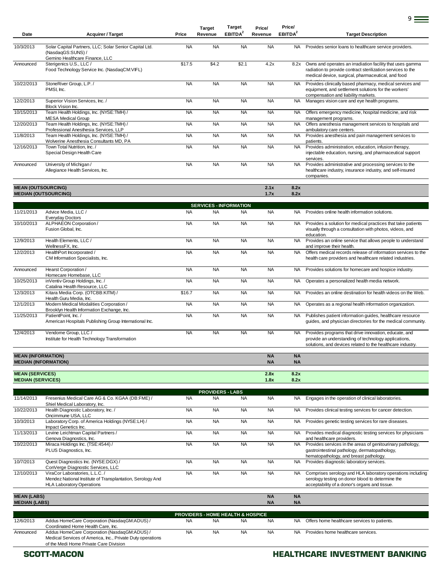| Date       | <b>Acquirer / Target</b>                                                                                      | Price     | <b>Target</b><br>Revenue | Target<br>EBITDA <sup>2</sup> | Price/<br>Revenue | Price/<br>EBITDA <sup>2</sup> | <b>Target Description</b>                                                                                                                                                      |
|------------|---------------------------------------------------------------------------------------------------------------|-----------|--------------------------|-------------------------------|-------------------|-------------------------------|--------------------------------------------------------------------------------------------------------------------------------------------------------------------------------|
|            |                                                                                                               |           |                          |                               |                   |                               |                                                                                                                                                                                |
| 10/3/2013  | Solar Capital Partners, LLC; Solar Senior Capital Ltd.<br>(NasdaqGS:SUNS) /<br>Gemino Healthcare Finance, LLC | <b>NA</b> | <b>NA</b>                | <b>NA</b>                     | <b>NA</b>         | <b>NA</b>                     | Provides senior loans to healthcare service providers.                                                                                                                         |
| Announced  | Sterigenics U.S., LLC /<br>Food Technology Service Inc. (NasdaqCM:VIFL)                                       | \$17.5    | \$4.2                    | \$2.1                         | 4.2x              | 8.2x                          | Owns and operates an irradiation facility that uses gamma<br>radiation to provide contract sterilization services to the<br>medical device, surgical, pharmaceutical, and food |
| 10/22/2013 | StoneRiver Group, L.P./<br>PMSI, Inc.                                                                         | <b>NA</b> | <b>NA</b>                | <b>NA</b>                     | <b>NA</b>         | <b>NA</b>                     | Provides clinically based pharmacy, medical services and<br>equipment, and settlement solutions for the workers'<br>compensation and liability markets.                        |
| 12/2/2013  | Superior Vision Services, Inc. /<br>Block Vision Inc.                                                         | <b>NA</b> | <b>NA</b>                | <b>NA</b>                     | <b>NA</b>         | <b>NA</b>                     | Manages vision care and eye health programs.                                                                                                                                   |
| 10/15/2013 | Team Health Holdings, Inc. (NYSE:TMH) /<br><b>MESA Medical Group</b>                                          | <b>NA</b> | <b>NA</b>                | <b>NA</b>                     | <b>NA</b>         | <b>NA</b>                     | Offers emergency medicine, hospital medicine, and risk<br>management programs.                                                                                                 |
| 12/20/2013 | Team Health Holdings, Inc. (NYSE:TMH) /<br>Professional Anesthesia Services, LLP                              | <b>NA</b> | <b>NA</b>                | <b>NA</b>                     | <b>NA</b>         | <b>NA</b>                     | Offers anesthesia management services to hospitals and<br>ambulatory care centers.                                                                                             |
| 11/8/2013  | Team Health Holdings, Inc. (NYSE:TMH) /<br>Wolverine Anesthesia Consultants MD, PA                            | <b>NA</b> | <b>NA</b>                | <b>NA</b>                     | <b>NA</b>         | <b>NA</b>                     | Provides anesthesia and pain management services to<br>patients.                                                                                                               |
| 12/16/2013 | Town Total Nutrition. Inc. /<br>Special Design Health Care                                                    | <b>NA</b> | <b>NA</b>                | <b>NA</b>                     | <b>NA</b>         | <b>NA</b>                     | Provides administration, education, infusion therapy,<br>injectable education, nursing, and pharmaceutical support<br>services.                                                |
| Announced  | University of Michigan /<br>Allegiance Health Services, Inc.                                                  | <b>NA</b> | <b>NA</b>                | <b>NA</b>                     | <b>NA</b>         | <b>NA</b>                     | Provides administrative and processing services to the<br>healthcare industry, insurance industry, and self-insured<br>companies.                                              |
|            |                                                                                                               |           |                          |                               |                   |                               |                                                                                                                                                                                |

### **MEAN (OUTSOURCING) 2.1x 8.2x MEDIAN (OUTSOURCING) 1.7x 8.2x**

|                           |                                                                                       |           | <b>SERVICES - INFORMATION</b> |           |                        |                        |                                                                                                                                                                             |
|---------------------------|---------------------------------------------------------------------------------------|-----------|-------------------------------|-----------|------------------------|------------------------|-----------------------------------------------------------------------------------------------------------------------------------------------------------------------------|
| 11/21/2013                | Advice Media, LLC /<br><b>Everyday Doctors</b>                                        | <b>NA</b> | <b>NA</b>                     | <b>NA</b> | <b>NA</b>              | <b>NA</b>              | Provides online health information solutions.                                                                                                                               |
| 10/10/2013                | ALPHAEON Corporation /<br>Fusion Global, Inc.                                         | <b>NA</b> | <b>NA</b>                     | <b>NA</b> | <b>NA</b>              | <b>NA</b>              | Provides a solution for medical practices that take patients<br>visually through a consultation with photos, videos, and<br>education.                                      |
| 12/9/2013                 | Health Elements, LLC /<br>WellnessFX, Inc.                                            | <b>NA</b> | <b>NA</b>                     | <b>NA</b> | <b>NA</b>              | <b>NA</b>              | Provides an online service that allows people to understand<br>and improve their health.                                                                                    |
| 12/2/2013                 | HealthPort Incorporated /<br>CM Information Specialists, Inc.                         | <b>NA</b> | <b>NA</b>                     | <b>NA</b> | <b>NA</b>              | <b>NA</b>              | Offers medical records release of information services to the<br>health care providers and healthcare related industries.                                                   |
| Announced                 | Hearst Corporation /<br>Homecare Homebase, LLC                                        | <b>NA</b> | <b>NA</b>                     | <b>NA</b> | <b>NA</b>              | <b>NA</b>              | Provides solutions for homecare and hospice industry.                                                                                                                       |
| 10/25/2013                | inVentiv Group Holdings, Inc. /<br>Catalina Health Resource, LLC                      | <b>NA</b> | <b>NA</b>                     | <b>NA</b> | <b>NA</b>              | <b>NA</b>              | Operates a personalized health media network.                                                                                                                               |
| 12/3/2013                 | Kitara Media Corp. (OTCBB:KITM) /<br>Health Guru Media, Inc.                          | \$16.7    | <b>NA</b>                     | <b>NA</b> | <b>NA</b>              | <b>NA</b>              | Provides an online destination for health videos on the Web.                                                                                                                |
| 12/1/2013                 | Modern Medical Modalities Corporation /<br>Brooklyn Health Information Exchange, Inc. | <b>NA</b> | <b>NA</b>                     | <b>NA</b> | <b>NA</b>              | <b>NA</b>              | Operates as a regional health information organization.                                                                                                                     |
| 11/25/2013                | PatientPoint, Inc. /<br>American Hospitals Publishing Group International Inc.        | <b>NA</b> | <b>NA</b>                     | <b>NA</b> | <b>NA</b>              | <b>NA</b>              | Publishes patient information guides, healthcare resource<br>quides, and physician directories for the medical community.                                                   |
| 12/4/2013                 | Vendome Group, LLC /<br>Institute for Health Technology Transformation                | <b>NA</b> | <b>NA</b>                     | <b>NA</b> | <b>NA</b>              | <b>NA</b>              | Provides programs that drive innovation, educate, and<br>provide an understanding of technology applications,<br>solutions, and devices related to the healthcare industry. |
| <b>MEAN (INFORMATION)</b> | <b>MEDIAN (INFORMATION)</b>                                                           |           |                               |           | <b>NA</b><br><b>NA</b> | <b>NA</b><br><b>NA</b> |                                                                                                                                                                             |
| <b>MEAN (SERVICES)</b>    |                                                                                       |           |                               |           | 2.8x                   | 8.2x                   |                                                                                                                                                                             |

**MEDIAN (SERVICES) 1.8x 8.2x**

|                      |                                                                                                                                  |           | <b>PROVIDERS - LABS</b> |           |           |           |                                                                                                                                                                 |
|----------------------|----------------------------------------------------------------------------------------------------------------------------------|-----------|-------------------------|-----------|-----------|-----------|-----------------------------------------------------------------------------------------------------------------------------------------------------------------|
| 11/14/2013           | Fresenius Medical Care AG & Co. KGAA (DB:FME) /<br>Shiel Medical Laboratory, Inc.                                                | <b>NA</b> | <b>NA</b>               | <b>NA</b> | <b>NA</b> | NA.       | Engages in the operation of clinical laboratories.                                                                                                              |
| 10/22/2013           | Health Diagnostic Laboratory, Inc. /<br>Oncimmune USA, LLC                                                                       | <b>NA</b> | <b>NA</b>               | <b>NA</b> | <b>NA</b> | NA.       | Provides clinical testing services for cancer detection.                                                                                                        |
| 10/3/2013            | Laboratory Corp. of America Holdings (NYSE:LH) /<br>Impact Genetics Inc.                                                         | <b>NA</b> | <b>NA</b>               | <b>NA</b> | <b>NA</b> | NA.       | Provides genetic testing services for rare diseases.                                                                                                            |
| 11/13/2013           | Levine Leichtman Capital Partners /<br>Genova Diagnostics, Inc.                                                                  | <b>NA</b> | <b>NA</b>               | <b>NA</b> | <b>NA</b> | NA.       | Provides medical diagnostic testing services for physicians<br>and healthcare providers.                                                                        |
| 10/22/2013           | Miraca Holdings Inc. (TSE:4544) /<br>PLUS Diagnostics, Inc.                                                                      | <b>NA</b> | <b>NA</b>               | <b>NA</b> | <b>NA</b> | <b>NA</b> | Provides services in the areas of genitourinary pathology,<br>gastrointestinal pathology, dermatopathology,<br>hematopathology, and breast pathology.           |
| 10/7/2013            | Quest Diagnostics Inc. (NYSE:DGX) /<br>ConVerge Diagnostic Services, LLC                                                         | <b>NA</b> | <b>NA</b>               | <b>NA</b> | <b>NA</b> | <b>NA</b> | Provides diagnostic laboratory services.                                                                                                                        |
| 12/10/2013           | ViraCor Laboratories, L.L.C. /<br>Mendez National Institute of Transplantation, Serology And<br><b>HLA Laboratory Operations</b> | <b>NA</b> | <b>NA</b>               | <b>NA</b> | <b>NA</b> | NA.       | Comprises serology and HLA laboratory operations including<br>serology testing on donor blood to determine the<br>acceptability of a donor's organs and tissue. |
| <b>MEAN (LABS)</b>   |                                                                                                                                  |           |                         |           | <b>NA</b> | <b>NA</b> |                                                                                                                                                                 |
| <b>MEDIAN (LABS)</b> |                                                                                                                                  |           |                         |           | <b>NA</b> | <b>NA</b> |                                                                                                                                                                 |

| <b>PROVIDERS - HOME HEALTH &amp; HOSPICE</b> |                                                            |           |           |           |           |     |                                              |  |  |  |  |
|----------------------------------------------|------------------------------------------------------------|-----------|-----------|-----------|-----------|-----|----------------------------------------------|--|--|--|--|
| 12/6/2013                                    | Addus HomeCare Corporation (NasdaqGM:ADUS) /               | <b>NA</b> | <b>NA</b> | <b>NA</b> | <b>NA</b> | NA. | Offers home healthcare services to patients. |  |  |  |  |
|                                              | Coordinated Home Health Care, Inc.                         |           |           |           |           |     |                                              |  |  |  |  |
| Announced                                    | Addus HomeCare Corporation (NasdaqGM:ADUS) /               | <b>NA</b> | <b>NA</b> | <b>NA</b> | <b>NA</b> |     | NA Provides home healthcare services.        |  |  |  |  |
|                                              | Medical Services of America, Inc., Private Duty operations |           |           |           |           |     |                                              |  |  |  |  |
|                                              | of the Medi Home Private Care Division                     |           |           |           |           |     |                                              |  |  |  |  |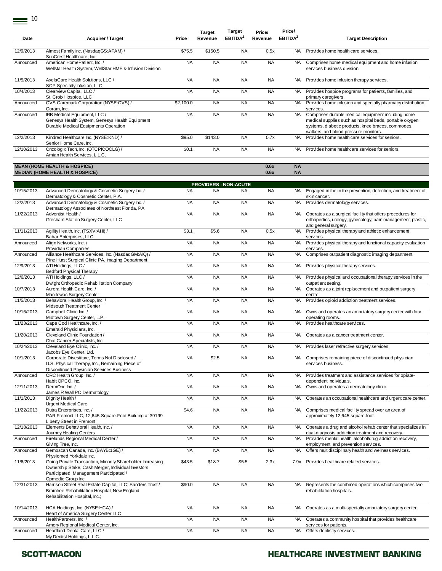| Date       | <b>Acquirer / Target</b>                                                                                                                                                                                     | Price     | <b>Target</b><br>Revenue     | <b>Target</b><br>EBITDA <sup>2</sup> | Price/<br>Revenue | Price/<br>EBITDA <sup>2</sup> | <b>Target Description</b>                                                                                                                                                                                    |
|------------|--------------------------------------------------------------------------------------------------------------------------------------------------------------------------------------------------------------|-----------|------------------------------|--------------------------------------|-------------------|-------------------------------|--------------------------------------------------------------------------------------------------------------------------------------------------------------------------------------------------------------|
| 12/9/2013  | Almost Family Inc. (NasdaqGS:AFAM) /<br>SunCrest Healthcare, Inc.                                                                                                                                            | \$75.5    | \$150.5                      | <b>NA</b>                            | 0.5x              | NA.                           | Provides home health care services.                                                                                                                                                                          |
| Announced  | American HomePatient, Inc. /<br>Wellstar Health System, WellStar HME & Infusion Division                                                                                                                     | <b>NA</b> | <b>NA</b>                    | <b>NA</b>                            | <b>NA</b>         | <b>NA</b>                     | Comprises home medical equipment and home infusion<br>services business division.                                                                                                                            |
| 11/5/2013  | AxelaCare Health Solutions. LLC /<br>SCP Specialty Infusion, LLC                                                                                                                                             | <b>NA</b> | <b>NA</b>                    | <b>NA</b>                            | <b>NA</b>         | <b>NA</b>                     | Provides home infusion therapy services.                                                                                                                                                                     |
| 10/4/2013  | Clearview Capital, LLC /<br>St. Croix Hospice, LLC                                                                                                                                                           | <b>NA</b> | <b>NA</b>                    | <b>NA</b>                            | <b>NA</b>         | <b>NA</b>                     | Provides hospice programs for patients, families, and<br>primary caregivers.                                                                                                                                 |
| Announced  | CVS Caremark Corporation (NYSE:CVS) /<br>Coram, Inc.                                                                                                                                                         | \$2.100.0 | <b>NA</b>                    | <b>NA</b>                            | <b>NA</b>         | <b>NA</b>                     | Provides home infusion and specialty pharmacy distribution<br>services.                                                                                                                                      |
| Announced  | IRB Medical Equipment, LLC /<br>Genesys Health System, Genesys Health Equipment<br>Durable Medical Equipments Operation                                                                                      | <b>NA</b> | <b>NA</b>                    | <b>NA</b>                            | <b>NA</b>         | <b>NA</b>                     | Comprises durable medical equipment including home<br>medical supplies such as hospital beds, portable oxygen<br>systems, diabetic products, knee braces, commodes,<br>walkers, and blood pressure monitors. |
| 12/2/2013  | Kindred Healthcare Inc. (NYSE:KND) /<br>Senior Home Care, Inc.                                                                                                                                               | \$95.0    | \$143.0                      | <b>NA</b>                            | 0.7x              | <b>NA</b>                     | Provides home health care services for seniors.                                                                                                                                                              |
| 12/10/2013 | Oncologix Tech, Inc. (OTCPK:OCLG) /<br>Amian Health Services, L.L.C.                                                                                                                                         | \$0.1     | <b>NA</b>                    | <b>NA</b>                            | <b>NA</b>         | NA.                           | Provides home healthcare services for seniors.                                                                                                                                                               |
|            | <b>MEAN (HOME HEALTH &amp; HOSPICE)</b><br><b>MEDIAN (HOME HEALTH &amp; HOSPICE)</b>                                                                                                                         |           |                              |                                      | 0.6x<br>0.6x      | <b>NA</b><br><b>NA</b>        |                                                                                                                                                                                                              |
|            |                                                                                                                                                                                                              |           | <b>PROVIDERS - NON-ACUTE</b> |                                      |                   |                               |                                                                                                                                                                                                              |
| 10/15/2013 | Advanced Dermatology & Cosmetic Surgery Inc. /<br>Dermatology & Cosmetic Center, P.A.                                                                                                                        | <b>NA</b> | <b>NA</b>                    | <b>NA</b>                            | <b>NA</b>         | NA.                           | Engaged in the in the prevention, detection, and treatment of<br>skin cancer.                                                                                                                                |
| 12/2/2013  | Advanced Dermatology & Cosmetic Surgery Inc. /<br>Dermatology Associates of Northeast Florida, PA                                                                                                            | <b>NA</b> | <b>NA</b>                    | <b>NA</b>                            | <b>NA</b>         | <b>NA</b>                     | Provides dermatology services.                                                                                                                                                                               |
| 11/22/2013 | Adventist Health /<br>Gresham Station Surgery Center, LLC                                                                                                                                                    | <b>NA</b> | <b>NA</b>                    | <b>NA</b>                            | <b>NA</b>         | <b>NA</b>                     | Operates as a surgical facility that offers procedures for<br>orthopedics, urology, gynecology, pain management, plastic,<br>and general surgery.                                                            |
| 11/11/2013 | Agility Health, Inc. (TSXV:AHI) /<br>Babar Enterprises, LLC                                                                                                                                                  | \$3.1     | \$5.6                        | <b>NA</b>                            | 0.5x              | <b>NA</b>                     | Provides physical therapy and athletic enhancement<br>services.                                                                                                                                              |
| Announced  | Align Networks, Inc. /<br><b>Providian Companies</b>                                                                                                                                                         | <b>NA</b> | <b>NA</b>                    | <b>NA</b>                            | <b>NA</b>         | <b>NA</b>                     | Provides physical therapy and functional capacity evaluation<br>services.                                                                                                                                    |
| Announced  | Alliance Healthcare Services, Inc. (NasdaqGM:AIQ) /<br>Pine Hurst Surgical Clinic PA, Imaging Department                                                                                                     | <b>NA</b> | <b>NA</b>                    | <b>NA</b>                            | <b>NA</b>         | <b>NA</b>                     | Comprises outpatient diagnostic imaging department.                                                                                                                                                          |
| 12/9/2013  | ATI Holdings, LLC /<br><b>Bedford Physical Therapy</b>                                                                                                                                                       | <b>NA</b> | <b>NA</b>                    | <b>NA</b>                            | <b>NA</b>         | <b>NA</b>                     | Provides physical therapy services.                                                                                                                                                                          |
| 12/6/2013  | ATI Holdings, LLC /<br>Dwight Orthopedic Rehabilitation Company                                                                                                                                              | <b>NA</b> | <b>NA</b>                    | <b>NA</b>                            | <b>NA</b>         | <b>NA</b>                     | Provides physical and occupational therapy services in the<br>outpatient setting.                                                                                                                            |
| 10/7/2013  | Aurora Health Care, Inc. /<br>Manitowoc Surgery Center                                                                                                                                                       | <b>NA</b> | <b>NA</b>                    | <b>NA</b>                            | <b>NA</b>         | <b>NA</b>                     | Operates as a joint replacement and outpatient surgery<br>centre.                                                                                                                                            |
| 11/5/2013  | Behavioral Health Group, Inc. /<br>Midsouth Treatment Center                                                                                                                                                 | <b>NA</b> | <b>NA</b>                    | <b>NA</b>                            | <b>NA</b>         | <b>NA</b>                     | Provides opioid addiction treatment services.                                                                                                                                                                |
| 10/16/2013 | Campbell Clinic Inc. /<br>Midtown Surgery Center, L.P.                                                                                                                                                       | <b>NA</b> | <b>NA</b>                    | <b>NA</b>                            | <b>NA</b>         | <b>NA</b>                     | Owns and operates an ambulatory surgery center with four<br>operating rooms.                                                                                                                                 |
| 11/23/2013 | Cape Cod Healthcare, Inc. /<br>Emerald Physicians, Inc.                                                                                                                                                      | <b>NA</b> | <b>NA</b>                    | <b>NA</b>                            | <b>NA</b>         | <b>NA</b>                     | Provides healthcare services.                                                                                                                                                                                |
| 11/20/2013 | Cleveland Clinic Foundation /                                                                                                                                                                                | <b>NA</b> | <b>NA</b>                    | <b>NA</b>                            | <b>NA</b>         | <b>NA</b>                     | Operates as a cancer treatment center.                                                                                                                                                                       |
| 10/24/2013 | Ohio Cancer Specialists, Inc.<br>Cleveland Eye Clinic, Inc. /                                                                                                                                                | <b>NA</b> | <b>NA</b>                    | <b>NA</b>                            | <b>NA</b>         |                               | NA Provides laser refractive surgery services.                                                                                                                                                               |
| 10/1/2013  | Jacobs Eye Center, Ltd.<br>Corporate Divestiture, Terms Not Disclosed /<br>U.S. Physical Therapy, Inc., Remaining Piece of                                                                                   | <b>NA</b> | \$2.5                        | <b>NA</b>                            | <b>NA</b>         | <b>NA</b>                     | Comprises remaining piece of discontinued physician<br>services business.                                                                                                                                    |
| Announced  | Discontinued Physician Services Business<br>CRC Health Group, Inc. /                                                                                                                                         | <b>NA</b> | <b>NA</b>                    | <b>NA</b>                            | <b>NA</b>         | <b>NA</b>                     | Provides treatment and assistance services for opiate-                                                                                                                                                       |
| 12/11/2013 | Habit OPCO, Inc.<br>DermOne Inc./                                                                                                                                                                            | <b>NA</b> | <b>NA</b>                    | <b>NA</b>                            | <b>NA</b>         | <b>NA</b>                     | dependent individuals.<br>Owns and operates a dermatology clinic.                                                                                                                                            |
| 11/1/2013  | James R Wall PC Dermatology<br>Dignity Health /                                                                                                                                                              | <b>NA</b> | <b>NA</b>                    | <b>NA</b>                            | <b>NA</b>         | <b>NA</b>                     | Operates an occupational healthcare and urgent care center.                                                                                                                                                  |
| 11/22/2013 | <b>Urgent Medical Care</b><br>Dutra Enterprises, Inc. /<br>PAR Fremont LLC, 12,645-Square-Foot Building at 39199<br>Liberty Street in Fremont                                                                | \$4.6     | <b>NA</b>                    | <b>NA</b>                            | <b>NA</b>         | <b>NA</b>                     | Comprises medical facility spread over an area of<br>approximately 12,645-square-foot.                                                                                                                       |
| 12/18/2013 | Elements Behavioral Health, Inc. /<br>Journey Healing Centers                                                                                                                                                | <b>NA</b> | <b>NA</b>                    | <b>NA</b>                            | <b>NA</b>         | <b>NA</b>                     | Operates a drug and alcohol rehab center that specializes in<br>dual-diagnosis addiction treatment and recovery.                                                                                             |
| Announced  | Firelands Regional Medical Center /<br>Giving Tree, Inc.                                                                                                                                                     | <b>NA</b> | <b>NA</b>                    | <b>NA</b>                            | <b>NA</b>         | <b>NA</b>                     | Provides mental health, alcohol/drug addiction recovery,<br>employment, and prevention services.                                                                                                             |
| Announced  | Gemoscan Canada, Inc. (BAYB:1GE) /                                                                                                                                                                           | <b>NA</b> | <b>NA</b>                    | <b>NA</b>                            | <b>NA</b>         | <b>NA</b>                     | Offers multidisciplinary health and wellness services.                                                                                                                                                       |
| 11/6/2013  | Physiomed Yorkdale Inc.<br>Going Private Transaction, Minority Shareholder Increasing<br>Ownership Stake, Cash Merger, Individual Investors<br>Participated, Management Participated /<br>Opmedic Group Inc. | \$43.5    | \$18.7                       | \$5.5                                | 2.3x              | 7.9x                          | Provides healthcare related services.                                                                                                                                                                        |
| 12/31/2013 | Harrison Street Real Estate Capital, LLC; Sanders Trust /<br>Braintree Rehabilitation Hospital; New England<br>Rehabilitation Hospital, Inc.;                                                                | \$90.0    | <b>NA</b>                    | <b>NA</b>                            | <b>NA</b>         | <b>NA</b>                     | Represents the combined operations which comprises two<br>rehabilitation hospitals.                                                                                                                          |
| 10/14/2013 | HCA Holdings, Inc. (NYSE:HCA) /<br>Heart of America Surgery Center LLC                                                                                                                                       | <b>NA</b> | <b>NA</b>                    | <b>NA</b>                            | <b>NA</b>         | <b>NA</b>                     | Operates as a multi-specialty ambulatory surgery center.                                                                                                                                                     |
| Announced  | HealthPartners, Inc. /<br>Amery Regional Medical Center, Inc.                                                                                                                                                | <b>NA</b> | <b>NA</b>                    | <b>NA</b>                            | <b>NA</b>         | <b>NA</b>                     | Operates a community hospital that provides healthcare<br>services for patients.                                                                                                                             |
| Announced  | Heartland Dental Care, LLC /<br>My Dentist Holdings, L.L.C.                                                                                                                                                  | <b>NA</b> | <b>NA</b>                    | <b>NA</b>                            | <b>NA</b>         | <b>NA</b>                     | Offers dentistry services.                                                                                                                                                                                   |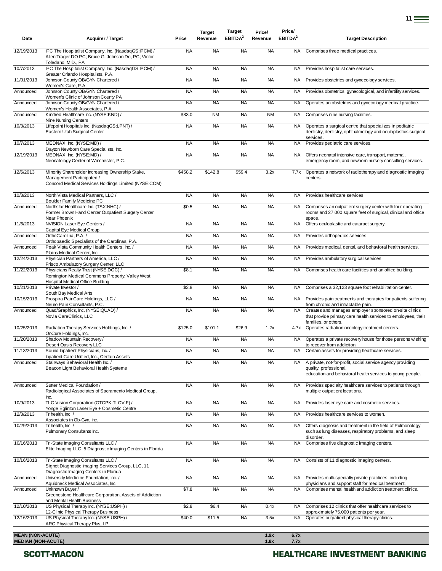| Date                                                 | <b>Acquirer / Target</b>                                                                                                              | Price             | <b>Target</b><br>Revenue | Target<br>EBITDA <sup>2</sup> | Price/<br>Revenue | Price/<br>EBITDA <sup>2</sup> | <b>Target Description</b>                                                                                                                         |
|------------------------------------------------------|---------------------------------------------------------------------------------------------------------------------------------------|-------------------|--------------------------|-------------------------------|-------------------|-------------------------------|---------------------------------------------------------------------------------------------------------------------------------------------------|
| 12/19/2013                                           | IPC The Hospitalist Company, Inc. (NasdaqGS:IPCM) /<br>Allen Trager DO PC; Bruce G. Johnson Do, PC; Victor                            | <b>NA</b>         | <b>NA</b>                | <b>NA</b>                     | <b>NA</b>         | <b>NA</b>                     | Comprises three medical practices.                                                                                                                |
| 10/7/2013                                            | Toledano, M.D., PA<br>IPC The Hospitalist Company, Inc. (NasdaqGS:IPCM) /                                                             | <b>NA</b>         | <b>NA</b>                | <b>NA</b>                     | <b>NA</b>         | NA.                           | Provides hospitalist care services.                                                                                                               |
| 11/01/2013                                           | Greater Orlando Hospitalists, P.A.<br>Johnson County OB/GYN Chartered /                                                               | <b>NA</b>         | <b>NA</b>                | <b>NA</b>                     | <b>NA</b>         | <b>NA</b>                     | Provides obstetrics and gynecology services.                                                                                                      |
| Announced                                            | Women's Care, P.A.<br>Johnson County OB/GYN Chartered /                                                                               | <b>NA</b>         | <b>NA</b>                | <b>NA</b>                     | <b>NA</b>         | <b>NA</b>                     | Provides obstetrics, gynecological, and infertility services.                                                                                     |
| Announced                                            | Women's Clinic of Johnson County PA<br>Johnson County OB/GYN Chartered /                                                              | <b>NA</b>         | <b>NA</b>                | <b>NA</b>                     | <b>NA</b>         | NA.                           | Operates an obstetrics and gynecology medical practice.                                                                                           |
| Announced                                            | Women's Health Associates, P.A.<br>Kindred Healthcare Inc. (NYSE:KND) /                                                               | \$83.0            | <b>NM</b>                | <b>NA</b>                     | <b>NM</b>         | NA                            | Comprises nine nursing facilities.                                                                                                                |
| 10/3/2013                                            | Nine Nursing Centers<br>Lifepoint Hospitals Inc. (NasdaqGS:LPNT) /<br>Eastern Utah Surgical Center                                    | <b>NA</b>         | <b>NA</b>                | <b>NA</b>                     | <b>NA</b>         | NA.                           | Operates a surgical centre that specializes in pediatric<br>dentistry, dentistry, ophthalmology and oculoplastics surgical                        |
| 10/7/2013                                            | MEDNAX, Inc. (NYSE:MD) /                                                                                                              | <b>NA</b>         | <b>NA</b>                | <b>NA</b>                     | <b>NA</b>         | <b>NA</b>                     | services.<br>Provides pediatric care services.                                                                                                    |
| 12/19/2013                                           | Dayton Newborn Care Specialists, Inc.<br>MEDNAX, Inc. (NYSE:MD) /                                                                     | <b>NA</b>         | <b>NA</b>                | <b>NA</b>                     | <b>NA</b>         | <b>NA</b>                     | Offers neonatal intensive care, transport, maternal,                                                                                              |
|                                                      | Neonatology Center of Winchester, P.C.                                                                                                |                   |                          |                               |                   |                               | emergency room, and newborn nursery consulting services.                                                                                          |
| 12/6/2013                                            | Minority Shareholder Increasing Ownership Stake,<br>Management Participated /<br>Concord Medical Services Holdings Limited (NYSE:CCM) | \$458.2           | \$142.8                  | \$59.4                        | 3.2x              | 7.7x                          | Operates a network of radiotherapy and diagnostic imaging<br>centers.                                                                             |
| 10/3/2013                                            | North Vista Medical Partners, LLC /<br><b>Boulder Family Medicine PC</b>                                                              | <b>NA</b>         | <b>NA</b>                | <b>NA</b>                     | <b>NA</b>         | <b>NA</b>                     | Provides healthcare services.                                                                                                                     |
| Announced                                            | Northstar Healthcare Inc. (TSX:NHC) /<br>Former Brown Hand Center Outpatient Surgery Center<br>Near Phoenix                           | \$0.5             | <b>NA</b>                | <b>NA</b>                     | <b>NA</b>         | <b>NA</b>                     | Comprises an outpatient surgery center with four operating<br>rooms and 27,000 square feet of surgical, clinical and office<br>space.             |
| 11/6/2013                                            | NVISION Laser Eye Centers /<br>Capital Eye Medical Group                                                                              | <b>NA</b>         | <b>NA</b>                | <b>NA</b>                     | <b>NA</b>         | <b>NA</b>                     | Offers oculoplastic and cataract surgery.                                                                                                         |
| Announced                                            | OrthoCarolina, P.A. /<br>Orthopaedic Specialists of the Carolinas, P.A.                                                               | <b>NA</b>         | <b>NA</b>                | <b>NA</b>                     | <b>NA</b>         | NA.                           | Provides orthopedics services.                                                                                                                    |
| Announced                                            | Peak Vista Community Health Centers, Inc. /<br>Plains Medical Center, Inc.                                                            | <b>NA</b>         | <b>NA</b>                | <b>NA</b>                     | <b>NA</b>         | NA.                           | Provides medical, dental, and behavioral health services.                                                                                         |
| 12/24/2013                                           | Physician Partners of America, LLC /<br>Frisco Ambulatory Surgery Center, LLC                                                         | <b>NA</b>         | <b>NA</b>                | <b>NA</b>                     | <b>NA</b>         | <b>NA</b>                     | Provides ambulatory surgical services.                                                                                                            |
| 11/22/2013                                           | Physicians Realty Trust (NYSE:DOC) /<br>Remington Medical Commons Property; Valley West<br>Hospital Medical Office Building           | \$8.1             | <b>NA</b>                | <b>NA</b>                     | <b>NA</b>         | <b>NA</b>                     | Comprises health care facilities and an office building.                                                                                          |
| 10/21/2013                                           | Private Investor /<br>South Bay Medical Arts                                                                                          | \$3.8             | <b>NA</b>                | <b>NA</b>                     | <b>NA</b>         | NA                            | Comprises a 32,123 square foot rehabilitation center.                                                                                             |
| 10/15/2013                                           | Prospira PainCare Holdings, LLC /<br>Neuro Pain Consultants, P.C.                                                                     | <b>NA</b>         | <b>NA</b>                | <b>NA</b>                     | <b>NA</b>         | NA.                           | Provides pain treatments and therapies for patients suffering<br>from chronic and intractable pain.                                               |
| Announced                                            | Quad/Graphics, Inc. (NYSE:QUAD) /<br>Novia CareClinics, LLC                                                                           | <b>NA</b>         | <b>NA</b>                | <b>NA</b>                     | <b>NA</b>         | NA.                           | Creates and manages employer sponsored on-site clinics<br>that provide primary care health services to employees, their<br>families, or others.   |
| 10/25/2013                                           | Radiation Therapy Services Holdings, Inc. /<br>OnCure Holdings, Inc.                                                                  | \$125.0           | \$101.1                  | \$26.9                        | 1.2x              | 4.7x                          | Operates radiation oncology treatment centers.                                                                                                    |
| 11/20/2013                                           | Shadow Mountain Recovery /<br>Desert Oasis Recovery LLC                                                                               | <b>NA</b>         | <b>NA</b>                | <b>NA</b>                     | <b>NA</b>         | <b>NA</b>                     | Operates a private recovery house for those persons wishing<br>to recover from addiction.                                                         |
| 11/13/2013                                           | Sound Inpatient Physicians, Inc. /<br>Inpatient Care Unified, Inc., Certain Assets                                                    | <b>NA</b>         | <b>NA</b>                | <b>NA</b>                     | ΝA                |                               | Certain assets for providing healthcare services.                                                                                                 |
| Announced                                            | Stairways Behavioral Health Inc. /<br>Beacon Light Behavioral Health Systems                                                          | <b>NA</b>         | <b>NA</b>                | <b>NA</b>                     | <b>NA</b>         | NA.                           | A private, not-for-profit, social service agency providing<br>quality, professional,<br>education and behavioral health services to young people. |
| Announced                                            | Sutter Medical Foundation /<br>Radiological Associates of Sacramento Medical Group,                                                   | <b>NA</b>         | <b>NA</b>                | <b>NA</b>                     | <b>NA</b>         | <b>NA</b>                     | Provides specialty healthcare services to patients through<br>multiple outpatient locations.                                                      |
| 10/9/2013                                            | Inc.<br>TLC Vision Corporation (OTCPK:TLCV.F) /                                                                                       | <b>NA</b>         | <b>NA</b>                | <b>NA</b>                     | <b>NA</b>         | <b>NA</b>                     | Provides laser eye care and cosmetic services.                                                                                                    |
| 12/3/2013                                            | Yonge Eglinton Laser Eye + Cosmetic Centre<br>Trihealth, Inc. /                                                                       | <b>NA</b>         | <b>NA</b>                | <b>NA</b>                     | <b>NA</b>         | <b>NA</b>                     | Provides healthcare services to women.                                                                                                            |
| 10/29/2013                                           | Associates in Ob-Gyn, Inc.<br>Trihealth, Inc. /<br>Pulmonary Consultants Inc.                                                         | <b>NA</b>         | <b>NA</b>                | <b>NA</b>                     | <b>NA</b>         | <b>NA</b>                     | Offers diagnosis and treatment in the field of Pulmonology<br>such as lung diseases, respiratory problems, and sleep                              |
| 10/16/2013                                           | Tri-State Imaging Consultants LLC /<br>Elite Imaging LLC, 5 Diagnostic Imaging Centers in Florida                                     | <b>NA</b>         | <b>NA</b>                | <b>NA</b>                     | <b>NA</b>         | <b>NA</b>                     | disorder.<br>Comprises five diagnostic imaging centers.                                                                                           |
| 10/16/2013                                           | Tri-State Imaging Consultants LLC /<br>Signet Diagnostic Imaging Services Group, LLC, 11<br>Diagnostic Imaging Centers in Florida     | <b>NA</b>         | <b>NA</b>                | <b>NA</b>                     | <b>NA</b>         | NA .                          | Consists of 11 diagnostic imaging centers.                                                                                                        |
| Announced                                            | University Medicine Foundation, Inc. /<br>Aquidneck Medical Associates, Inc.                                                          | <b>NA</b>         | <b>NA</b>                | <b>NA</b>                     | <b>NA</b>         | NA.                           | Provides multi-specialty private practices, including<br>physicians and support staff for medical treatment.                                      |
| Announced                                            | Unknown Buyer /<br>Greenestone Healthcare Corporation, Assets of Addiction<br>and Mental Health Business                              | $\overline{$}7.8$ | <b>NA</b>                | <b>NA</b>                     | <b>NA</b>         | <b>NA</b>                     | Comprises mental health and addiction treatment clinics.                                                                                          |
| 12/10/2013                                           | US Physical Therapy Inc. (NYSE:USPH) /<br>12-Clinic Physical Therapy Business                                                         | \$2.8             | \$6.4                    | <b>NA</b>                     | 0.4x              | NA.                           | Comprises 12 clinics that offer healthcare services to<br>approximately 75,000 patients per year.                                                 |
| 12/16/2013                                           | US Physical Therapy Inc. (NYSE:USPH) /<br>ARC Physical Therapy Plus, LP                                                               | \$40.0            | \$11.5                   | <b>NA</b>                     | 3.5x              | <b>NA</b>                     | Operates outpatient physical therapy clinics.                                                                                                     |
| <b>MEAN (NON-ACUTE)</b><br><b>MEDIAN (NON-ACUTE)</b> |                                                                                                                                       |                   |                          |                               | 1.9x<br>1.8x      | 6.7x<br>7.7x                  |                                                                                                                                                   |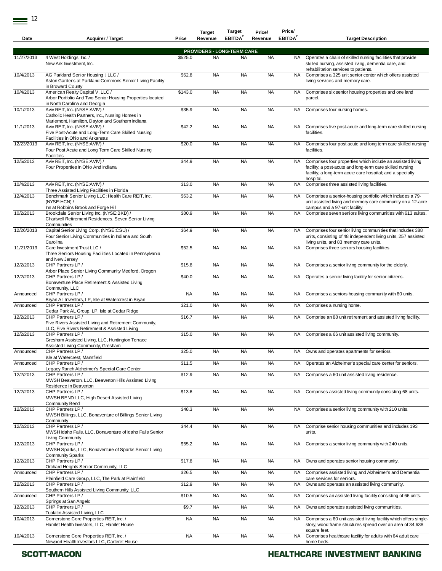| Date                           | <b>Acquirer / Target</b>                                                                                                                                | Price     | Target<br>Revenue                              | larget<br>EBITDA <sup>2</sup> | Price/<br>Revenue | <b>Price/</b><br>EBITDA <sup>2</sup> | <b>Target Description</b>                                                                                                                                                                          |
|--------------------------------|---------------------------------------------------------------------------------------------------------------------------------------------------------|-----------|------------------------------------------------|-------------------------------|-------------------|--------------------------------------|----------------------------------------------------------------------------------------------------------------------------------------------------------------------------------------------------|
|                                |                                                                                                                                                         |           |                                                |                               |                   |                                      |                                                                                                                                                                                                    |
| 11/27/2013                     | 4 West Holdings, Inc. /                                                                                                                                 | \$525.0   | <b>PROVIDERS - LONG-TERM CARE</b><br><b>NA</b> | <b>NA</b>                     | <b>NA</b>         | <b>NA</b>                            | Operates a chain of skilled nursing facilities that provide                                                                                                                                        |
|                                | New Ark Investment, Inc.                                                                                                                                |           |                                                |                               |                   |                                      | skilled nursing, assisted living, dementia care, and<br>rehabilitation services to patients.                                                                                                       |
| 10/4/2013                      | AG Parkland Senior Housing I, LLC /<br>Aston Gardens at Parkland Commons Senior Living Facility<br>in Broward County                                    | \$62.8    | <b>NA</b>                                      | <b>NA</b>                     | <b>NA</b>         | NA                                   | Comprises a 325 unit senior center which offers assisted<br>living services and memory care.                                                                                                       |
| 10/4/2013                      | American Realty Capital V, LLC /<br>Arbor Portfolio And Two Senior Housing Properties located<br>in North Carolina and Georgia                          | \$143.0   | <b>NA</b>                                      | <b>NA</b>                     | <b>NA</b>         | <b>NA</b>                            | Comprises six senior housing properties and one land<br>parcel.                                                                                                                                    |
| 10/1/2013                      | Aviv REIT, Inc. (NYSE:AVIV) /<br>Catholic Health Partners, Inc., Nursing Homes in<br>Mariemont, Hamilton, Dayton and Southern Indiana                   | \$35.9    | <b>NA</b>                                      | <b>NA</b>                     | <b>NA</b>         | <b>NA</b>                            | Comprises four nursing homes.                                                                                                                                                                      |
| 11/1/2013                      | Aviv REIT, Inc. (NYSE:AVIV) /<br>Five Post-Acute and Long-Term Care Skilled Nursing<br>Facilities in Ohio and Arkansas                                  | \$42.2    | <b>NA</b>                                      | <b>NA</b>                     | <b>NA</b>         | NA                                   | Comprises five post-acute and long-term care skilled nursing<br>facilities.                                                                                                                        |
| 12/23/2013                     | Aviv REIT, Inc. (NYSE:AVIV) /<br>Four Post Acute and Long Term Care Skilled Nursing<br>Facilities                                                       | \$20.0    | <b>NA</b>                                      | <b>NA</b>                     | <b>NA</b>         | <b>NA</b>                            | Comprises four post acute and long term care skilled nursing<br>facilities.                                                                                                                        |
| 12/5/2013                      | Aviv REIT, Inc. (NYSE:AVIV) /<br>Four Properties In Ohio And Indiana                                                                                    | \$44.9    | <b>NA</b>                                      | <b>NA</b>                     | <b>NA</b>         | NA                                   | Comprises four properties which include an assisted living<br>facility; a post-acute and long-term care skilled nursing<br>facility; a long-term acute care hospital; and a specialty<br>hospital. |
| 10/4/2013                      | Aviv REIT, Inc. (NYSE:AVIV) /                                                                                                                           | \$13.0    | <b>NA</b>                                      | <b>NA</b>                     | <b>NA</b>         | <b>NA</b>                            | Comprises three assisted living facilities.                                                                                                                                                        |
| $\overline{12}/\frac{4}{2013}$ | Three Assisted Living Facilities in Florida<br>Benchmark Senior Living LLC; Health Care REIT, Inc.<br>(NYSE:HCN)/                                       | \$63.2    | <b>NA</b>                                      | <b>NA</b>                     | <b>NA</b>         | NA.                                  | Comprises a senior-housing portfolio which includes a 79-<br>unit assisted living and memory care community on a 12-acre                                                                           |
| 10/2/2013                      | Inn at Robbins Brook and Forge Hill<br>Brookdale Senior Living Inc. (NYSE:BKD) /<br>Chartwell Retirement Residences, Seven Senior Living<br>Communities | \$80.9    | <b>NA</b>                                      | <b>NA</b>                     | <b>NA</b>         | <b>NA</b>                            | campus and a 97-unit facility.<br>Comprises seven seniors living communities with 613 suites.                                                                                                      |
| 12/26/2013                     | Capital Senior Living Corp. (NYSE:CSU) /<br>Four Senior Living Communities in Indiana and South<br>Carolina                                             | \$64.9    | <b>NA</b>                                      | <b>NA</b>                     | <b>NA</b>         | NA.                                  | Comprises four senior living communities that includes 388<br>units, consisting of 48 independent living units, 257 assisted<br>living units, and 83 memory care units.                            |
| 11/21/2013                     | Care Investment Trust LLC /<br>Three Seniors Housing Facilities Located in Pennsylvania<br>and New Jersey                                               | \$52.5    | <b>NA</b>                                      | <b>NA</b>                     | <b>NA</b>         | NA                                   | Comprises three seniors housing facilities.                                                                                                                                                        |
| 12/2/2013                      | CHP Partners LP /                                                                                                                                       | \$15.8    | <b>NA</b>                                      | <b>NA</b>                     | <b>NA</b>         | NA.                                  | Comprises a senior living community for the elderly.                                                                                                                                               |
| 12/2/2013                      | Arbor Place Senior Living Community Medford, Oregon<br>CHP Partners LP /<br>Bonaventure Place Retirement & Assisted Living<br>Community, LLC            | \$40.0    | <b>NA</b>                                      | <b>NA</b>                     | <b>NA</b>         | NA.                                  | Operates a senior living facility for senior citizens.                                                                                                                                             |
| Announced                      | CHP Partners LP /                                                                                                                                       | <b>NA</b> | <b>NA</b>                                      | <b>NA</b>                     | <b>NA</b>         | NA                                   | Comprises a seniors housing community with 80 units.                                                                                                                                               |
| Announced                      | Bryan AL Investors, LP, Isle at Watercrest in Bryan<br>CHP Partners LP /                                                                                | \$21.0    | <b>NA</b>                                      | <b>NA</b>                     | <b>NA</b>         | <b>NA</b>                            | Comprises a nursing home.                                                                                                                                                                          |
| 12/2/2013                      | Cedar Park AL Group, LP, Isle at Cedar Ridge<br>CHP Partners LP /<br>Five Rivers Assisted Living and Retirement Community,                              | \$16.7    | <b>NA</b>                                      | <b>NA</b>                     | <b>NA</b>         | <b>NA</b>                            | Comprise an 88 unit retirement and assisted living facility.                                                                                                                                       |
| 12/2/2013                      | LLC, Five Rivers Retirement & Assisted Living<br>CHP Partners LP /<br>Gresham Assisted Living, LLC, Huntington Terrace                                  | \$15.0    | <b>NA</b>                                      | <b>NA</b>                     | <b>NA</b>         | NA.                                  | Comprises a 66 unit assisted living community.                                                                                                                                                     |
|                                | Assisted Living Community, Gresham                                                                                                                      |           |                                                |                               |                   |                                      |                                                                                                                                                                                                    |
| Announced                      | CHP Partners LP /<br>Isle at Watercrest, Mansfield                                                                                                      | \$25.0    | <b>NA</b>                                      | <b>NA</b>                     | <b>NA</b>         |                                      | NA Owns and operates apartments for seniors.                                                                                                                                                       |
| Announced                      | CHP Partners LP /<br>Legacy Ranch Alzheimer's Special Care Center                                                                                       | \$11.5    | <b>NA</b>                                      | <b>NA</b>                     | <b>NA</b>         | NA                                   | Operates an Alzheimer's special care center for seniors.                                                                                                                                           |
| 12/2/2013                      | CHP Partners LP /<br>MWSH Beaverton, LLC, Beaverton Hills Assisted Living<br>Residence in Beaverton                                                     | \$12.9    | <b>NA</b>                                      | <b>NA</b>                     | <b>NA</b>         | <b>NA</b>                            | Comprises a 60 unit assisted living residence.                                                                                                                                                     |
| 12/2/2013                      | CHP Partners LP /<br>MWSH BEND LLC, High Desert Assisted Living<br><b>Community Bend</b>                                                                | \$13.6    | <b>NA</b>                                      | <b>NA</b>                     | <b>NA</b>         | <b>NA</b>                            | Comprises assisted living community consisting 68 units.                                                                                                                                           |
| 12/2/2013                      | CHP Partners LP /<br>MWSH Billings, LLC, Bonaventure of Billings Senior Living<br>Community                                                             | \$48.3    | <b>NA</b>                                      | <b>NA</b>                     | <b>NA</b>         | <b>NA</b>                            | Comprises a senior living community with 210 units.                                                                                                                                                |
| 12/2/2013                      | CHP Partners LP /<br>MWSH Idaho Falls, LLC, Bonaventure of Idaho Falls Senior<br>Living Community                                                       | \$44.4    | <b>NA</b>                                      | <b>NA</b>                     | <b>NA</b>         | <b>NA</b>                            | Comprise senior housing communities and includes 193<br>units.                                                                                                                                     |
| 12/2/2013                      | CHP Partners LP /<br>MWSH Sparks, LLC, Bonaventure of Sparks Senior Living<br><b>Community Sparks</b>                                                   | \$55.2    | <b>NA</b>                                      | <b>NA</b>                     | <b>NA</b>         | <b>NA</b>                            | Comprises a senior living community with 240 units.                                                                                                                                                |
| 12/2/2013                      | CHP Partners LP /<br>Orchard Heights Senior Community, LLC                                                                                              | \$17.8    | <b>NA</b>                                      | <b>NA</b>                     | <b>NA</b>         | <b>NA</b>                            | Owns and operates senior housing community,                                                                                                                                                        |
| Announced                      | CHP Partners LP/<br>Plainfield Care Group, LLC, The Park at Plainfield                                                                                  | \$26.5    | <b>NA</b>                                      | <b>NA</b>                     | <b>NA</b>         | NA                                   | Comprises assisted living and Alzheimer's and Dementia<br>care services for seniors.                                                                                                               |
| 12/2/2013                      | CHP Partners LP /<br>Southern Hills Assisted Living Community, LLC                                                                                      | \$12.9    | <b>NA</b>                                      | <b>NA</b>                     | <b>NA</b>         | NA                                   | Owns and operates an assisted living community.                                                                                                                                                    |
| Announced                      | CHP Partners LP /<br>Springs at San Angelo                                                                                                              | \$10.5    | <b>NA</b>                                      | <b>NA</b>                     | <b>NA</b>         | <b>NA</b>                            | Comprises an assisted living facility consisting of 66 units.                                                                                                                                      |
| 12/2/2013                      | CHP Partners LP/<br>Tualatin Assisted Living, LLC                                                                                                       | \$9.7     | <b>NA</b>                                      | <b>NA</b>                     | <b>NA</b>         | NA                                   | Owns and operates assisted living communities.                                                                                                                                                     |
| 10/4/2013                      | Cornerstone Core Properties REIT, Inc. /<br>Hamlet Health Investors, LLC, Hamlet House                                                                  | <b>NA</b> | <b>NA</b>                                      | <b>NA</b>                     | <b>NA</b>         | NA                                   | Comprises a 60 unit assisted living facility which offers single-<br>story, wood frame structures spread over an area of 34,638<br>square feet.                                                    |
| 10/4/2013                      | Cornerstone Core Properties REIT, Inc. /<br>Newport Health Investors LLC, Carteret House                                                                | <b>NA</b> | <b>NA</b>                                      | <b>NA</b>                     | <b>NA</b>         | <b>NA</b>                            | Comprises healthcare facility for adults with 64 adult care<br>home beds.                                                                                                                          |
|                                |                                                                                                                                                         |           |                                                |                               |                   |                                      |                                                                                                                                                                                                    |

**Target Target** 

**Price/**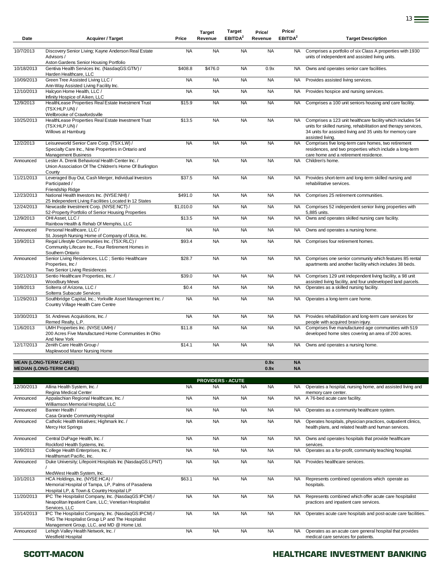| Date       | <b>Acquirer / Target</b>                                                                                                          | Price     | <b>Target</b><br>Revenue | Target<br>EBITDA <sup>2</sup> | Price/<br>Revenue | Price/<br>EBITDA <sup>2</sup> | <b>Target Description</b>                                                                                                                                                                                      |
|------------|-----------------------------------------------------------------------------------------------------------------------------------|-----------|--------------------------|-------------------------------|-------------------|-------------------------------|----------------------------------------------------------------------------------------------------------------------------------------------------------------------------------------------------------------|
| 10/7/2013  | Discovery Senior Living; Kayne Anderson Real Estate<br>Advisors /                                                                 | <b>NA</b> | <b>NA</b>                | <b>NA</b>                     | <b>NA</b>         | <b>NA</b>                     | Comprises a portfolio of six Class A properties with 1930<br>units of independent and assisted living units.                                                                                                   |
| 10/18/2013 | Aston Gardens Senior Housing Portfolio<br>Gentiva Health Services Inc. (NasdaqGS:GTIV) /                                          | \$408.8   | \$476.0                  | <b>NA</b>                     | 0.9x              | <b>NA</b>                     |                                                                                                                                                                                                                |
|            | Harden Healthcare, LLC                                                                                                            |           |                          |                               |                   |                               | Owns and operates senior care facilities.                                                                                                                                                                      |
| 10/09/2013 | Green Tree Assisted Living LLC /<br>Ann-Way Assisted Living Facility Inc.                                                         | <b>NA</b> | <b>NA</b>                | <b>NA</b>                     | <b>NA</b>         | <b>NA</b>                     | Provides assisted living services.                                                                                                                                                                             |
| 12/10/2013 | Halcyon Home Health, LLC /<br>Infinity Hospice of Aiken, LLC                                                                      | <b>NA</b> | <b>NA</b>                | <b>NA</b>                     | <b>NA</b>         | <b>NA</b>                     | Provides hospice and nursing services.                                                                                                                                                                         |
| 12/9/2013  | HealthLease Properties Real Estate Investment Trust<br>(TSX:HLP.UN) /                                                             | \$15.9    | <b>NA</b>                | <b>NA</b>                     | <b>NA</b>         | <b>NA</b>                     | Comprises a 100 unit seniors housing and care facility.                                                                                                                                                        |
| 10/25/2013 | Wellbrooke of Crawfordsville<br>HealthLease Properties Real Estate Investment Trust<br>(TSX:HLP.UN) /<br>Willows at Hamburg       | \$13.5    | <b>NA</b>                | <b>NA</b>                     | <b>NA</b>         | <b>NA</b>                     | Comprises a 123 unit healthcare facility which includes 54<br>units for skilled nursing, rehabilitation and therapy services,<br>34 units for assisted living and 35 units for memory care<br>assisted living. |
| 12/2/2013  | Leisureworld Senior Care Corp. (TSX:LW) /<br>Specialty Care Inc., Nine Properties in Ontario and<br><b>Management Business</b>    | <b>NA</b> | <b>NA</b>                | <b>NA</b>                     | <b>NA</b>         | <b>NA</b>                     | Comprises five long-term care homes, two retirement<br>residences, and two properties which include a long-term<br>care home and a retirement residence.                                                       |
| Announced  | Lester A. Drenk Behavioral Health Center Inc. /<br>Union Association Of The Children's Home Of Burlington<br>County               | <b>NA</b> | <b>NA</b>                | <b>NA</b>                     | <b>NA</b>         | <b>NA</b>                     | Children's home.                                                                                                                                                                                               |
| 11/21/2013 | Leveraged Buy Out, Cash Merger, Individual Investors<br>Participated /<br>Friendship Ridge                                        | \$37.5    | <b>NA</b>                | <b>NA</b>                     | <b>NA</b>         | NA                            | Provides short-term and long-term skilled nursing and<br>rehabilitative services.                                                                                                                              |
| 12/23/2013 | National Health Investors Inc. (NYSE:NHI) /                                                                                       | \$491.0   | <b>NA</b>                | <b>NA</b>                     | <b>NA</b>         | <b>NA</b>                     | Comprises 25 retirement communities.                                                                                                                                                                           |
| 12/24/2013 | 25 Independent Living Facilities Located In 12 States<br>Newcastle Investment Corp. (NYSE:NCT) /                                  | \$1,010.0 | <b>NA</b>                | <b>NA</b>                     | <b>NA</b>         | <b>NA</b>                     | Comprises 52 independent senior living properties with                                                                                                                                                         |
| 12/9/2013  | 52-Property Portfolio of Senior Housing Properties<br>OHI Asset. LLC /                                                            | \$13.5    | <b>NA</b>                | <b>NA</b>                     | <b>NA</b>         | <b>NA</b>                     | 5,885 units.<br>Owns and operates skilled nursing care facility.                                                                                                                                               |
| Announced  | Rainbow Health & Rehab Of Memphis, LLC<br>Personal Healthcare, LLC /                                                              | <b>NA</b> | <b>NA</b>                | <b>NA</b>                     | <b>NA</b>         | <b>NA</b>                     | Owns and operates a nursing home.                                                                                                                                                                              |
| 10/9/2013  | St. Joseph Nursing Home of Company of Utica, Inc.<br>Regal Lifestyle Communities Inc. (TSX:RLC) /                                 | \$93.4    | <b>NA</b>                | <b>NA</b>                     | <b>NA</b>         | <b>NA</b>                     | Comprises four retirement homes.                                                                                                                                                                               |
|            | Community Lifecare Inc., Four Retirement Homes in<br>Southern Ontario                                                             |           |                          |                               |                   |                               |                                                                                                                                                                                                                |
| Announced  | Senior Living Residences, LLC ; Sentio Healthcare<br>Properties, Inc /<br>Two Senior Living Residences                            | \$28.7    | <b>NA</b>                | <b>NA</b>                     | <b>NA</b>         | <b>NA</b>                     | Comprises one senior community which features 85 rental<br>apartments and another facility which includes 38 beds.                                                                                             |
| 10/21/2013 | Sentio Healthcare Properties, Inc. /<br><b>Woodbury Mews</b>                                                                      | \$39.0    | <b>NA</b>                | <b>NA</b>                     | <b>NA</b>         | <b>NA</b>                     | Comprises 129 unit independent living facility, a 98 unit<br>assisted living facility, and four undeveloped land parcels.                                                                                      |
| 10/8/2013  | Solterra of Arizona, LLC /<br>Solterra Subacute Services                                                                          | \$0.4     | <b>NA</b>                | <b>NA</b>                     | <b>NA</b>         | <b>NA</b>                     | Operates as a skilled nursing facility.                                                                                                                                                                        |
| 11/29/2013 | Southbridge Capital, Inc.; Yorkville Asset Management Inc. /<br>Country Village Health Care Centre                                | <b>NA</b> | <b>NA</b>                | <b>NA</b>                     | <b>NA</b>         | NA.                           | Operates a long-term care home.                                                                                                                                                                                |
| 10/30/2013 | St. Andrews Acquisitions, Inc. /<br>Remed Realty, L.P.                                                                            | <b>NA</b> | <b>NA</b>                | <b>NA</b>                     | <b>NA</b>         | NA                            | Provides rehabilitation and long-term care services for<br>people with acquired brain injury.                                                                                                                  |
| 11/6/2013  | UMH Properties Inc. (NYSE:UMH) /<br>200 Acres Five Manufactured Home Communities In Ohio<br>And New York                          | \$11.8    | <b>NA</b>                | <b>NA</b>                     | <b>NA</b>         | <b>NA</b>                     | Comprises five manufactured age communities with 519<br>developed home sites covering an area of 200 acres.                                                                                                    |
| 12/17/2013 | Zenith Care Health Group /<br>Maplewood Manor Nursing Home                                                                        | \$14.1    | <b>NA</b>                | <b>NA</b>                     | <b>NA</b>         | NA .                          | Owns and operates a nursing home.                                                                                                                                                                              |
|            | <b>MEAN (LONG-TERM CARE)</b><br><b>MEDIAN (LONG-TERM CARE)</b>                                                                    |           |                          |                               | 0.9x<br>0.9x      | <b>NA</b><br><b>NA</b>        |                                                                                                                                                                                                                |
|            |                                                                                                                                   |           | <b>PROVIDERS - ACUTE</b> |                               |                   |                               |                                                                                                                                                                                                                |
| 12/30/2013 | Allina Health System, Inc. /                                                                                                      | <b>NA</b> | <b>NA</b>                | <b>NA</b>                     | <b>NA</b>         |                               | NA Operates a hospital, nursing home, and assisted living and                                                                                                                                                  |
| Announced  | Regina Medical Center<br>Appalachian Regional Healthcare, Inc./                                                                   | <b>NA</b> | <b>NA</b>                | <b>NA</b>                     | <b>NA</b>         | NA                            | memory care center.<br>A 76-bed acute care facility.                                                                                                                                                           |
| Announced  | Williamson Memorial Hospital, LLC<br>Banner Health /                                                                              | <b>NA</b> | <b>NA</b>                | <b>NA</b>                     | <b>NA</b>         | <b>NA</b>                     | Operates as a community healthcare system.                                                                                                                                                                     |
| Announced  | Casa Grande Community Hospital<br>Catholic Health Initiatives; Highmark Inc. /                                                    | <b>NA</b> | <b>NA</b>                | <b>NA</b>                     | <b>NA</b>         | <b>NA</b>                     | Operates hospitals, physician practices, outpatient clinics,                                                                                                                                                   |
| Announced  | Mercy Hot Springs<br>Central DuPage Health, Inc. /                                                                                | <b>NA</b> | <b>NA</b>                | <b>NA</b>                     | <b>NA</b>         | <b>NA</b>                     | health plans, and related health and human services.<br>Owns and operates hospitals that provide healthcare                                                                                                    |
| 10/9/2013  | Rockford Health Systems, Inc.<br>College Health Enterprises, Inc. /                                                               |           |                          |                               |                   | <b>NA</b>                     | services.                                                                                                                                                                                                      |
|            | Healthsmart Pacific, Inc.                                                                                                         | <b>NA</b> | <b>NA</b>                | <b>NA</b>                     | <b>NA</b>         |                               | Operates as a for-profit, community teaching hospital.                                                                                                                                                         |
| Announced  | Duke University; Lifepoint Hospitals Inc (NasdaqGS:LPNT)<br>MedWest Health System, Inc.                                           | <b>NA</b> | <b>NA</b>                | <b>NA</b>                     | <b>NA</b>         | <b>NA</b>                     | Provides healthcare services.                                                                                                                                                                                  |
| 10/1/2013  | HCA Holdings, Inc. (NYSE:HCA) /<br>Memorial Hospital of Tampa, LP, Palms of Pasadena<br>Hospital LP, & Town & Country Hospital LP | \$63.1    | <b>NA</b>                | <b>NA</b>                     | <b>NA</b>         | NA                            | Represents combined operations which operate as<br>hospitals.                                                                                                                                                  |
| 11/20/2013 | IPC The Hospitalist Company, Inc. (NasdaqGS:IPCM) /<br>Neapolitan Inpatient Care, LLC; Venetian Hospitalist<br>Services, LLC      | <b>NA</b> | <b>NA</b>                | <b>NA</b>                     | <b>NA</b>         | <b>NA</b>                     | Represents combined which offer acute care hospitalist<br>practices and inpatient care services.                                                                                                               |
| 10/14/2013 | IPC The Hospitalist Company, Inc. (NasdaqGS:IPCM) /<br>THG The Hospitalist Group LP and The Hospitalist                           | <b>NA</b> | <b>NA</b>                | <b>NA</b>                     | <b>NA</b>         | NA                            | Operates acute care hospitals and post-acute care facilities.                                                                                                                                                  |
| Announced  | Management Group, LLC, and MD @ Home Ltd.<br>Lehigh Valley Health Network, Inc. /                                                 | <b>NA</b> | <b>NA</b>                | <b>NA</b>                     | <b>NA</b>         | NA                            | Operates as an acute care general hospital that provides                                                                                                                                                       |
|            | Westfield Hospital                                                                                                                |           |                          |                               |                   |                               | medical care services for patients.                                                                                                                                                                            |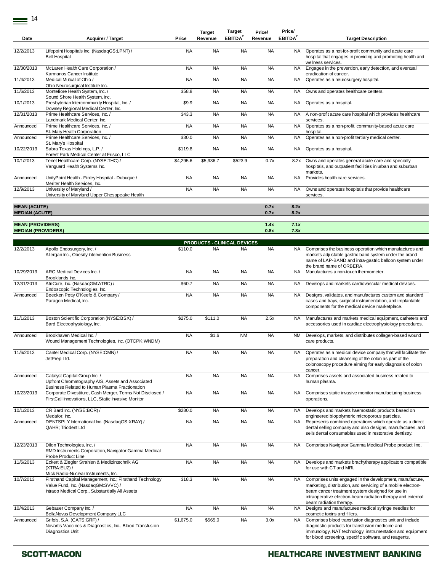| Date                                         | <b>Acquirer / Target</b>                                                                                                                          | Price     | <b>Target</b><br>Revenue                        | Target<br>EBITDA <sup>2</sup> | Price/<br>Revenue | Price/<br>EBITDA <sup>2</sup> | <b>Target Description</b>                                                                                                                                                                                                                                              |
|----------------------------------------------|---------------------------------------------------------------------------------------------------------------------------------------------------|-----------|-------------------------------------------------|-------------------------------|-------------------|-------------------------------|------------------------------------------------------------------------------------------------------------------------------------------------------------------------------------------------------------------------------------------------------------------------|
| 12/2/2013                                    | Lifepoint Hospitals Inc. (NasdaqGS:LPNT) /<br><b>Bell Hospital</b>                                                                                | <b>NA</b> | <b>NA</b>                                       | <b>NA</b>                     | <b>NA</b>         | NA.                           | Operates as a not-for-profit community and acute care<br>hospital that engages in providing and promoting health and<br>wellness services.                                                                                                                             |
| 12/30/2013                                   | McLaren Health Care Corporation /<br>Karmanos Cancer Institute                                                                                    | <b>NA</b> | <b>NA</b>                                       | <b>NA</b>                     | <b>NA</b>         | NA                            | Engages in the prevention, early detection, and eventual<br>eradication of cancer.                                                                                                                                                                                     |
| 11/4/2013                                    | Medical Mutual of Ohio /                                                                                                                          | <b>NA</b> | <b>NA</b>                                       | <b>NA</b>                     | <b>NA</b>         | <b>NA</b>                     | Operates as a neurosurgery hospital.                                                                                                                                                                                                                                   |
| 11/6/2013                                    | Ohio Neurosurgical Institute Inc.<br>Montefiore Health System, Inc. /<br>Sound Shore Health System, Inc.                                          | \$58.8    | <b>NA</b>                                       | <b>NA</b>                     | <b>NA</b>         | NA                            | Owns and operates healthcare centers.                                                                                                                                                                                                                                  |
| 10/1/2013                                    | Presbyterian Intercommunity Hospital, Inc. /<br>Downey Regional Medical Center, Inc.                                                              | \$9.9     | <b>NA</b>                                       | <b>NA</b>                     | <b>NA</b>         | <b>NA</b>                     | Operates as a hospital.                                                                                                                                                                                                                                                |
| 12/31/2013                                   | Prime Healthcare Services, Inc. /<br>Landmark Medical Center, Inc.                                                                                | \$43.3    | <b>NA</b>                                       | <b>NA</b>                     | <b>NA</b>         | NA                            | A non-profit acute care hospital which provides healthcare<br>services.                                                                                                                                                                                                |
| Announced                                    | Prime Healthcare Services, Inc. /<br>St. Mary Health Corporation                                                                                  | <b>NA</b> | <b>NA</b>                                       | <b>NA</b>                     | <b>NA</b>         | <b>NA</b>                     | Operates as a non-profit, community-based acute care<br>hospital.                                                                                                                                                                                                      |
| Announced                                    | Prime Healthcare Services, Inc. /<br>St. Mary's Hospital                                                                                          | \$30.0    | <b>NA</b>                                       | <b>NA</b>                     | <b>NA</b>         | <b>NA</b>                     | Operates as a non-profit tertiary medical center.                                                                                                                                                                                                                      |
| 10/22/2013                                   | Sabra Texas Holdings, L.P./<br>Forest Park Medical Center at Frisco, LLC                                                                          | \$119.8   | <b>NA</b>                                       | <b>NA</b>                     | <b>NA</b>         | <b>NA</b>                     | Operates as a hospital.                                                                                                                                                                                                                                                |
| 10/1/2013                                    | Tenet Healthcare Corp. (NYSE:THC) /<br>Vanguard Health Systems Inc.                                                                               | \$4,295.6 | \$5,936.7                                       | \$523.9                       | 0.7x              | 8.2x                          | Owns and operates general acute care and specialty<br>hospitals, and outpatient facilities in urban and suburban<br>markets.                                                                                                                                           |
| Announced                                    | UnityPoint Health - Finley Hospital - Dubuque /<br>Meriter Health Services, Inc.                                                                  | <b>NA</b> | <b>NA</b>                                       | <b>NA</b>                     | <b>NA</b>         | <b>NA</b>                     | Provides health care services.                                                                                                                                                                                                                                         |
| 12/9/2013                                    | University of Maryland /<br>University of Maryland Upper Chesapeake Health                                                                        | <b>NA</b> | <b>NA</b>                                       | <b>NA</b>                     | <b>NA</b>         | <b>NA</b>                     | Owns and operates hospitals that provide healthcare<br>services.                                                                                                                                                                                                       |
| <b>MEAN (ACUTE)</b><br><b>MEDIAN (ACUTE)</b> |                                                                                                                                                   |           |                                                 |                               | 0.7x<br>0.7x      | 8.2x<br>8.2x                  |                                                                                                                                                                                                                                                                        |
| <b>MEAN (PROVIDERS)</b>                      |                                                                                                                                                   |           |                                                 |                               | 1.4x              | 7.1x                          |                                                                                                                                                                                                                                                                        |
| <b>MEDIAN (PROVIDERS)</b>                    |                                                                                                                                                   |           |                                                 |                               | 0.8x              | 7.8x                          |                                                                                                                                                                                                                                                                        |
| 12/2/2013                                    | Apollo Endosurgery, Inc. /                                                                                                                        | \$110.0   | <b>PRODUCTS - CLINICAL DEVICES</b><br><b>NA</b> | <b>NA</b>                     | <b>NA</b>         | <b>NA</b>                     | Comprises the business operation which manufactures and                                                                                                                                                                                                                |
|                                              | Allergan Inc., Obesity Intervention Business                                                                                                      |           |                                                 |                               |                   |                               | markets adjustable gastric band system under the brand<br>name of LAP-BAND and intra-gastric balloon system under<br>the brand name of ORBERA.                                                                                                                         |
| 10/29/2013                                   | ARC Medical Devices Inc./<br>Brooklands Inc.                                                                                                      | <b>NA</b> | <b>NA</b>                                       | <b>NA</b>                     | <b>NA</b>         | <b>NA</b>                     | Manufactures a non-touch thermometer.                                                                                                                                                                                                                                  |
| 12/31/2013                                   | AtriCure, Inc. (NasdaqGM:ATRC) /<br>Endoscopic Technologies, Inc.                                                                                 | \$60.7    | <b>NA</b>                                       | <b>NA</b>                     | <b>NA</b>         | NA                            | Develops and markets cardiovascular medical devices.                                                                                                                                                                                                                   |
| Announced                                    | Beecken Petty O'Keefe & Company /<br>Paragon Medical, Inc.                                                                                        | <b>NA</b> | <b>NA</b>                                       | <b>NA</b>                     | <b>NA</b>         | NA                            | Designs, validates, and manufactures custom and standard<br>cases and trays, surgical instrumentation, and implantable<br>components for the medical device marketplace.                                                                                               |
| 11/1/2013                                    | Boston Scientific Corporation (NYSE:BSX) /<br>Bard Electrophysiology, Inc.                                                                        | \$275.0   | \$111.0                                         | <b>NA</b>                     | 2.5x              | NA                            | Manufactures and markets medical equipment, catheters and<br>accessories used in cardiac electrophysiology procedures.                                                                                                                                                 |
| Announced                                    | Brookhaven Medical Inc. /<br>Wound Management Technologies, Inc. (OTCPK:WNDM)                                                                     | <b>NA</b> | \$1.6                                           | <b>NM</b>                     | <b>NA</b>         | NM                            | Develops, markets, and distributes collagen-based wound<br>care products.                                                                                                                                                                                              |
| 11/6/2013                                    | Cantel Medical Corp. (NYSE:CMN) /<br>JetPrep Ltd.                                                                                                 | <b>NA</b> | <b>NA</b>                                       | <b>NA</b>                     | <b>NA</b>         |                               | Operates as a medical device company that will facilitate the<br>preparation and cleansing of the colon as part of the<br>colonoscopy procedure aiming for early diagnosis of colon                                                                                    |
| Announced                                    | Catalyst Capital Group Inc. /<br>Upfront Chromatography A/S, Assets and Associated<br>Business Related to Human Plasma Fractionation              | <b>NA</b> | <b>NA</b>                                       | <b>NA</b>                     | <b>NA</b>         | <b>NA</b>                     | cancer.<br>Comprises assets and associated business related to<br>human plasma.                                                                                                                                                                                        |
| 10/23/2013                                   | Corporate Divestiture, Cash Merger, Terms Not Disclosed /<br>FirstCall Innovations, LLC, Static Invasive Monitor                                  | <b>NA</b> | <b>NA</b>                                       | <b>NA</b>                     | <b>NA</b>         | NA                            | Comprises static invasive monitor manufacturing business<br>operations.                                                                                                                                                                                                |
| 10/1/2013                                    | CR Bard Inc. (NYSE:BCR) /<br>Medafor, Inc.                                                                                                        | \$280.0   | <b>NA</b>                                       | <b>NA</b>                     | <b>NA</b>         | NA.                           | Develops and markets haemostatic products based on<br>engineered biopolymeric microporous particles.                                                                                                                                                                   |
| Announced                                    | DENTSPLY International Inc. (NasdaqGS:XRAY) /<br><b>QAHR</b> ; Triodent Ltd                                                                       | <b>NA</b> | <b>NA</b>                                       | <b>NA</b>                     | <b>NA</b>         | NA                            | Represents combined operations which operate as a direct<br>dental selling company and also designs, manufactures, and<br>sells dental consumables used in restorative dentistry.                                                                                      |
| 12/23/2013                                   | Dilon Technologies, Inc. /<br>RMD Instruments Corporation, Navigator Gamma Medical<br>Probe Product Line                                          | <b>NA</b> | <b>NA</b>                                       | <b>NA</b>                     | <b>NA</b>         | NA.                           | Comprises Navigator Gamma Medical Probe product line.                                                                                                                                                                                                                  |
| 11/6/2013                                    | Eckert & Ziegler Strahlen & Medizintechnik AG<br>(XTRA:EUZ) /<br>Mick Radio-Nuclear Instruments, Inc.                                             | <b>NA</b> | <b>NA</b>                                       | <b>NA</b>                     | <b>NA</b>         | <b>NA</b>                     | Develops and markets brachytherapy applicators compatible<br>for use with CT and MRI.                                                                                                                                                                                  |
| 10/7/2013                                    | Firsthand Capital Management, Inc.; Firsthand Technology<br>Value Fund, Inc. (NasdaqGM:SVVC) /<br>Intraop Medical Corp., Substantially All Assets | \$18.3    | <b>NA</b>                                       | <b>NA</b>                     | <b>NA</b>         | NA.                           | Comprises units engaged in the development, manufacture,<br>marketing, distribution, and servicing of a mobile electron-<br>beam cancer treatment system designed for use in<br>intraoperative electron-beam radiation therapy and external<br>beam radiation therapy. |
| 10/4/2013                                    | Gebauer Company Inc. /                                                                                                                            | <b>NA</b> | <b>NA</b>                                       | <b>NA</b>                     | <b>NA</b>         | NA.                           | Designs and manufactures medical syringe needles for<br>cosmetic toxins and fillers.                                                                                                                                                                                   |
| Announced                                    | BellaNovus Development Company LLC<br>Grifols, S.A. (CATS:GRF) /<br>Novartis Vaccines & Diagnostics, Inc., Blood Transfusion<br>Diagnostics Unit  | \$1,675.0 | \$565.0                                         | <b>NA</b>                     | 3.0x              | <b>NA</b>                     | Comprises blood transfusion diagnostics unit and include<br>diagnostic products for transfusion medicine and<br>immunology, NAT technology, instrumentation and equipment<br>for blood screening, specific software, and reagents.                                     |

**Price/**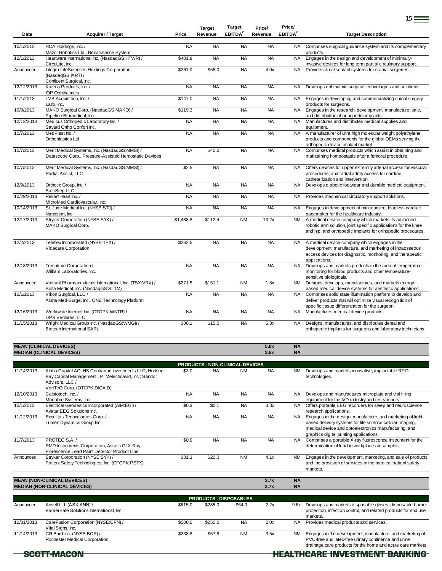| Date       | <b>Acquirer / Target</b>                                                                                                           | Price     | <b>Target</b><br>Revenue | Target<br>EBITDA <sup>2</sup>                | Price/<br>Revenue | Price/<br>EBITDA <sup>2</sup> | <b>Target Description</b>                                                                                                                                                                                   |
|------------|------------------------------------------------------------------------------------------------------------------------------------|-----------|--------------------------|----------------------------------------------|-------------------|-------------------------------|-------------------------------------------------------------------------------------------------------------------------------------------------------------------------------------------------------------|
| 10/1/2013  | HCA Holdings, Inc. /<br>Mazor Robotics Ltd., Renaissance System                                                                    | <b>NA</b> | <b>NA</b>                | <b>NA</b>                                    | <b>NA</b>         | NA.                           | Comprises surgical guidance system and its complementary<br>products.                                                                                                                                       |
| 12/1/2013  | Heartware International Inc. (NasdaqGS:HTWR) /<br>CircuLite, Inc.                                                                  | \$401.8   | <b>NA</b>                | <b>NA</b>                                    | <b>NA</b>         | <b>NA</b>                     | Engages in the design and development of minimally-<br>invasive devices for long term partial circulatory support.                                                                                          |
| Announced  | Integra LifeSciences Holdings Corporation<br>(NasdaqGS:IART) /                                                                     | \$261.0   | \$65.0                   | <b>NA</b>                                    | 4.0x              | <b>NA</b>                     | Provides dural sealant systems for cranial surgeries.                                                                                                                                                       |
| 12/12/2013 | Confluent Surgical, Inc.<br>Katena Products, Inc. /<br><b>IOP Ophthalmics</b>                                                      | <b>NA</b> | <b>NA</b>                | <b>NA</b>                                    | <b>NA</b>         | <b>NA</b>                     | Develops ophthalmic surgical technologies and solutions.                                                                                                                                                    |
| 11/1/2013  | LVB Acquisition, Inc. /<br>Lanx, Inc.                                                                                              | \$147.0   | <b>NA</b>                | <b>NA</b>                                    | <b>NA</b>         | NA                            | Engages in developing and commercializing spinal surgery<br>products for surgeons.                                                                                                                          |
| 10/8/2013  | MAKO Surgical Corp. (NasdaqGS:MAKO) /<br>Pipeline Biomedical, Inc.                                                                 | \$119.3   | <b>NA</b>                | <b>NA</b>                                    | <b>NA</b>         | <b>NA</b>                     | Engages in the research, development, manufacture, sale,<br>and distribution of orthopedic implants.                                                                                                        |
| 12/12/2013 | Médicus Orthopedic Laboratory Inc. /<br>Savard Ortho Confort Inc.                                                                  | <b>NA</b> | <b>NA</b>                | <b>NA</b>                                    | <b>NA</b>         | <b>NA</b>                     | Manufactures and distributes medical supplies and<br>equipment.                                                                                                                                             |
| 10/7/2013  | MedPlast Inc./<br>Orthoplastics Ltd.                                                                                               | <b>NA</b> | <b>NA</b>                | <b>NA</b>                                    | <b>NA</b>         | <b>NA</b>                     | A manufacturer of ultra high molecular weight polyethylene<br>products and components for the global OEMs serving the<br>orthopedic device implant market.                                                  |
| 10/7/2013  | Merit Medical Systems, Inc. (NasdaqGS:MMSI) /<br>Datascope Corp., Pressure-Assisted Hemostatic Devices                             | <b>NA</b> | \$40.0                   | <b>NA</b>                                    | <b>NA</b>         | <b>NA</b>                     | Comprises medical products which assist in obtaining and<br>maintaining homeostasis after a femoral procedure.                                                                                              |
| 10/7/2013  | Merit Medical Systems, Inc. (NasdaqGS:MMSI) /<br>Radial Assist, LLC                                                                | \$2.5     | <b>NA</b>                | <b>NA</b>                                    | <b>NA</b>         | NA                            | Offers devices for upper extremity arterial access for vascular<br>procedures; and radial artery access for cardiac<br>catheterization and intervention.                                                    |
| 12/9/2013  | Orthotic Group, Inc. /                                                                                                             | <b>NA</b> | <b>NA</b>                | <b>NA</b>                                    | <b>NA</b>         | <b>NA</b>                     | Develops diabetic footwear and durable medical equipment.                                                                                                                                                   |
| 10/29/2013 | SafeStep LLC<br>ReliantHeart Inc. /                                                                                                | <b>NA</b> | <b>NA</b>                | <b>NA</b>                                    | <b>NA</b>         | <b>NA</b>                     | Provides mechanical circulatory support solutions.                                                                                                                                                          |
| 10/14/2013 | MicroMed Cardiovascular, Inc.<br>St. Jude Medical Inc. (NYSE:STJ) /<br>Nanostim, Inc.                                              | <b>NA</b> | <b>NA</b>                | <b>NA</b>                                    | <b>NA</b>         | <b>NA</b>                     | Engages in development of miniaturized, leadless cardiac<br>pacemaker for the healthcare industry.                                                                                                          |
| 12/17/2013 | Stryker Corporation (NYSE:SYK) /<br>MAKO Surgical Corp.                                                                            | \$1,488.8 | \$112.4                  | <b>NM</b>                                    | 13.2x             | <b>NM</b>                     | A medical device company which markets its advanced<br>robotic arm solution, joint specific applications for the knee<br>and hip, and orthopedic implants for orthopedic procedures.                        |
| 12/2/2013  | Teleflex Incorporated (NYSE:TFX) /<br>Vidacare Corporation                                                                         | \$262.5   | <b>NA</b>                | <b>NA</b>                                    | <b>NA</b>         | <b>NA</b>                     | A medical device company which engages in the<br>development, manufacture, and marketing of intraosseous<br>access devices for diagnostic, monitoring, and therapeutic                                      |
| 12/18/2013 | Temptime Corporation /<br>William Laboratories, Inc.                                                                               | <b>NA</b> | <b>NA</b>                | <b>NA</b>                                    | <b>NA</b>         | <b>NA</b>                     | applications.<br>Develops and markets products in the area of temperature<br>monitoring for blood products and other temperature-<br>sensitive biologicals.                                                 |
| Announced  | Valeant Pharmaceuticals International, Inc. (TSX:VRX) /<br>Solta Medical, Inc. (NasdaqGS:SLTM)                                     | \$271.5   | \$151.1                  | <b>NM</b>                                    | 1.8x              | NM                            | Designs, develops, manufactures, and markets energy-<br>based medical device systems for aesthetic applications.                                                                                            |
| 10/1/2013  | Vikon Surgical, LLC /<br>Alpha Med-Surge, Inc., ONE Technology Platform                                                            | <b>NA</b> | <b>NA</b>                | <b>NA</b>                                    | <b>NA</b>         | <b>NA</b>                     | Comprises solid state illumination platform to develop and<br>deliver products that will optimize visual recognition of<br>specific tissue differentiation for the surgeon.                                 |
| 12/16/2013 | Worldwide Internet Inc. (OTCPK:WNTR) /                                                                                             | <b>NA</b> | <b>NA</b>                | <b>NA</b>                                    | <b>NA</b>         | <b>NA</b>                     | Manufactures medical device products.                                                                                                                                                                       |
| 11/15/2013 | DPS Ventures, LLC<br>Wright Medical Group Inc. (NasdaqGS:WMGI) /<br><b>Biotech International SARL</b>                              | \$80.1    | \$15.0                   | <b>NA</b>                                    | 5.3x              | <b>NA</b>                     | Designs, manufactures, and distributes dental and<br>orthopedic implants for surgeons and laboratory technicians.                                                                                           |
|            | <b>MEAN (CLINICAL DEVICES)</b><br><b>MEDIAN (CLINICAL DEVICES)</b>                                                                 |           |                          |                                              | 5.0x<br>3.5x      | <b>NA</b><br><b>NA</b>        |                                                                                                                                                                                                             |
|            |                                                                                                                                    |           |                          |                                              |                   |                               |                                                                                                                                                                                                             |
| 11/14/2013 | Alpha Capital AG; HS Contrarian Investments LLC; Hudson<br>Bay Capital Management LP; Melechdavid, Inc.; Sandor<br>Advisors, LLC / | \$3.0     | <b>NA</b>                | PRODUCTS - NON-CLINICAL DEVICES<br><b>NM</b> | <b>NA</b>         |                               | NM Develops and markets innovative, implantable RFID<br>technologies.                                                                                                                                       |
| 12/10/2013 | VeriTeQ Corp. (OTCPK:DIGA.D)<br>Calbiotech, Inc. /                                                                                 | <b>NA</b> | <b>NA</b>                | <b>NA</b>                                    | <b>NA</b>         | <b>NA</b>                     | Develops and manufactures microplate and vial filling                                                                                                                                                       |
| 10/1/2013  | Moduline Systems, Inc.<br>Electrical Geodesics Incorporated (AIM:EGI) /                                                            | \$0.3     | \$0.1                    | <b>NA</b>                                    | 3.3x              |                               | equipment for the IVD industry and researchers.<br>NA Offers portable EEG recorders for sleep and neuroscience                                                                                              |
| 11/12/2013 | Avatar EEG Solutions Inc.<br>Excelitas Technologies Corp./<br>Lumen Dynamics Group Inc.                                            | <b>NA</b> | <b>NA</b>                | <b>NA</b>                                    | <b>NA</b>         | <b>NA</b>                     | research applications.<br>Engages in the design, manufacture, and marketing of light-<br>based delivery systems for life science cellular imaging,<br>medical device and optoelectronics manufacturing, and |
| 11/7/2013  | PROTEC S.A. /<br>RMD Instruments Corporation, Assets Of X-Ray                                                                      | \$0.9     | <b>NA</b>                | <b>NA</b>                                    | <b>NA</b>         | NA.                           | graphics digital printing applications.<br>Comprises a portable X-ray fluorescence instrument for the<br>determination of lead in workplace air samples.                                                    |
| Announced  | Florescence Lead Paint Detector Product Line<br>Stryker Corporation (NYSE:SYK) /<br>Patient Safety Technologies, Inc. (OTCPK:PSTX) | \$81.3    | \$20.0                   | <b>NM</b>                                    | 4.1x              | NM                            | Engages in the development, marketing, and sale of products<br>and the provision of services in the medical patient safety<br>markets.                                                                      |
|            | <b>MEAN (NON-CLINICAL DEVICES)</b><br><b>MEDIAN (NON-CLINICAL DEVICES)</b>                                                         |           |                          |                                              | 3.7x<br>3.7x      | <b>NA</b><br><b>NA</b>        |                                                                                                                                                                                                             |
|            |                                                                                                                                    |           |                          | <b>PRODUCTS - DISPOSABLES</b>                |                   |                               |                                                                                                                                                                                                             |
| Announced  | Ansell Ltd. (ASX:ANN) /<br>BarrierSafe Solutions International, Inc.                                                               | \$615.0   | \$285.0                  | \$64.0                                       | 2.2x              | 9.6x                          | Develops and markets disposable gloves, disposable barrier<br>protection, infection control, and related products for end use<br>markets.                                                                   |
| 12/31/2013 | CareFusion Corporation (NYSE:CFN) /<br>Vital Signs, Inc.                                                                           | \$500.0   | \$250.0                  | <b>NA</b>                                    | 2.0x              | <b>NA</b>                     | Provides medical products and services.                                                                                                                                                                     |
| 11/14/2013 | CR Bard Inc. (NYSE:BCR) /<br>Rochester Medical Corporation                                                                         | \$238.8   | \$67.8                   | <b>NM</b>                                    | 3.5x              | <b>NM</b>                     | Engages in the development, manufacture, and marketing of<br>PVC-free and latex-free urinary continence and urine<br>drainage care products for the home and acute care markets.                            |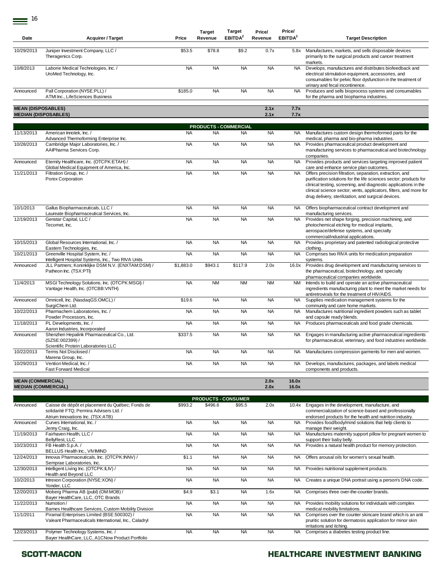$\equiv$  <sup>16</sup>

| Date                                                   | <b>Acquirer / Target</b>                                                                                                         | Price     | <b>Target</b><br>Revenue     | <b>Target</b><br>EBITDA <sup>2</sup> | Price/<br>Revenue | Price/<br>EBITDA <sup>2</sup> | <b>Target Description</b>                                                                                                                                                                                                                                                                                                                                                |
|--------------------------------------------------------|----------------------------------------------------------------------------------------------------------------------------------|-----------|------------------------------|--------------------------------------|-------------------|-------------------------------|--------------------------------------------------------------------------------------------------------------------------------------------------------------------------------------------------------------------------------------------------------------------------------------------------------------------------------------------------------------------------|
| 10/29/2013                                             | Juniper Investment Company, LLC /<br>Theragenics Corp.                                                                           | \$53.5    | \$78.8                       | \$9.2                                | 0.7x              | 5.8x                          | Manufactures, markets, and sells disposable devices<br>primarily to the surgical products and cancer treatment                                                                                                                                                                                                                                                           |
| 10/8/2013                                              | Laborie Medical Technologies, Inc. /<br>UroMed Technology, Inc.                                                                  | <b>NA</b> | <b>NA</b>                    | <b>NA</b>                            | <b>NA</b>         | <b>NA</b>                     | markets.<br>Develops, manufactures and distributes biofeedback and<br>electrical stimulation equipment, accessories, and<br>consumables for pelvic floor dysfunction in the treatment of<br>urinary and fecal incontinence.                                                                                                                                              |
| Announced                                              | Pall Corporation (NYSE:PLL) /<br>ATMI Inc., LifeSciences Business                                                                | \$185.0   | <b>NA</b>                    | <b>NA</b>                            | <b>NA</b>         | <b>NA</b>                     | Produces and sells bioprocess systems and consumables<br>for the pharma and biopharma industries.                                                                                                                                                                                                                                                                        |
| <b>MEAN (DISPOSABLES)</b>                              | <b>MEDIAN (DISPOSABLES)</b>                                                                                                      |           |                              |                                      | 2.1x<br>2.1x      | 7.7x<br>7.7x                  |                                                                                                                                                                                                                                                                                                                                                                          |
|                                                        |                                                                                                                                  |           | <b>PRODUCTS - COMMERCIAL</b> |                                      |                   |                               |                                                                                                                                                                                                                                                                                                                                                                          |
| 11/13/2013                                             | American Innotek, Inc. /<br>Advanced Thermoforming Enterprise Inc.                                                               | <b>NA</b> | <b>NA</b>                    | <b>NA</b>                            | <b>NA</b>         | NA.                           | Manufactures custom design thermoformed parts for the<br>medical, pharma and bio-pharma industries.                                                                                                                                                                                                                                                                      |
| 10/28/2013                                             | Cambridge Major Laboratories, Inc. /<br>AAIPharma Services Corp.                                                                 | <b>NA</b> | <b>NA</b>                    | <b>NA</b>                            | <b>NA</b>         | <b>NA</b>                     | Provides pharmaceutical product development and<br>manufacturing services to pharmaceutical and biotechnology<br>companies.                                                                                                                                                                                                                                              |
| Announced                                              | Eternity Healthcare, Inc. (OTCPK:ETAH) /                                                                                         | <b>NA</b> | <b>NA</b>                    | <b>NA</b>                            | <b>NA</b>         | <b>NA</b>                     | Provides products and services targeting improved patient                                                                                                                                                                                                                                                                                                                |
| 11/21/2013                                             | Global Medical Equipment of America, Inc.<br>Filtration Group, Inc. /<br>Porex Corporation                                       | <b>NA</b> | <b>NA</b>                    | <b>NA</b>                            | <b>NA</b>         | <b>NA</b>                     | care and enhance service plan outcomes.<br>Offers precision filtration, separation, extraction, and<br>purification solutions for the life sciences sector; products for<br>clinical testing, screening, and diagnostic applications in the<br>clinical science sector; vents, applicators, filters, and more for<br>drug delivery, sterilization, and surgical devices. |
| 10/1/2013                                              | Gallus Biopharmaceuticals, LLC /<br>Laureate Biopharmaceutical Services, Inc.                                                    | <b>NA</b> | <b>NA</b>                    | <b>NA</b>                            | <b>NA</b>         | <b>NA</b>                     | Offers biopharmaceutical contract development and<br>manufacturing services.                                                                                                                                                                                                                                                                                             |
| 12/19/2013                                             | Genstar Capital, LLC /<br>Tecomet, Inc.                                                                                          | <b>NA</b> | <b>NA</b>                    | <b>NA</b>                            | <b>NA</b>         | <b>NA</b>                     | Provides net shape forging, precision machining, and<br>photochemical etching for medical implants,<br>aerospace/defense systems, and specialty<br>commercial/industrial applications.                                                                                                                                                                                   |
| 10/15/2013                                             | Global Resources International, Inc. /<br>Eastern Technologies, Inc.                                                             | <b>NA</b> | <b>NA</b>                    | <b>NA</b>                            | <b>NA</b>         | <b>NA</b>                     | Provides proprietary and patented radiological protective<br>clothing.                                                                                                                                                                                                                                                                                                   |
| 10/21/2013                                             | Greenville Hospital System, Inc. /<br>Intelligent Hospital Systems, Inc., Two RIVA Units                                         | <b>NA</b> | <b>NA</b>                    | <b>NA</b>                            | <b>NA</b>         | <b>NA</b>                     | Comprises two RIVA units for medication preparation<br>systems.                                                                                                                                                                                                                                                                                                          |
| Announced                                              | JLL Partners; Koninklijke DSM N.V. (ENXTAM:DSM) /<br>Patheon Inc. (TSX:PTI)                                                      | \$1,883.0 | \$943.1                      | \$117.9                              | 2.0x              | 16.0x                         | Provides drug development and manufacturing services to<br>the pharmaceutical, biotechnology, and specialty<br>pharmaceutical companies worldwide.                                                                                                                                                                                                                       |
| 11/4/2013                                              | MSGI Technology Solutions, Inc. (OTCPK:MSGI) /<br>Vantage Health, Inc. (OTCBB:VNTH)                                              | <b>NA</b> | <b>NM</b>                    | <b>NM</b>                            | <b>NM</b>         | <b>NM</b>                     | Intends to build and operate an active pharmaceutical<br>ingredients manufacturing plant to meet the market needs for<br>antiretrovirals for the treatment of HIV/AIDS.                                                                                                                                                                                                  |
| Announced                                              | Omnicell, Inc. (NasdaqGS:OMCL) /<br>SurgiChem Ltd.                                                                               | \$19.6    | <b>NA</b>                    | <b>NA</b>                            | <b>NA</b>         | <b>NA</b>                     | Supplies medication management systems for the<br>community and care home markets.                                                                                                                                                                                                                                                                                       |
| 10/22/2013                                             | Pharmachem Laboratories, Inc. /<br>Powder Processors, Inc.                                                                       | <b>NA</b> | <b>NA</b>                    | <b>NA</b>                            | <b>NA</b>         | <b>NA</b>                     | Manufactures nutritional ingredient powders such as tablet<br>and capsule ready blends.                                                                                                                                                                                                                                                                                  |
| 11/18/2013                                             | PL Developments, Inc. /<br>Aaron Industries, Incorporated                                                                        | <b>NA</b> | <b>NA</b>                    | <b>NA</b>                            | <b>NA</b>         | <b>NA</b>                     | Produces pharmaceuticals and food grade chemicals.                                                                                                                                                                                                                                                                                                                       |
| Announced                                              | Shenzhen Hepalink Pharmaceutical Co., Ltd.<br>(SZSE:002399) /<br>Scientific Protein Laboratories LLC                             | \$337.5   | <b>NA</b>                    | <b>NA</b>                            | <b>NA</b>         | NA                            | Engages in manufacturing active pharmaceutical ingredients<br>for pharmaceutical, veterinary, and food industries worldwide.                                                                                                                                                                                                                                             |
| 10/22/2013                                             | Terms Not Disclosed /                                                                                                            | NA        | NA                           | NA.                                  | NA.               | NA.                           | Manufactures compression garments for men and women.                                                                                                                                                                                                                                                                                                                     |
| 10/29/2013                                             | Marena Group, Inc.<br>Vention Medical, Inc. /<br><b>Fast Forward Medical</b>                                                     | <b>NA</b> | <b>NA</b>                    | <b>NA</b>                            | <b>NA</b>         | <b>NA</b>                     | Develops, manufactures, packages, and labels medical<br>components and products.                                                                                                                                                                                                                                                                                         |
| <b>MEAN (COMMERCIAL)</b><br><b>MEDIAN (COMMERCIAL)</b> |                                                                                                                                  |           |                              |                                      | 2.0x<br>2.0x      | 16.0x<br>16.0x                |                                                                                                                                                                                                                                                                                                                                                                          |
|                                                        |                                                                                                                                  |           | <b>PRODUCTS - CONSUMER</b>   |                                      |                   |                               |                                                                                                                                                                                                                                                                                                                                                                          |
| Announced                                              | Caisse de dépôt et placement du Québec; Fonds de<br>solidarité FTQ; Permira Advisers Ltd. /<br>Atrium Innovations Inc. (TSX:ATB) | \$993.2   | \$496.6                      | \$95.5                               | 2.0x              | 10.4x                         | Engages in the development, manufacture, and<br>commercialization of science-based and professionally<br>endorsed products for the health and nutrition industry.                                                                                                                                                                                                        |
| Announced                                              | Curves International, Inc. /<br>Jenny Craig, Inc.                                                                                | <b>NA</b> | <b>NA</b>                    | <b>NA</b>                            | <b>NA</b>         | <b>NA</b>                     | Provides food/body/mind solutions that help clients to<br>manage their weight.                                                                                                                                                                                                                                                                                           |
| 11/19/2013                                             | Fairhaven Health, LLC /<br>BellyRest, LLC                                                                                        | <b>NA</b> | <b>NA</b>                    | <b>NA</b>                            | <b>NA</b>         | <b>NA</b>                     | Manufactures maternity support pillow for pregnant women to<br>support their baby belly.                                                                                                                                                                                                                                                                                 |
| 10/23/2013                                             | FB Health S.p.A./<br>BELLUS Health Inc., VIVIMIND                                                                                | <b>NA</b> | <b>NA</b>                    | <b>NA</b>                            | <b>NA</b>         | NA                            | Provides a natural health product for memory protection.                                                                                                                                                                                                                                                                                                                 |
| 12/24/2013                                             | Innovus Pharmaceuticals, Inc. (OTCPK:INNV) /<br>Semprae Laboratories, Inc.                                                       | \$1.1     | <b>NA</b>                    | <b>NA</b>                            | <b>NA</b>         | NA                            | Offers arousal oils for women's sexual health.                                                                                                                                                                                                                                                                                                                           |
| 12/30/2013                                             | Intelligent Living Inc. (OTCPK:ILIV) /<br>Health and Beyond LLC                                                                  | <b>NA</b> | <b>NA</b>                    | <b>NA</b>                            | <b>NA</b>         | NA                            | Provides nutritional supplement products.                                                                                                                                                                                                                                                                                                                                |
| 10/2/2013                                              | Intrexon Corporation (NYSE:XON) /<br>Yonder, LLC                                                                                 | <b>NA</b> | <b>NA</b>                    | <b>NA</b>                            | <b>NA</b>         | NA                            | Creates a unique DNA portrait using a person's DNA code.                                                                                                                                                                                                                                                                                                                 |
| 12/20/2013                                             | Moberg Pharma AB (publ) (OM:MOB) /<br>Bayer HealthCare, LLC, OTC Brands                                                          | \$4.9     | \$3.1                        | <b>NA</b>                            | 1.6x              | NA                            | Comprises three over-the-counter brands.                                                                                                                                                                                                                                                                                                                                 |
| 11/22/2013                                             | Numotion /<br>Barnes Healthcare Services, Custom Mobility Division                                                               | <b>NA</b> | <b>NA</b>                    | <b>NA</b>                            | <b>NA</b>         | NA.                           | Provides mobility solutions for individuals with complex<br>medical mobility limitations.                                                                                                                                                                                                                                                                                |
| 11/1/2011                                              | Piramal Enterprises Limited (BSE:500302) /<br>Valeant Pharmaceuticals International, Inc., Caladryl                              | <b>NA</b> | <b>NA</b>                    | <b>NA</b>                            | <b>NA</b>         | <b>NA</b>                     | Comprises over the counter skincare brand which is an anti<br>pruritic solution for dermatosis application for minor skin<br>irritations and itching.                                                                                                                                                                                                                    |
| 12/23/2013                                             | Polymer Technology Systems, Inc. /<br>Bayer HealthCare, LLC, A1CNow Product Portfolio                                            | <b>NA</b> | <b>NA</b>                    | <b>NA</b>                            | <b>NA</b>         | <b>NA</b>                     | Comprises a diabetes testing product line.                                                                                                                                                                                                                                                                                                                               |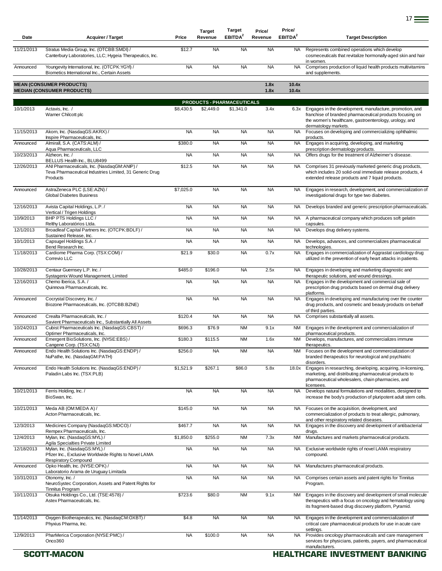| Date       | <b>Acquirer / Target</b>                                                                                                   | Price     | <b>Target</b><br>Revenue   | Target<br>EBITDA <sup>2</sup> | Price/<br>Revenue | Price/<br>EBITDA <sup>2</sup> | <b>Target Description</b>                                                                                                                                                                             |
|------------|----------------------------------------------------------------------------------------------------------------------------|-----------|----------------------------|-------------------------------|-------------------|-------------------------------|-------------------------------------------------------------------------------------------------------------------------------------------------------------------------------------------------------|
| 11/21/2013 | Stratus Media Group, Inc. (OTCBB:SMDI) /<br>Canterbury Laboratories, LLC; Hygeia Therapeutics, Inc.                        | \$12.7    | <b>NA</b>                  | <b>NA</b>                     | <b>NA</b>         | NA.                           | Represents combined operations which develop<br>cosmeceuticals that revitalize hormonally-aged skin and hair<br>in women.                                                                             |
| Announced  | Youngevity International, Inc. (OTCPK:YGYI) /<br>Biometics International Inc., Certain Assets                              | <b>NA</b> | <b>NA</b>                  | <b>NA</b>                     | <b>NA</b>         | NA.                           | Comprises production of liquid health products multivitamins<br>and supplements.                                                                                                                      |
|            | <b>MEAN (CONSUMER PRODUCTS)</b><br><b>MEDIAN (CONSUMER PRODUCTS)</b>                                                       |           |                            |                               | 1.8x<br>1.8x      | 10.4x<br>10.4x                |                                                                                                                                                                                                       |
|            |                                                                                                                            |           | PRODUCTS - PHARMACEUTICALS |                               |                   |                               |                                                                                                                                                                                                       |
| 10/1/2013  | Actavis, Inc. /<br>Warner Chilcott plc                                                                                     | \$8,430.5 | \$2,449.0                  | \$1,341.0                     | 3.4x              | 6.3x                          | Engages in the development, manufacture, promotion, and<br>franchise of branded pharmaceutical products focusing on<br>the women's healthcare, gastroenterology, urology, and<br>dermatology markets. |
| 11/15/2013 | Akorn, Inc. (NasdaqGS:AKRX) /<br>Inspire Pharmaceuticals, Inc.                                                             | <b>NA</b> | <b>NA</b>                  | <b>NA</b>                     | <b>NA</b>         | NA.                           | Focuses on developing and commercializing ophthalmic<br>products.                                                                                                                                     |
| Announced  | Almirall, S.A. (CATS:ALM) /<br>Aqua Pharmaceuticals, LLC                                                                   | \$380.0   | <b>NA</b>                  | <b>NA</b>                     | <b>NA</b>         | <b>NA</b>                     | Engages in acquiring, developing, and marketing<br>prescription dermatology products.                                                                                                                 |
| 10/23/2013 | Alzheon, Inc. /<br>BELLUS Health Inc., BLU8499                                                                             | <b>NA</b> | <b>NA</b>                  | <b>NA</b>                     | <b>NA</b>         | NA                            | Offers drugs for the treatment of Alzheimer's disease.                                                                                                                                                |
| 12/26/2013 | ANI Pharmaceuticals, Inc. (NasdaqGM:ANIP) /<br>Teva Pharmaceutical Industries Limited, 31 Generic Drug<br>Products         | \$12.5    | <b>NA</b>                  | <b>NA</b>                     | <b>NA</b>         | <b>NA</b>                     | Comprises 31 previously marketed generic drug products,<br>which includes 20 solid-oral immediate release products, 4<br>extended release products and 7 liquid products.                             |
| Announced  | AstraZeneca PLC (LSE:AZN) /<br><b>Global Diabetes Business</b>                                                             | \$7,025.0 | <b>NA</b>                  | <b>NA</b>                     | <b>NA</b>         | NA                            | Engages in research, development, and commercialization of<br>investigational drugs for type two diabetes.                                                                                            |
| 12/16/2013 | Avista Capital Holdings, L.P./<br>Vertical / Trigen Holdings                                                               | <b>NA</b> | <b>NA</b>                  | <b>NA</b>                     | <b>NA</b>         | <b>NA</b>                     | Develops branded and generic prescription pharmaceuticals.                                                                                                                                            |
| 10/9/2013  | BHP PTS Holdings LLC /                                                                                                     | <b>NA</b> | <b>NA</b>                  | <b>NA</b>                     | <b>NA</b>         | NA.                           | A pharmaceutical company which produces soft gelatin                                                                                                                                                  |
| 12/1/2013  | Relthy Laboratórios Ltda.<br>Broadleaf Capital Partners Inc. (OTCPK:BDLF) /                                                | <b>NA</b> | <b>NA</b>                  | <b>NA</b>                     | <b>NA</b>         | <b>NA</b>                     | capsules.<br>Develops drug delivery systems.                                                                                                                                                          |
| 10/1/2013  | Sustained Release, Inc.<br>Capsugel Holdings S.A. /                                                                        | <b>NA</b> | <b>NA</b>                  | <b>NA</b>                     | <b>NA</b>         | NA                            | Develops, advances, and commercializes pharmaceutical                                                                                                                                                 |
| 11/18/2013 | Bend Research Inc.<br>Cardiome Pharma Corp. (TSX:COM) /<br>Correvio LLC                                                    | \$21.9    | \$30.0                     | <b>NA</b>                     | 0.7x              | <b>NA</b>                     | technologies.<br>Engages in commercialization of Aggrastat cardiology drug<br>utilized in the prevention of early heart attacks in patients.                                                          |
| 10/28/2013 | Centaur Guernsey L.P. Inc. /                                                                                               | \$485.0   | \$196.0                    | <b>NA</b>                     | 2.5x              | NA.                           | Engages in developing and marketing diagnostic and                                                                                                                                                    |
| 12/16/2013 | Systagenix Wound Management, Limited<br>Chemo Iberica, S.A./<br>Quinnova Pharmaceuticals, Inc.                             | <b>NA</b> | <b>NA</b>                  | <b>NA</b>                     | <b>NA</b>         | <b>NA</b>                     | therapeutic solutions, and wound dressings.<br>Engages in the development and commercial sale of<br>prescription drug products based on dermal drug delivery                                          |
| Announced  | Cocrystal Discovery, Inc. /<br>Biozone Pharmaceuticals, Inc. (OTCBB:BZNE)                                                  | <b>NA</b> | <b>NA</b>                  | <b>NA</b>                     | <b>NA</b>         | <b>NA</b>                     | platforms.<br>Engages in developing and manufacturing over the counter<br>drug products, and cosmetic and beauty products on behalf                                                                   |
| Announced  | Crealta Pharmaceuticals, Inc. /                                                                                            | \$120.4   | <b>NA</b>                  | <b>NA</b>                     | <b>NA</b>         | <b>NA</b>                     | of third parties.<br>Comprises substantially all assets.                                                                                                                                              |
| 10/24/2013 | Savient Pharmaceuticals Inc., Substantially All Assets<br>Cubist Pharmaceuticals Inc. (NasdaqGS:CBST) /                    | \$696.3   | \$76.9                     | <b>NM</b>                     | 9.1x              | NM                            | Engages in the development and commercialization of                                                                                                                                                   |
| Announced  | Optimer Pharmaceuticals, Inc.<br>Emergent BioSolutions, Inc. (NYSE:EBS) /                                                  | \$180.3   | \$115.5                    | <b>NM</b>                     | 1.6x              | <b>NM</b>                     | pharmaceutical products.<br>Develops, manufactures, and commercializes immune                                                                                                                         |
| Announced  | Cangene Corp. (TSX:CNJ)<br>Endo Health Solutions Inc. (NasdaqGS:ENDP) /                                                    | \$256.0   | <b>NA</b>                  | <b>NM</b>                     | <b>NA</b>         | <b>NM</b>                     | therapeutics.<br>Focuses on the development and commercialization of                                                                                                                                  |
|            | NuPathe, Inc. (NasdaqGM:PATH)                                                                                              |           |                            |                               |                   |                               | branded therapeutics for neurological and psychiatric<br>disorders.                                                                                                                                   |
| Announced  | Endo Health Solutions Inc. (NasdaqGS:ENDP) /<br>Paladin Labs Inc. (TSX:PLB)                                                | \$1,521.9 | \$267.1                    | \$86.0                        | 5.8x              | 18.0x                         | Engages in researching, developing, acquiring, in-licensing,<br>marketing, and distributing pharmaceutical products to<br>pharmaceutical wholesalers, chain pharmacies, and<br>licensees.             |
| 10/21/2013 | Ferris Holding, Inc. /<br>BioSwan, Inc.                                                                                    | <b>NA</b> | <b>NA</b>                  | <b>NA</b>                     | <b>NA</b>         | NA.                           | Develops natural formulations and modalities, designed to<br>increase the body's production of pluripotent adult stem cells.                                                                          |
| 10/21/2013 | Meda AB (OM:MEDA A) /<br>Acton Pharmaceuticals, Inc.                                                                       | \$145.0   | <b>NA</b>                  | <b>NA</b>                     | <b>NA</b>         | NA.                           | Focuses on the acquisition, development, and<br>commercialization of products to treat allergic, pulmonary,<br>and other respiratory related diseases.                                                |
| 12/3/2013  | Medicines Company (NasdaqGS:MDCO) /<br>Rempex Pharmaceuticals, Inc.                                                        | \$467.7   | <b>NA</b>                  | <b>NA</b>                     | <b>NA</b>         | NA                            | Engages in the discovery and development of antibacterial<br>drugs.                                                                                                                                   |
| 12/4/2013  | Mylan, Inc. (NasdaqGS:MYL) /                                                                                               | \$1,850.0 | \$255.0                    | <b>NM</b>                     | 7.3x              | NM                            | Manufactures and markets pharmaceutical products.                                                                                                                                                     |
| 12/18/2013 | Agila Specialties Private Limited<br>Mylan, Inc. (NasdaqGS:MYL) /<br>Pfizer Inc., Exclusive Worldwide Rights to Novel LAMA | <b>NA</b> | <b>NA</b>                  | <b>NA</b>                     | <b>NA</b>         | NA                            | Exclusive worldwide rights of novel LAMA respiratory<br>compound.                                                                                                                                     |
| Announced  | <b>Respiratory Compound</b><br>Opko Health, Inc. (NYSE:OPK) /<br>Laboratorio Arama de Uruguay Limitada                     | <b>NA</b> | <b>NA</b>                  | <b>NA</b>                     | <b>NA</b>         | <b>NA</b>                     | Manufactures pharmaceutical products.                                                                                                                                                                 |
| 10/31/2013 | Otonomy, Inc./<br>NeuroSystec Corporation, Assets and Patent Rights for                                                    | <b>NA</b> | <b>NA</b>                  | <b>NA</b>                     | <b>NA</b>         | NA                            | Comprises certain assets and patent rights for Tinnitus<br>Program.                                                                                                                                   |
| 10/11/2013 | Tinnitus Program<br>Otsuka Holdings Co., Ltd. (TSE:4578) /<br>Astex Pharmaceuticals, Inc.                                  | \$723.6   | \$80.0                     | <b>NM</b>                     | 9.1x              | NM                            | Engages in the discovery and development of small molecule<br>therapeutics with a focus on oncology and hematology using<br>its fragment-based drug discovery platform, Pyramid.                      |
| 11/14/2013 | Oxygen Biotherapeutics, Inc. (NasdaqCM:OXBT) /<br>Phyxius Pharma, Inc.                                                     | \$4.8     | <b>NA</b>                  | <b>NA</b>                     | <b>NA</b>         | NA                            | Engages in the development and commercialization of<br>critical care pharmaceutical products for use in acute care<br>settings.                                                                       |
| 12/9/2013  | PharMerica Corporation (NYSE:PMC) /<br>Onco360                                                                             | <b>NA</b> | \$100.0                    | <b>NA</b>                     | <b>NA</b>         | NA.                           | Provides oncology pharmaceuticals and care management<br>services for physicians, patients, payers, and pharmaceutical<br>manufacturers.                                                              |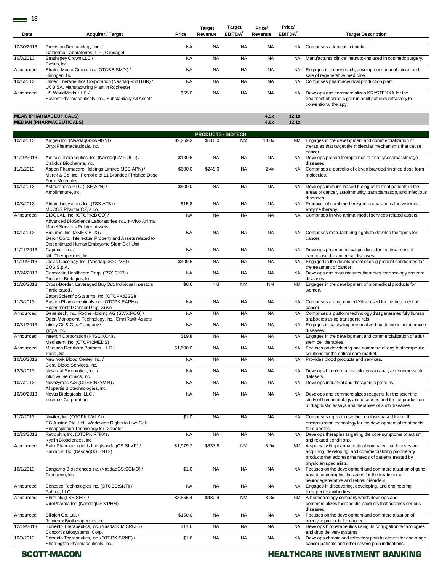$- 18$ 

|            |                                                                                                                                                        |           | <b>Target</b>             | Target              | Price/       | Price/              |                                                                                                                                                                            |
|------------|--------------------------------------------------------------------------------------------------------------------------------------------------------|-----------|---------------------------|---------------------|--------------|---------------------|----------------------------------------------------------------------------------------------------------------------------------------------------------------------------|
| Date       | <b>Acquirer / Target</b>                                                                                                                               | Price     | Revenue                   | EBITDA <sup>2</sup> | Revenue      | EBITDA <sup>2</sup> | <b>Target Description</b>                                                                                                                                                  |
| 10/30/2013 | Precision Dermatology, Inc. /                                                                                                                          | <b>NA</b> | <b>NA</b>                 | <b>NA</b>           | <b>NA</b>    | NA.                 | Comprises a topical antibiotic.                                                                                                                                            |
|            | Galderma Laboratories, L.P., Clindagel                                                                                                                 |           |                           |                     |              |                     |                                                                                                                                                                            |
| 10/3/2013  | Strathspey Crown LLC /<br>Evolus, Inc.                                                                                                                 | <b>NA</b> | <b>NA</b>                 | <b>NA</b>           | <b>NA</b>    | <b>NA</b>           | Manufactures clinical neurotoxins used in cosmetic surgery.                                                                                                                |
| Announced  | Stratus Media Group, Inc. (OTCBB:SMDI) /<br>Histogen, Inc.                                                                                             | <b>NA</b> | <b>NA</b>                 | <b>NA</b>           | <b>NA</b>    | NA.                 | Engages in the research, development, manufacture, and<br>sale of regenerative medicine.                                                                                   |
| 10/1/2013  | United Therapeutics Corporation (NasdaqGS:UTHR) /<br>UCB SA, Manufacturing Plant In Rochester                                                          | <b>NA</b> | <b>NA</b>                 | <b>NA</b>           | <b>NA</b>    | NA                  | Comprises pharmaceutical production plant.                                                                                                                                 |
| Announced  | US WorldMeds, LLC /<br>Savient Pharmaceuticals, Inc., Substantially All Assets                                                                         | \$55.0    | <b>NA</b>                 | <b>NA</b>           | <b>NA</b>    | <b>NA</b>           | Develops and commercializes KRYSTEXXA for the<br>treatment of chronic gout in adult patients refractory to<br>conventional therapy.                                        |
|            | <b>MEAN (PHARMACEUTICALS)</b><br><b>MEDIAN (PHARMACEUTICALS)</b>                                                                                       |           |                           |                     | 4.9x<br>4.6x | 12.1x<br>12.1x      |                                                                                                                                                                            |
|            |                                                                                                                                                        |           | <b>PRODUCTS - BIOTECH</b> |                     |              |                     |                                                                                                                                                                            |
| 10/1/2013  | Amgen Inc. (NasdaqGS:AMGN) /<br>Onyx Pharmaceuticals, Inc.                                                                                             | \$9,259.3 | \$516.0                   | <b>NM</b>           | 18.0x        | NM                  | Engages in the development and commercialization of<br>therapies that target the molecular mechanisms that cause<br>cancer.                                                |
| 11/19/2013 | Amicus Therapeutics, Inc. (NasdaqGM:FOLD) /                                                                                                            | \$130.6   | <b>NA</b>                 | <b>NA</b>           | <b>NA</b>    | <b>NA</b>           | Develops protein therapeutics to treat lysosomal storage                                                                                                                   |
| 11/1/2013  | Callidus Biopharma, Inc.<br>Aspen Pharmacare Holdings Limited (JSE:APN) /<br>Merck & Co. Inc., Portfolio of 11 Branded Finished Dose<br>Form Molecules | \$600.0   | \$248.0                   | <b>NA</b>           | 2.4x         | <b>NA</b>           | diseases.<br>Comprises a portfolio of eleven branded finished dose form<br>molecules.                                                                                      |
| 10/4/2013  | AstraZeneca PLC (LSE:AZN) /<br>Amplimmune, Inc.                                                                                                        | \$500.0   | <b>NA</b>                 | <b>NA</b>           | <b>NA</b>    | NA                  | Develops immune-based biologics to treat patients in the<br>areas of cancer, autoimmunity, transplantation, and infectious<br>diseases.                                    |
| 10/8/2013  | Atrium Innovations Inc. (TSX:ATB) /<br>MUCOS Pharma CZ, s.r.o.                                                                                         | \$15.8    | <b>NA</b>                 | <b>NA</b>           | <b>NA</b>    | <b>NA</b>           | Producer of combined enzyme preparations for systemic                                                                                                                      |
| Announced  | BIOQUAL, Inc. (OTCPK:BIOQ) /<br>Advanced BioScience Laboratories Inc., In-Vivo Animal<br>Model Services Related Assets                                 | <b>NA</b> | <b>NA</b>                 | <b>NA</b>           | <b>NA</b>    | <b>NA</b>           | enzyme therapy.<br>Comprises in-vivo animal model services-related assets.                                                                                                 |
| 10/1/2013  | BioTime, Inc. (AMEX:BTX) /<br>Geron Corp., Intellectual Property and Assets related to<br>Discontinued Human Embryonic Stem Cell Unit                  | <b>NA</b> | <b>NA</b>                 | <b>NA</b>           | <b>NA</b>    | NA                  | Comprises manufacturing rights to develop therapies for<br>cancer.                                                                                                         |
| 11/21/2013 | Capricor, Inc. /                                                                                                                                       | <b>NA</b> | <b>NA</b>                 | <b>NA</b>           | <b>NA</b>    | <b>NA</b>           | Develops pharmaceutical products for the treatment of                                                                                                                      |
| 11/19/2013 | Nile Therapeutics, Inc.<br>Clovis Oncology, Inc. (NasdaqGS:CLVS) /                                                                                     | \$409.6   | <b>NA</b>                 | <b>NA</b>           | <b>NA</b>    | <b>NA</b>           | cardiovascular and renal diseases.<br>Engaged in the development of drug product candidates for                                                                            |
| 12/24/2013 | EOS S.p.A.<br>Concordia Healthcare Corp. (TSX:CXR) /                                                                                                   | <b>NA</b> | <b>NA</b>                 | <b>NA</b>           | <b>NA</b>    | <b>NA</b>           | the treatment of cancer.<br>Develops and manufactures therapies for oncology and rare                                                                                      |
| 11/26/2013 | Pinnacle Biologics, Inc.<br>Cross-Border, Leveraged Buy Out, Individual Investors                                                                      | \$0.6     | <b>NM</b>                 | <b>NM</b>           | <b>NM</b>    | <b>NM</b>           | diseases.<br>Engages in the development of biomedical products for                                                                                                         |
|            | Participated /                                                                                                                                         |           |                           |                     |              |                     | women.                                                                                                                                                                     |
| 11/6/2013  | Eaton Scientific Systems, Inc. (OTCPK:ESSI)<br>Easton Pharmaceuticals Inc. (OTCPK:EAPH) /                                                              | <b>NA</b> | <b>NA</b>                 | <b>NA</b>           | <b>NA</b>    | <b>NA</b>           | Comprises a drug named Xilive used for the treatment of                                                                                                                    |
| Announced  | Experimental Cancer Drug: Xilive<br>Genentech, Inc.; Roche Holding AG (SWX:ROG) /                                                                      | <b>NA</b> | <b>NA</b>                 | <b>NA</b>           | <b>NA</b>    | NA                  | cancer.<br>Comprises a platform technology that generates fully human                                                                                                      |
| 10/31/2013 | Open Monoclonal Technology, Inc., OmniRat® Assets<br>Infinity Oil & Gas Company /                                                                      | <b>NA</b> | <b>NA</b>                 | <b>NA</b>           | <b>NA</b>    | <b>NA</b>           | antibodies using transgenic rats.<br>Engages in catalyzing personalized medicine in autoimmune                                                                             |
|            | Ignyta, Inc.                                                                                                                                           |           |                           |                     |              |                     | diseases.                                                                                                                                                                  |
| Announced  | Intrexon Corporation (NYSE:XON) /<br>Medistem, Inc. (OTCPK:MEDS)                                                                                       | \$19.8    | <b>NA</b>                 | <b>NA</b>           | <b>NA</b>    | NA                  | Engages in the development and commercialization of adult<br>stem cell therapies.                                                                                          |
| Announced  | Madison Dearborn Partners, LLC /<br>Ikaria, Inc.                                                                                                       | \$1,600.0 | <b>NA</b>                 | <b>NA</b>           | <b>NA</b>    | NA.                 | Focuses on developing and commercializing biotherapeutic<br>solutions for the critical care market.                                                                        |
| 10/10/2013 | New York Blood Center, Inc. /                                                                                                                          | <b>NA</b> | <b>NA</b>                 | <b>NA</b>           | <b>NA</b>    | <b>NA</b>           | Provides blood products and services.                                                                                                                                      |
| 12/6/2013  | Coral Blood Services, Inc.<br>NewLeaf Symbiotics, Inc. /                                                                                               | <b>NA</b> | <b>NA</b>                 | <b>NA</b>           | <b>NA</b>    | NA                  | Develops bioinformatics solutions to analyze genome-scale                                                                                                                  |
| 10/7/2013  | Intuitive Genomics, Inc.<br>Novozymes A/S (CPSE:NZYM B) /                                                                                              | <b>NA</b> | <b>NA</b>                 | <b>NA</b>           | <b>NA</b>    | NA                  | datasets.<br>Develops industrial and therapeutic proteins.                                                                                                                 |
| 10/30/2013 | Allopartis Biotechnologies, Inc.<br>Novus Biologicals, LLC /                                                                                           | <b>NA</b> | <b>NA</b>                 | <b>NA</b>           | <b>NA</b>    | NA                  | Develops and commercializes reagents for the scientific                                                                                                                    |
|            | Imgenex Corporation                                                                                                                                    |           |                           |                     |              |                     | study of human biology and diseases and for the production<br>of diagnostic assays and therapies of such diseases.                                                         |
| 11/7/2013  | Nuvilex, Inc. (OTCPK:NVLX) /<br>SG Austria Pte. Ltd., Worldwide Rights to Live-Cell<br><b>Encapsulation Technology for Diabetes</b>                    | \$1.0     | <b>NA</b>                 | <b>NA</b>           | <b>NA</b>    | <b>NA</b>           | Comprises rights to use the cellulose-based live-cell<br>encapsulation technology for the development of treatments<br>for diabetes.                                       |
| 12/23/2013 | Retrophin, Inc. (OTCPK:RTRX) /<br>Kyalin Biosciences, Inc.                                                                                             | <b>NA</b> | <b>NA</b>                 | <b>NA</b>           | <b>NA</b>    | <b>NA</b>           | Develops therapies targeting the core symptoms of autism<br>and related conditions.                                                                                        |
| Announced  | Salix Pharmaceuticals Ltd. (NasdaqGS:SLXP) /<br>Santarus, Inc. (NasdaqGS:SNTS)                                                                         | \$1,979.7 | \$337.8                   | <b>NM</b>           | 5.9x         | <b>NM</b>           | A specialty biopharmaceutical company, that focuses on<br>acquiring, developing, and commercializing proprietary<br>products that address the needs of patients treated by |
| 10/1/2013  | Sangamo Biosciences Inc. (NasdaqGS:SGMO) /<br>Ceregene, Inc.                                                                                           | \$1.0     | <b>NA</b>                 | <b>NA</b>           | <b>NA</b>    | <b>NA</b>           | physician specialists.<br>Focuses on the development and commercialization of gene-<br>based neurotrophic therapies for the treatment of                                   |
| Announced  | Senesco Technologies Inc. (OTCBB:SNTI) /                                                                                                               | <b>NA</b> | <b>NA</b>                 | <b>NA</b>           | <b>NA</b>    | <b>NA</b>           | neurodegenerative and retinal disorders.<br>Engages in discovering, developing, and engineering                                                                            |
| Announced  | Fabrus, LLC<br>Shire plc (LSE:SHP) /<br>ViroPharma Inc. (NasdaqGS:VPHM)                                                                                | \$3,555.4 | \$430.4                   | <b>NM</b>           | 8.3x         | <b>NM</b>           | therapeutic antibodies.<br>A biotechnology company which develops and<br>commercializes therapeutic products that address serious                                          |
| Announced  | Sillajen Co. Ltd. /                                                                                                                                    | \$150.0   | <b>NA</b>                 | <b>NA</b>           | <b>NA</b>    | <b>NA</b>           | diseases.<br>Focuses on the development and commercialization of                                                                                                           |
| 12/19/2013 | Jennerex Biotherapeutics, Inc.<br>Sorrento Therapeutics, Inc. (NasdaqCM:SRNE) /                                                                        | \$11.6    | <b>NA</b>                 | <b>NA</b>           | <b>NA</b>    | NA                  | oncolytic products for cancer.<br>Develops biotherapeutics using its conjugation technologies                                                                              |
| 10/9/2013  | Concortis Biosystems, Corp.<br>Sorrento Therapeutics, Inc. (OTCPK:SRNE) /                                                                              | \$1.6     | <b>NA</b>                 | <b>NA</b>           | <b>NA</b>    | NA                  | and drug delivery systems.<br>Develops chronic and refractory pain treatment for end-stage                                                                                 |
|            | Sherrington Pharmaceuticals, Inc.                                                                                                                      |           |                           |                     |              |                     | cancer patients and other severe pain indications.                                                                                                                         |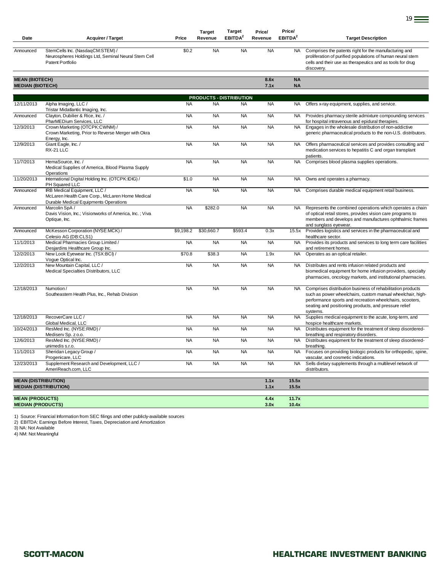|                                                            |                                                                                                                          |           | <b>Target</b> | <b>Target</b>                  | Price/       | Price/              |                                                                                                                                                                                                                                                           |
|------------------------------------------------------------|--------------------------------------------------------------------------------------------------------------------------|-----------|---------------|--------------------------------|--------------|---------------------|-----------------------------------------------------------------------------------------------------------------------------------------------------------------------------------------------------------------------------------------------------------|
| Date                                                       | <b>Acquirer / Target</b>                                                                                                 | Price     | Revenue       | <b>EBITDA</b>                  | Revenue      | EBITDA <sup>2</sup> | <b>Target Description</b>                                                                                                                                                                                                                                 |
| Announced                                                  | StemCells Inc. (NasdaqCM:STEM) /<br>Neurospheres Holdings Ltd, Seminal Neural Stem Cell<br>Patent Portfolio              | \$0.2     | <b>NA</b>     | <b>NA</b>                      | <b>NA</b>    | <b>NA</b>           | Comprises the patents right for the manufacturing and<br>proliferation of purified populations of human neural stem<br>cells and their use as therapeutics and as tools for drug<br>discovery.                                                            |
| <b>MEAN (BIOTECH)</b>                                      |                                                                                                                          |           |               |                                | 8.6x         | <b>NA</b>           |                                                                                                                                                                                                                                                           |
| <b>MEDIAN (BIOTECH)</b>                                    |                                                                                                                          |           |               |                                | 7.1x         | <b>NA</b>           |                                                                                                                                                                                                                                                           |
|                                                            |                                                                                                                          |           |               | <b>PRODUCTS - DISTRIBUTION</b> |              |                     |                                                                                                                                                                                                                                                           |
| 12/11/2013                                                 | Alpha Imaging, LLC /<br>Tristar Midatlantic Imaging, Inc.                                                                | <b>NA</b> | <b>NA</b>     | <b>NA</b>                      | <b>NA</b>    | NA.                 | Offers x-ray equipment, supplies, and service.                                                                                                                                                                                                            |
| Announced                                                  | Clayton, Dubilier & Rice, Inc. /<br>PharMEDium Services, LLC                                                             | <b>NA</b> | <b>NA</b>     | <b>NA</b>                      | <b>NA</b>    | <b>NA</b>           | Provides pharmacy sterile admixture compounding services<br>for hospital intravenous and epidural therapies.                                                                                                                                              |
| 12/3/2013                                                  | Crown Marketing (OTCPK:CWNM) /<br>Crown Marketing, Prior to Reverse Merger with Okra<br>Energy, Inc.                     | <b>NA</b> | <b>NA</b>     | <b>NA</b>                      | <b>NA</b>    | <b>NA</b>           | Engages in the wholesale distribution of non-addictive<br>generic pharmaceutical products to the non-U.S. distributors.                                                                                                                                   |
| 12/9/2013                                                  | Giant Eagle, Inc. /<br>RX-21 LLC                                                                                         | <b>NA</b> | <b>NA</b>     | <b>NA</b>                      | <b>NA</b>    | <b>NA</b>           | Offers pharmaceutical services and provides consulting and<br>medication services to hepatitis C and organ transplant<br>patients.                                                                                                                        |
| 11/7/2013                                                  | HemaSource, Inc. /<br>Medical Supplies of America, Blood Plasma Supply<br>Operations                                     | <b>NA</b> | <b>NA</b>     | <b>NA</b>                      | <b>NA</b>    | <b>NA</b>           | Comprises blood plasma supplies operations.                                                                                                                                                                                                               |
| 11/20/2013                                                 | International Digital Holding Inc. (OTCPK:IDIG) /<br>PH Squared LLC                                                      | \$1.0     | <b>NA</b>     | <b>NA</b>                      | <b>NA</b>    | <b>NA</b>           | Owns and operates a pharmacy.                                                                                                                                                                                                                             |
| Announced                                                  | IRB Medical Equipment, LLC /<br>McLaren Health Care Corp., McLaren Home Medical<br>Durable Medical Equipments Operations | <b>NA</b> | <b>NA</b>     | <b>NA</b>                      | <b>NA</b>    | <b>NA</b>           | Comprises durable medical equipment retail business.                                                                                                                                                                                                      |
| Announced                                                  | Marcolin SpA/<br>Davis Vision, Inc.; Visionworks of America, Inc.; Viva<br>Optique, Inc.                                 | <b>NA</b> | \$282.0       | <b>NA</b>                      | <b>NA</b>    | <b>NA</b>           | Represents the combined operations which operates a chain<br>of optical retail stores, provides vision care programs to<br>members and develops and manufactures ophthalmic frames<br>and sunglass eyewear.                                               |
| Announced                                                  | McKesson Corporation (NYSE:MCK) /<br>Celesio AG (DB:CLS1)                                                                | \$9,198.2 | \$30,660.7    | \$593.4                        | 0.3x         | 15.5x               | Provides logistics and services in the pharmaceutical and<br>healthcare sector.                                                                                                                                                                           |
| 11/1/2013                                                  | Medical Pharmacies Group Limited /<br>Desjardins Healthcare Group Inc.                                                   | <b>NA</b> | <b>NA</b>     | <b>NA</b>                      | <b>NA</b>    | <b>NA</b>           | Provides its products and services to long term care facilities<br>and retirement homes.                                                                                                                                                                  |
| 12/2/2013                                                  | New Look Eyewear Inc. (TSX:BCI) /<br>Voque Optical Inc.                                                                  | \$70.8    | \$38.3        | <b>NA</b>                      | 1.9x         | <b>NA</b>           | Operates as an optical retailer.                                                                                                                                                                                                                          |
| 12/2/2013                                                  | New Mountain Capital, LLC /<br>Medical Specialties Distributors, LLC                                                     | <b>NA</b> | <b>NA</b>     | <b>NA</b>                      | <b>NA</b>    | <b>NA</b>           | Distributes and rents infusion related products and<br>biomedical equipment for home infusion providers, specialty<br>pharmacies, oncology markets, and institutional pharmacies.                                                                         |
| 12/18/2013                                                 | Numotion /<br>Southeastern Health Plus, Inc., Rehab Division                                                             | <b>NA</b> | <b>NA</b>     | <b>NA</b>                      | <b>NA</b>    | <b>NA</b>           | Comprises distribution business of rehabilitation products<br>such as power wheelchairs, custom manual wheelchair, high-<br>performance sports and recreation wheelchairs, scooters,<br>seating and positioning products, and pressure relief<br>systems. |
| 12/18/2013                                                 | RecoverCare LLC /<br>Global Medical, LLC                                                                                 | <b>NA</b> | <b>NA</b>     | <b>NA</b>                      | <b>NA</b>    | <b>NA</b>           | Supplies medical equipment to the acute, long-term, and<br>hospice healthcare markets.                                                                                                                                                                    |
| 10/24/2013                                                 | ResMed Inc. (NYSE:RMD) /<br>Mediserv Sp. z o.o.                                                                          | <b>NA</b> | <b>NA</b>     | <b>NA</b>                      | <b>NA</b>    | <b>NA</b>           | Distributes equipment for the treatment of sleep disordered-<br>breathing and respiratory disorders.                                                                                                                                                      |
| 12/6/2013                                                  | ResMed Inc. (NYSE:RMD) /<br>unimedis s.r.o.                                                                              | <b>NA</b> | <b>NA</b>     | <b>NA</b>                      | <b>NA</b>    | <b>NA</b>           | Distributes equipment for the treatment of sleep disordered-<br>breathing.                                                                                                                                                                                |
| 11/1/2013                                                  | Sheridan Legacy Group /<br>Progenicare, LLC                                                                              | <b>NA</b> | <b>NA</b>     | <b>NA</b>                      | <b>NA</b>    | <b>NA</b>           | Focuses on providing biologic products for orthopedic, spine,<br>vascular, and cosmetic indications.                                                                                                                                                      |
| 12/23/2013                                                 | Supplement Research and Development, LLC /<br>AmeriReach.com, LLC                                                        | <b>NA</b> | <b>NA</b>     | <b>NA</b>                      | <b>NA</b>    | <b>NA</b>           | Sells dietary supplements through a multilevel network of<br>distributors.                                                                                                                                                                                |
| <b>MEAN (DISTRIBUTION)</b><br><b>MEDIAN (DISTRIBUTION)</b> |                                                                                                                          |           |               |                                | 1.1x<br>1.1x | 15.5x<br>15.5x      |                                                                                                                                                                                                                                                           |
| <b>MEAN (PRODUCTS)</b><br><b>MEDIAN (PRODUCTS)</b>         |                                                                                                                          |           |               |                                | 4.4x<br>3.0x | 11.7x<br>10.4x      |                                                                                                                                                                                                                                                           |

1) Source: Financial Information from SEC filings and other publicly-available sources 2) EBITDA: Earnings Before Interest, Taxes, Depreciation and Amortization 3) NA: Not Available

4) NM: Not Meaningful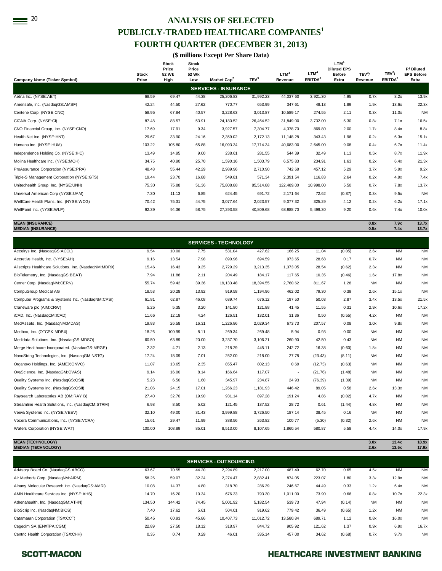# <sup>20</sup> ANALYSIS OF SELECTED **PUBLICLY-TRADED HEALTHCARE COMPANIES<sup>1</sup> FOURTH QUARTER (DECEMBER 31, 2013)**

**(\$ millions Except Per Share Data)** 

| <b>Company Name (Ticker Symbol)</b>        | <b>Stock</b><br>Price | <b>Stock</b><br>Price<br>52 Wk<br>High | <b>Stock</b><br>Price<br>52 Wk<br>Low | Market Cap <sup>2</sup>     | TEV <sup>3</sup> | LTM <sup>4</sup><br>Revenue | LTM <sup>4</sup><br>EBITDA <sup>5</sup> | LTM <sup>4</sup><br><b>Diluted EPS</b><br><b>Before</b><br>Extra | TEV <sup>3</sup> /<br>Revenue | TEV <sup>3</sup> /<br>EBITDA <sup>5</sup> | P/Diluted<br><b>EPS Before</b><br>Extra |
|--------------------------------------------|-----------------------|----------------------------------------|---------------------------------------|-----------------------------|------------------|-----------------------------|-----------------------------------------|------------------------------------------------------------------|-------------------------------|-------------------------------------------|-----------------------------------------|
|                                            |                       |                                        |                                       | <b>SERVICES - INSURANCE</b> |                  |                             |                                         |                                                                  |                               |                                           |                                         |
| Aetna Inc. (NYSE:AET)                      | 68.59                 | 69.47                                  | 44.38                                 | 25,206.83                   | 31,992.23        | 44,037.60                   | 3,921.30                                | 4.95                                                             | 0.7x                          | 8.2x                                      | 13.9x                                   |
| Amerisafe, Inc. (NasdaqGS:AMSF)            | 42.24                 | 44.50                                  | 27.62                                 | 770.77                      | 653.99           | 347.61                      | 48.13                                   | 1.89                                                             | 1.9x                          | 13.6x                                     | 22.3x                                   |
| Centene Corp. (NYSE:CNC)                   | 58.95                 | 67.84                                  | 40.57                                 | 3,228.63                    | 3,013.87         | 10,589.17                   | 274.55                                  | 2.11                                                             | 0.3x                          | 11.0x                                     | <b>NM</b>                               |
| CIGNA Corp. (NYSE:CI)                      | 87.48                 | 88.57                                  | 53.91                                 | 24,180.52                   | 26,464.52        | 31,849.00                   | 3,732.00                                | 5.30                                                             | 0.8x                          | 7.1x                                      | 16.5x                                   |
| CNO Financial Group, Inc. (NYSE:CNO)       | 17.69                 | 17.91                                  | 9.34                                  | 3,927.57                    | 7,304.77         | 4.378.70                    | 869.80                                  | 2.00                                                             | 1.7x                          | 8.4x                                      | 8.8x                                    |
| Health Net Inc. (NYSE:HNT)                 | 29.67                 | 33.90                                  | 24.16                                 | 2,359.02                    | 2,172.13         | 11.148.28                   | 343.43                                  | 1.96                                                             | 0.2x                          | 6.3x                                      | 15.1x                                   |
| Humana Inc. (NYSE:HUM)                     | 103.22                | 105.80                                 | 65.88                                 | 16,093.34                   | 17,714.34        | 40.683.00                   | 2,645.00                                | 9.08                                                             | 0.4x                          | 6.7x                                      | 11.4x                                   |
| Independence Holding Co. (NYSE:IHC)        | 13.49                 | 14.95                                  | 9.00                                  | 238.61                      | 281.55           | 544.39                      | 32.49                                   | 1.13                                                             | 0.5x                          | 8.7x                                      | 11.9x                                   |
| Molina Healthcare Inc. (NYSE:MOH)          | 34.75                 | 40.90                                  | 25.70                                 | 1,590.16                    | 1,503.79         | 6.575.83                    | 234.91                                  | 1.63                                                             | 0.2x                          | 6.4x                                      | 21.3x                                   |
| ProAssurance Corporation (NYSE:PRA)        | 48.48                 | 55.44                                  | 42.29                                 | 2,989.96                    | 2,710.90         | 742.68                      | 457.12                                  | 5.29                                                             | 3.7x                          | 5.9x                                      | 9.2x                                    |
| Triple-S Management Corporation (NYSE:GTS) | 19.44                 | 23.70                                  | 16.88                                 | 549.81                      | 571.34           | 2,391.54                    | 116.83                                  | 2.64                                                             | 0.2x                          | 4.9x                                      | 7.4x                                    |
| Unitedhealth Group, Inc. (NYSE:UNH)        | 75.30                 | 75.88                                  | 51.36                                 | 75,808.88                   | 85,514.88        | 122,489.00                  | 10,998.00                               | 5.50                                                             | 0.7x                          | 7.8x                                      | 13.7x                                   |
| Universal American Corp (NYSE:UAM)         | 7.30                  | 11.13                                  | 6.85                                  | 624.45                      | 691.72           | 2.171.64                    | 72.62                                   | (0.87)                                                           | 0.3x                          | 9.5x                                      | <b>NM</b>                               |
| WellCare Health Plans, Inc. (NYSE:WCG)     | 70.42                 | 75.31                                  | 44.75                                 | 3.077.64                    | 2,023.57         | 9.077.32                    | 325.29                                  | 4.12                                                             | 0.2x                          | 6.2x                                      | 17.1x                                   |
| WellPoint Inc. (NYSE:WLP)                  | 92.39                 | 94.36                                  | 58.75                                 | 27,293.58                   | 40,809.68        | 68,988.70                   | 5,499.30                                | 9.20                                                             | 0.6x                          | 7.4x                                      | 10.0x                                   |

**MEAN (INSURANCE) 0.8x 7.9x 13.7x MEDIAN (INSURANCE) 0.5x 7.4x 13.7x**

| <b>SERVICES - TECHNOLOGY</b>                          |        |        |       |           |           |                          |         |        |           |           |           |
|-------------------------------------------------------|--------|--------|-------|-----------|-----------|--------------------------|---------|--------|-----------|-----------|-----------|
| Accelrys Inc. (NasdaqGS:ACCL)                         | 9.54   | 10.00  | 7.75  | 531.04    | 427.62    | 166.25                   | 11.04   | (0.05) | 2.6x      | <b>NM</b> | <b>NM</b> |
| Accretive Health, Inc. (NYSE:AH)                      | 9.16   | 13.54  | 7.98  | 890.96    | 694.59    | 973.65                   | 28.68   | 0.17   | 0.7x      | <b>NM</b> | <b>NM</b> |
| Allscripts Healthcare Solutions, Inc. (NasdaqNM:MDRX) | 15.46  | 16.43  | 9.25  | 2,729.29  | 3,213.35  | 1,373.05                 | 28.54   | (0.62) | 2.3x      | <b>NM</b> | <b>NM</b> |
| BioTelemetry, Inc. (NasdaqGS:BEAT)                    | 7.94   | 11.88  | 2.11  | 204.49    | 184.17    | 117.65                   | 10.35   | (0.46) | 1.6x      | 17.8x     | <b>NM</b> |
| Cerner Corp. (NasdaqNM:CERN)                          | 55.74  | 59.42  | 39.36 | 19,133.48 | 18,394.55 | 2,760.62                 | 811.67  | 1.28   | <b>NM</b> | <b>NM</b> | <b>NM</b> |
| CompuGroup Medical AG                                 | 18.53  | 20.28  | 13.92 | 919.58    | 1,194.96  | 462.02                   | 79.30   | 0.39   | 2.6x      | 15.1x     | <b>NM</b> |
| Computer Programs & Systems Inc. (NasdagNM:CPSI)      | 61.81  | 62.87  | 46.08 | 689.74    | 676.12    | 197.50                   | 50.03   | 2.87   | 3.4x      | 13.5x     | 21.5x     |
| Craneware plc (AIM:CRW)                               | 5.25   | 5.35   | 3.20  | 141.80    | 121.88    | 41.45                    | 11.55   | 0.31   | 2.9x      | 10.6x     | 17.2x     |
| iCAD, Inc. (NasdaqCM:ICAD)                            | 11.66  | 12.18  | 4.24  | 126.51    | 132.01    | 31.36                    | 0.50    | (0.55) | 4.2x      | <b>NM</b> | <b>NM</b> |
| MedAssets, Inc. (NasdaqNM:MDAS)                       | 19.83  | 26.58  | 16.31 | 1,226.86  | 2,029.34  | 673.73                   | 207.57  | 0.08   | 3.0x      | 9.8x      | <b>NM</b> |
| Medbox, Inc. (OTCPK:MDBX)                             | 18.26  | 100.99 | 8.11  | 269.34    | 269.48    | 5.94                     | 0.93    | 0.00   | <b>NM</b> | <b>NM</b> | <b>NM</b> |
| Medidata Solutions, Inc. (NasdaqGS:MDSO)              | 60.50  | 63.89  | 20.00 | 3,237.70  | 3,106.21  | 260.90                   | 42.50   | 0.43   | <b>NM</b> | <b>NM</b> | <b>NM</b> |
| Merge Healthcare Incorporated. (NasdaqGS:MRGE)        | 2.32   | 4.71   | 2.13  | 218.29    | 445.11    | 242.72                   | 16.38   | (0.60) | 1.8x      | <b>NM</b> | <b>NM</b> |
| NanoString Technologies, Inc. (NasdaqGM:NSTG)         | 17.24  | 18.09  | 7.01  | 252.00    | 218.00    | 27.78                    | (23.43) | (8.11) | <b>NM</b> | <b>NM</b> | <b>NM</b> |
| Organovo Holdings, Inc. (AMEXONVO)                    | 11.07  | 13.65  | 2.35  | 855.47    | 802.13    | 0.69                     | (12.73) | (0.63) | <b>NM</b> | <b>NM</b> | <b>NM</b> |
| OvaScience, Inc. (NasdaqGM:OVAS)                      | 9.14   | 16.00  | 8.14  | 166.64    | 117.07    | $\overline{\phantom{a}}$ | (21.76) | (1.48) | <b>NM</b> | <b>NM</b> | <b>NM</b> |
| Quality Systems Inc. (NasdaqGS:QSII)                  | 5.23   | 6.50   | 1.60  | 345.97    | 234.87    | 24.93                    | (76.39) | (1.39) | <b>NM</b> | <b>NM</b> | <b>NM</b> |
| Quality Systems Inc. (NasdaqGS:QSII)                  | 21.06  | 24.15  | 17.01 | 1,266.23  | 1,181.93  | 446.42                   | 89.05   | 0.58   | 2.6x      | 13.3x     | <b>NM</b> |
| Raysearch Laboratories AB (OM:RAY B)                  | 27.40  | 32.70  | 19.90 | 931.14    | 897.28    | 191.24                   | 4.86    | (0.02) | 4.7x      | <b>NM</b> | <b>NM</b> |
| Streamline Health Solutions, Inc. (NasdaqCM:STRM)     | 6.98   | 8.50   | 5.02  | 121.45    | 137.52    | 28.72                    | 0.61    | (1.44) | 4.8x      | <b>NM</b> | <b>NM</b> |
| Veeva Systems Inc. (NYSE:VEEV)                        | 32.10  | 49.00  | 31.43 | 3,999.88  | 3,726.50  | 187.14                   | 38.45   | 0.16   | <b>NM</b> | <b>NM</b> | <b>NM</b> |
| Vocera Communications, Inc. (NYSE:VCRA)               | 15.61  | 29.47  | 11.99 | 388.56    | 263.82    | 100.77                   | (5.30)  | (0.32) | 2.6x      | <b>NM</b> | <b>NM</b> |
| Waters Corporation (NYSE:WAT)                         | 100.00 | 108.89 | 85.01 | 8,513.00  | 8,107.65  | 1,860.54                 | 580.87  | 5.58   | 4.4x      | 14.0x     | 17.9x     |

**MEAN (TECHNOLOGY) 3.0x 13.4x 18.9x MEDIAN (TECHNOLOGY) 2.6x 13.5x 17.9x**

| <b>SERVICES - OUTSOURCING</b>                  |        |        |       |           |           |           |        |        |           |           |           |
|------------------------------------------------|--------|--------|-------|-----------|-----------|-----------|--------|--------|-----------|-----------|-----------|
| Advisory Board Co. (NasdaqGS:ABCO)             | 63.67  | 70.55  | 44.20 | 2,294.89  | 2,217.00  | 487.49    | 62.70  | 0.65   | 4.5x      | <b>NM</b> | <b>NM</b> |
| Air Methods Corp. (NasdaqNM:AIRM)              | 58.26  | 59.07  | 32.24 | 2,274.47  | 2,882.41  | 874.05    | 223.07 | 1.80   | 3.3x      | 12.9x     | <b>NM</b> |
| Albany Molecular Research Inc. (NasdaqGS:AMRI) | 10.08  | 14.37  | 4.80  | 318.70    | 286.39    | 246.67    | 44.49  | 0.33   | 1.2x      | 6.4x      | <b>NM</b> |
| AMN Healthcare Services Inc. (NYSE:AHS)        | 14.70  | 16.20  | 10.34 | 676.33    | 793.30    | 1,011.00  | 73.90  | 0.66   | 0.8x      | 10.7x     | 22.3x     |
| Athenahealth, Inc. (NasdaqGM:ATHN)             | 134.50 | 144.42 | 74.45 | 5,001.92  | 5,182.54  | 539.73    | 47.94  | (0.14) | <b>NM</b> | <b>NM</b> | <b>NM</b> |
| BioScrip Inc. (NasdaqNM:BIOS)                  | 7.40   | 17.62  | 5.61  | 504.01    | 919.62    | 779.42    | 36.49  | (0.65) | 1.2x      | <b>NM</b> | <b>NM</b> |
| Catamaran Corporation (TSX:CCT)                | 50.45  | 60.93  | 45.86 | 10.407.73 | 11.012.72 | 13.580.84 | 689.71 | 1.12   | 0.8x      | 16.0x     | <b>NM</b> |
| Cegedim SA (ENXTPA:CGM)                        | 22.89  | 27.50  | 18.12 | 318.97    | 844.72    | 905.92    | 121.62 | 1.37   | 0.9x      | 6.9x      | 16.7x     |
| Centric Health Corporation (TSX:CHH)           | 0.35   | 0.74   | 0.29  | 46.01     | 335.14    | 457.00    | 34.62  | (0.68) | 0.7x      | 9.7x      | <b>NM</b> |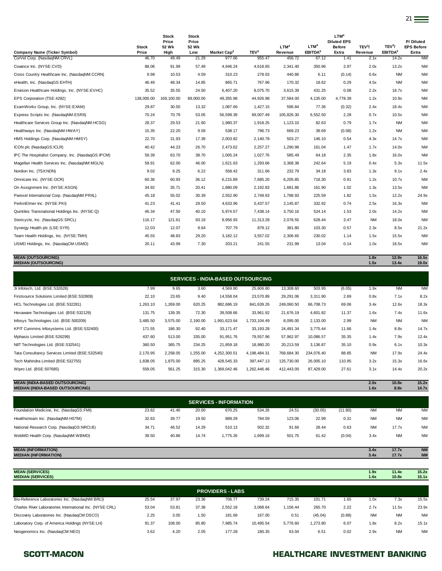| <b>Company Name (Ticker Symbol)</b>               | <b>Stock</b><br>Price | <b>Stock</b><br>Price<br>52 Wk<br>High | <b>Stock</b><br>Price<br>52 Wk<br>Low | Market Cap <sup>2</sup> | TEV <sup>3</sup> | LTM <sup>4</sup><br>Revenue | LTM <sup>4</sup><br>EBITDA <sup>5</sup> | LTM <sup>4</sup><br><b>Diluted EPS</b><br><b>Before</b><br>Extra | TEV <sup>3</sup> /<br>Revenue | TEV <sup>3</sup> /<br>EBITDA <sup>5</sup> | P/Diluted<br><b>EPS Before</b><br>Extra |
|---------------------------------------------------|-----------------------|----------------------------------------|---------------------------------------|-------------------------|------------------|-----------------------------|-----------------------------------------|------------------------------------------------------------------|-------------------------------|-------------------------------------------|-----------------------------------------|
| CorVel Corp. (NasdaqNM:CRVL)                      | 46.70                 | 49.49                                  | 21.29                                 | 977.66                  | 955.47           | 456.72                      | 67.12                                   | 1.41                                                             | 2.1x                          | 14.2x                                     | <b>NM</b>                               |
| Covance Inc. (NYSE:CVD)                           | 88.06                 | 91.99                                  | 57.49                                 | 4,946.24                | 4,618.65         | 2,341.40                    | 350.96                                  | 2.97                                                             | 2.0x                          | 13.2x                                     | <b>NM</b>                               |
| Cross Country Healthcare Inc. (NasdaqNM:CCRN)     | 9.98                  | 10.53                                  | 4.59                                  | 310.23                  | 278.03           | 440.86                      | 6.11                                    | (0.14)                                                           | 0.6x                          | <b>NM</b>                                 | <b>NM</b>                               |
| eHealth, Inc. (NasdaqGS:EHTH)                     | 46.49                 | 48.34                                  | 14.85                                 | 865.71                  | 767.96           | 170.32                      | 18.62                                   | 0.29                                                             | 4.5x                          | <b>NM</b>                                 | <b>NM</b>                               |
| Envision Healthcare Holdings, Inc. (NYSE:EVHC)    | 35.52                 | 35.55                                  | 24.50                                 | 6.407.20                | 8.075.70         | 3.615.39                    | 431.25                                  | 0.08                                                             | 2.2x                          | 18.7x                                     | <b>NM</b>                               |
| EPS Corporation (TSE:4282)                        | 138,000.00            | 169.100.00                             | 89,000,00                             | 49.355.98               | 44.926.98        | 37.584.00                   | 4.135.00                                | 4.778.39                                                         | 1.2x                          | 10.9x                                     | <b>NM</b>                               |
| ExamWorks Group, Inc. (NYSE:EXAM)                 | 29.87                 | 30.50                                  | 13.32                                 | 1,087.66                | 1,427.15         | 596.84                      | 77.36                                   | (0.32)                                                           | 2.4x                          | 18.4x                                     | <b>NM</b>                               |
| Express Scripts Inc. (NasdaqNM:ESRX)              | 70.24                 | 70.79                                  | 53.05                                 | 56.599.39               | 69,007.49        | 105.826.30                  | 6.552.50                                | 2.28                                                             | 0.7x                          | 10.5x                                     | <b>NM</b>                               |
| Healthcare Services Group Inc. (NasdaqNM:HCSG)    | 28.37                 | 29.53                                  | 21.60                                 | 1,980.37                | 1,918.25         | 1.123.10                    | 82.63                                   | 0.79                                                             | 1.7x                          | <b>NM</b>                                 | <b>NM</b>                               |
| Healthways Inc. (NasdaqNM:HWAY)                   | 15.35                 | 22.20                                  | 9.59                                  | 538.17                  | 796.73           | 669.23                      | 39.69                                   | (0.08)                                                           | 1.2x                          | <b>NM</b>                                 | <b>NM</b>                               |
| HMS Holdings Corp. (NasdaqNM:HMSY)                | 22.70                 | 31.93                                  | 17.39                                 | 2,003.82                | 2,140.78         | 503.27                      | 146.10                                  | 0.54                                                             | 4.3x                          | 14.7x                                     | <b>NM</b>                               |
| ICON plc (NasdaqGS:ICLR)                          | 40.42                 | 44.23                                  | 26.70                                 | 2,473.62                | 2,257.27         | 1,290.98                    | 161.04                                  | 1.47                                                             | 1.7x                          | 14.0x                                     | <b>NM</b>                               |
| IPC The Hospitalist Company, Inc. (NasdaqGS:IPCM) | 59.39                 | 63.70                                  | 38.70                                 | 1,005.24                | 1,027.76         | 585.49                      | 64.18                                   | 2.35                                                             | 1.8x                          | 16.0x                                     | <b>NM</b>                               |
| Magellan Health Services Inc. (NasdaqNM:MGLN)     | 59.91                 | 62.00                                  | 46.00                                 | 1,621.63                | 1,293.66         | 3,368.38                    | 242.64                                  | 5.19                                                             | 0.4x                          | 5.3x                                      | 11.5x                                   |
| Nordion Inc. (TSX:NDN)                            | 9.02                  | 9.25                                   | 6.22                                  | 558.42                  | 311.66           | 232.79                      | 34.18                                   | 3.83                                                             | 1.3x                          | 9.1x                                      | 2.4x                                    |
| Omnicare Inc. (NYSE:OCR)                          | 60.36                 | 60.93                                  | 36.12                                 | 6,215.89                | 7,685.20         | 6,205.85                    | 718.30                                  | 0.91                                                             | 1.2x                          | 10.7x                                     | <b>NM</b>                               |
| On Assignment Inc. (NYSE:ASGN)                    | 34.92                 | 35.71                                  | 20.41                                 | 1,880.09                | 2,192.83         | 1,681.86                    | 161.90                                  | 1.02                                                             | 1.3x                          | 13.5x                                     | <b>NM</b>                               |
| Parexel International Corp. (NasdaqNM:PRXL)       | 45.18                 | 55.02                                  | 30.39                                 | 2,552.90                | 2,749.63         | 1,788.93                    | 225.59                                  | 1.82                                                             | 1.5x                          | 12.2x                                     | 24.9x                                   |
| PerkinElmer Inc. (NYSE:PKI)                       | 41.23                 | 41.41                                  | 29.50                                 | 4,633.96                | 5,437.57         | 2,145.87                    | 332.92                                  | 0.74                                                             | 2.5x                          | 16.3x                                     | <b>NM</b>                               |
| Quintiles Transnational Holdings Inc. (NYSE:Q)    | 46.34                 | 47.50                                  | 40.10                                 | 5,974.57                | 7,438.14         | 3,750.16                    | 524.14                                  | 1.53                                                             | 2.0x                          | 14.2x                                     | <b>NM</b>                               |
| Stericycle, Inc. (NasdaqGS:SRCL)                  | 116.17                | 121.61                                 | 93.19                                 | 9,956.93                | 11,313.28        | 2,078.55                    | 628.44                                  | 3.47                                                             | <b>NM</b>                     | 18.0x                                     | <b>NM</b>                               |
| Synergy Health plc (LSE:SYR)                      | 12.03                 | 12.07                                  | 9.64                                  | 707.79                  | 879.12           | 381.80                      | 103.30                                  | 0.57                                                             | 2.3x                          | 8.5x                                      | 21.2x                                   |
| Team Health Holdings, Inc. (NYSE:TMH)             | 45.55                 | 48.83                                  | 29.20                                 | 3,182.12                | 3,557.02         | 2,306.65                    | 230.02                                  | 1.14                                                             | 1.5x                          | 15.5x                                     | <b>NM</b>                               |
| USMD Holdings, Inc. (NasdaqCM:USMD)               | 20.11                 | 43.99                                  | 7.30                                  | 203.21                  | 241.55           | 231.99                      | 13.04                                   | 0.14                                                             | 1.0x                          | 18.5x                                     | <b>NM</b>                               |

**MEAN (OUTSOURCING) 1.8x 12.9x 16.5x MEDIAN (OUTSOURCING) 1.5x 13.4x 19.0x**

3i Infotech, Ltd. (BSE:532628) 7.99 9.65 3.60 4,569.80 25,606.80 13,308.60 503.95 (6.05) 1.9x NM NM Firstsource Solutions Limited (BSE:532809) 22.10 23.65 9.40 14,558.04 23,570.89 29,291.06 3,311.90 2.69 0.8x 7.1x 8.2x HCL Technologies Ltd. (BSE:532281) 1,263.10 1,269.00 620.25 882,686.19 841,639.26 249,060.50 66,708.73 69.06 3.4x 12.6x 18.3x Hexaware Technologies Ltd. (BSE:532129) 131.75 139.35 72.30 39,508.66 33,961.92 21,676.19 4,601.82 11.37 1.6x 7.4x 11.6x Infosys Technologies Ltd. (BSE:500209) 3,485.50 3,575.00 2,190.00 1,991,623.64 1,733,104.49 8,095.00 2,133.00 2.99 NM NM NM KPIT Cummins Infosystems Ltd. (BSE:532400) 171.55 186.30 92.40 33,171.47 33,193.28 24,491.34 3,775.44 11.66 1.4x 8.8x 14.7x Mphasis Limited (BSE:526299) 437.60 513.00 513.00 335.00 91,951.76 79,557.96 57,962.97 10,086.57 35.35 1.4x 7.9x 12.4x NIIT Technologies Ltd. (BSE:532541) 360.50 365.75 234.25 21,859.18 18,980.20 20,213.59 3,136.87 35.10 0.9x 6.1x 10.3x Tata Consultancy Services Limited (BSE:532540) 2,170.95 2,258.05 1,255.00 4,252,300.51 4,198,484.31 768,684.30 234,076.40 88.85 NM 17.9x 24.4x Tech Mahindra Limited (BSE:532755) 1,838.05 1,875.00 895.25 428,545.33 397,447.13 125,730.00 26,005.10 110.95 3.2x 15.3x 16.6x Wipro Ltd. (BSE:507685) 559.05 561.25 315.30 1,369,042.46 1,262,446.46 412,443.00 87,429.00 27.61 3.1x 14.4x 20.2x **SERVICES - INDIA-BASED OUTSOURCING**

**MEAN (INDIA-BASED OUTSOURCING) 2.0x 10.8x 15.2x MEDIAN (INDIA-BASED OUTSOURCING) 1.6x** 8.8x

| <b>SERVICES - INFORMATION</b>             |       |       |       |          |          |        |         |         |           |           |           |
|-------------------------------------------|-------|-------|-------|----------|----------|--------|---------|---------|-----------|-----------|-----------|
| Foundation Medicine, Inc. (NasdaqGS:FMI)  | 23.82 | 41.46 | 20.00 | 670.25   | 534.26   | 24.51  | (30.05) | (11.80) | <b>NM</b> | <b>NM</b> | <b>NM</b> |
| Healthstream Inc. (NasdaqNM:HSTM)         | 32.63 | 39.77 | 19.50 | 889.29   | 784.59   | 123.06 | 22.99   | 0.31    | <b>NM</b> | <b>NM</b> | <b>NM</b> |
| National Research Corp. (NasdaqGS:NRCI.B) | 34.71 | 46.52 | 14.29 | 510.13   | 502.32   | 91.66  | 28.44   | 0.63    | <b>NM</b> | 17.7x     | <b>NM</b> |
| WebMD Health Corp. (NasdaqNM:WBMD)        | 39.50 | 40.86 | 14.74 | 1.775.26 | 1.699.16 | 501.75 | 61.42   | (0.04)  | 3.4x      | <b>NM</b> | <b>NM</b> |

| <b>MEAN (INFORMATION)</b>   | 3.4x | 17.7x | <b>NM</b> |
|-----------------------------|------|-------|-----------|
| <b>MEDIAN (INFORMATION)</b> | 3.4x | 17.7x | <b>NM</b> |
|                             |      |       |           |
|                             |      |       |           |
| <b>MEAN (SERVICES)</b>      | 1.9x | 11.4x | 15.2x     |
| <b>MEDIAN (SERVICES)</b>    | 1.6x | 10.8x | 15.1x     |

| <b>PROVIDERS - LABS</b>                                  |       |        |       |          |           |          |          |        |           |           |           |
|----------------------------------------------------------|-------|--------|-------|----------|-----------|----------|----------|--------|-----------|-----------|-----------|
| Bio-Reference Laboratories Inc. (NasdaqNM:BRLI)          | 25.54 | 37.97  | 23.36 | 706.77   | 739.24    | 715.35   | 101.71   | 1.65   | 1.0x      | 7.3x      | 15.5x     |
| Charles River Laboratories International Inc. (NYSE:CRL) | 53.04 | 53.81  | 37.38 | 2.552.18 | 3.068.64  | 1.156.44 | 265.70   | 2.22   | 2.7x      | 11.5x     | 23.9x     |
| Discovery Laboratories Inc. (NasdaqCM:DSCO)              | 2.25  | 3.05   | 1.50  | 181.69   | 167.00    | 0.51     | (45.04)  | (0.88) | <b>NM</b> | <b>NM</b> | <b>NM</b> |
| Laboratory Corp. of America Holdings (NYSE:LH)           | 91.37 | 108.00 | 85.80 | 7.985.74 | 10.495.54 | 5.776.60 | 1.273.80 | 6.07   | 1.8x      | 8.2x      | 15.1x     |
| Neogenomics Inc. (NasdagCM:NEO)                          | 3.62  | 4.20   | 2.05  | 177.28   | 180.35    | 63.04    | 6.51     | 0.02   | 2.9x      | <b>NM</b> | <b>NM</b> |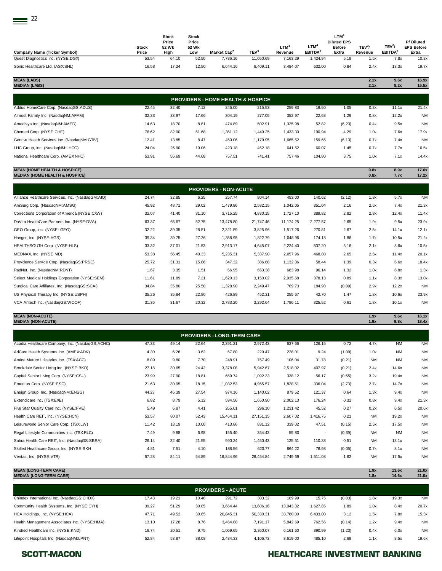| <b>Company Name (Ticker Symbol)</b>                                                  | <b>Stock</b><br>Price | <b>Stock</b><br>Price<br>52 Wk<br>High | <b>Stock</b><br>Price<br>52 Wk<br>Low | Market Cap <sup>2</sup>                      | TEV <sup>3</sup> | LTM <sup>4</sup><br>Revenue | LTM <sup>4</sup><br>EBITDA <sup>5</sup> | LTM <sup>4</sup><br><b>Diluted EPS</b><br><b>Before</b><br>Extra | TEV <sup>3</sup><br>Revenue | TEV <sup>3</sup> /<br>EBITDA <sup>5</sup> | P/Diluted<br><b>EPS Before</b><br>Extra |
|--------------------------------------------------------------------------------------|-----------------------|----------------------------------------|---------------------------------------|----------------------------------------------|------------------|-----------------------------|-----------------------------------------|------------------------------------------------------------------|-----------------------------|-------------------------------------------|-----------------------------------------|
| Quest Diagnostics Inc. (NYSE:DGX)                                                    | 53.54                 | 64.10                                  | 52.50                                 | 7,786.16                                     | 11,050.69        | 7,163.29                    | 1,424.94                                | 5.19                                                             | 1.5x                        | 7.8x                                      | 10.3x                                   |
| Sonic Healthcare Ltd. (ASX:SHL)                                                      | 16.58                 | 17.24                                  | 12.50                                 | 6,644.16                                     | 8,409.11         | 3,484.07                    | 632.00                                  | 0.84                                                             | 2.4x                        | 13.3x                                     | 19.7x                                   |
| <b>MEAN (LABS)</b><br><b>MEDIAN (LABS)</b>                                           |                       |                                        |                                       |                                              |                  |                             |                                         |                                                                  | 2.1x<br>2.1x                | 9.6x<br>8.2x                              | 16.9x<br>15.5x                          |
|                                                                                      |                       |                                        |                                       | <b>PROVIDERS - HOME HEALTH &amp; HOSPICE</b> |                  |                             |                                         |                                                                  |                             |                                           |                                         |
| Addus HomeCare Corp. (NasdaqGS:ADUS)                                                 | 22.45                 | 32.40                                  | 7.12                                  | 245.00                                       | 215.53           | 259.83                      | 19.50                                   | 1.05                                                             | 0.8x                        | 11.1x                                     | 21.4x                                   |
| Almost Family Inc. (NasdaqNM:AFAM)                                                   | 32.33                 | 33.97                                  | 17.66                                 | 304.19                                       | 277.05           | 352.97                      | 22.68                                   | 1.29                                                             | 0.8x                        | 12.2x                                     | <b>NM</b>                               |
| Amedisys Inc. (NasdagNM:AMED)                                                        | 14.63                 | 18.70                                  | 8.81                                  | 474.89                                       | 502.91           | 1.325.98                    | 52.82                                   | (6.23)                                                           | 0.4x                        | 9.5x                                      | <b>NM</b>                               |
| Chemed Corp. (NYSE:CHE)                                                              | 76.62                 | 82.00                                  | 61.68                                 | 1,351.12                                     | 1,449.25         | 1,433.30                    | 190.94                                  | 4.29                                                             | 1.0x                        | 7.6x                                      | 17.9x                                   |
| Gentiva Health Services Inc. (NasdaqNM:GTIV)                                         | 12.41                 | 13.85                                  | 8.47                                  | 450.06                                       | 1,179.95         | 1,665.52                    | 159.66                                  | (6.13)                                                           | 0.7x                        | 7.4x                                      | <b>NM</b>                               |
| LHC Group, Inc. (NasdaqNM:LHCG)                                                      | 24.04                 | 26.90                                  | 19.06                                 | 423.18                                       | 462.18           | 641.52                      | 60.07                                   | 1.45                                                             | 0.7x                        | 7.7x                                      | 16.5x                                   |
| National Healthcare Corp. (AMEX:NHC)                                                 | 53.91                 | 56.69                                  | 44.68                                 | 757.51                                       | 741.41           | 757.46                      | 104.80                                  | 3.75                                                             | 1.0x                        | 7.1x                                      | 14.4x                                   |
| <b>MEAN (HOME HEALTH &amp; HOSPICE)</b><br><b>MEDIAN (HOME HEALTH &amp; HOSPICE)</b> |                       |                                        |                                       |                                              |                  |                             |                                         |                                                                  | 0.8x<br>0.8x                | 8.9x<br>7.7x                              | 17.6x<br>17.2x                          |

| <b>PROVIDERS - NON-ACUTE</b>                      |       |       |       |           |           |           |          |        |      |       |           |  |  |
|---------------------------------------------------|-------|-------|-------|-----------|-----------|-----------|----------|--------|------|-------|-----------|--|--|
| Alliance Healthcare Services, Inc. (NasdaqGM:AIQ) | 24.74 | 32.85 | 6.25  | 257.74    | 804.14    | 453.00    | 140.62   | (2.12) | 1.8x | 5.7x  | <b>NM</b> |  |  |
| AmSurg Corp. (NasdagNM:AMSG)                      | 45.92 | 48.71 | 29.02 | 1,479.86  | 2,582.15  | 1,042.05  | 351.04   | 2.16   | 2.5x | 7.4x  | 21.3x     |  |  |
| Corrections Corporation of America (NYSE:CXW)     | 32.07 | 41.40 | 31.10 | 3,715.25  | 4,830.15  | 1,727.10  | 389.82   | 2.82   | 2.8x | 12.4x | 11.4x     |  |  |
| DaVita HealthCare Partners Inc. (NYSE:DVA)        | 63.37 | 65.67 | 52.75 | 13,478.80 | 21,747.46 | 11,174.25 | 2,277.57 | 2.65   | 1.9x | 9.5x  | 23.9x     |  |  |
| GEO Group, Inc. (NYSE: GEO)                       | 32.22 | 39.35 | 28.51 | 2,321.59  | 3,825.96  | 1,517.26  | 270.81   | 2.67   | 2.5x | 14.1x | 12.1x     |  |  |
| Hanger, Inc. (NYSE:HGR)                           | 39.34 | 39.75 | 27.26 | 1,358.95  | 1,822.79  | 1,048.96  | 174.18   | 1.86   | 1.7x | 10.5x | 21.2x     |  |  |
| HEALTHSOUTH Corp. (NYSE:HLS)                      | 33.32 | 37.01 | 21.53 | 2,913.17  | 4,645.07  | 2,224.40  | 537.20   | 3.16   | 2.1x | 8.6x  | 10.5x     |  |  |
| MEDNAX, Inc. (NYSE:MD)                            | 53.38 | 56.45 | 40.33 | 5,235.31  | 5,337.90  | 2,057.96  | 468.80   | 2.65   | 2.6x | 11.4x | 20.1x     |  |  |
| Providence Service Corp. (NasdaqGS:PRSC)          | 25.72 | 31.31 | 15.86 | 347.32    | 386.68    | 1,132.36  | 58.44    | 1.39   | 0.3x | 6.6x  | 18.4x     |  |  |
| RadNet, Inc. (NasdaqNM:RDNT)                      | 1.67  | 3.35  | 1.51  | 66.95     | 653.38    | 683.98    | 96.14    | 1.32   | 1.0x | 6.8x  | 1.3x      |  |  |
| Select Medical Holdings Corporation (NYSE:SEM)    | 11.61 | 11.89 | 7.21  | 1,620.13  | 3,150.02  | 2,935.68  | 378.13   | 0.89   | 1.1x | 8.3x  | 13.0x     |  |  |
| Surgical Care Affiliates, Inc. (NasdaqGS:SCAI)    | 34.84 | 35.80 | 25.50 | 1,328.90  | 2,249.47  | 769.73    | 184.98   | (0.09) | 2.9x | 12.2x | <b>NM</b> |  |  |
| US Physical Therapy Inc. (NYSE:USPH)              | 35.26 | 35.84 | 22.80 | 426.89    | 452.31    | 255.67    | 42.70    | 1.47   | 1.8x | 10.6x | 23.9x     |  |  |
| VCA Antech Inc. (NasdaqGS:WOOF)                   | 31.36 | 31.67 | 20.32 | 2,783.20  | 3,292.64  | 1,786.11  | 325.52   | 0.61   | 1.8x | 10.1x | <b>NM</b> |  |  |

### **MEAN (NON-ACUTE) 1.9x 9.6x 16.1x MEDIAN (NON-ACUTE) 1.9x 9.8x 18.4x**

| <b>PROVIDERS - LONG-TERM CARE</b> |       |       |           |             |          |                          |        |           |           |           |  |  |
|-----------------------------------|-------|-------|-----------|-------------|----------|--------------------------|--------|-----------|-----------|-----------|--|--|
| 47.33                             | 49.14 | 22.64 | 2,391.21  | 2,972.43    | 637.66   | 126.15                   | 0.72   | 4.7x      | <b>NM</b> | <b>NM</b> |  |  |
| 4.30                              | 6.26  | 3.62  | 67.80     | 229.47      | 228.01   | 9.24                     | (1.09) | 1.0x      | <b>NM</b> | <b>NM</b> |  |  |
| 8.09                              | 9.80  | 7.70  | 248.91    | 757.49      | 106.04   | 31.78                    | (0.21) | <b>NM</b> | <b>NM</b> | <b>NM</b> |  |  |
| 27.18                             | 30.65 | 24.42 | 3,378.08  | 5,942.67    | 2,518.02 | 407.97                   | (0.21) | 2.4x      | 14.6x     | <b>NM</b> |  |  |
| 23.99                             | 27.90 | 18.81 | 669.74    | 1,092.33    | 338.12   | 56.17                    | (0.55) | 3.2x      | 19.4x     | <b>NM</b> |  |  |
| 21.63                             | 30.95 | 18.15 | 1,032.53  | 4,955.57    | 1,828.51 | 336.04                   | (2.73) | 2.7x      | 14.7x     | <b>NM</b> |  |  |
| 44.27                             | 46.39 | 27.54 | 974.16    | 1,140.02    | 879.62   | 121.37                   | 0.64   | 1.3x      | 9.4x      | <b>NM</b> |  |  |
| 6.82                              | 8.79  | 5.12  | 594.56    | 1,650.90    | 2,002.13 | 176.24                   | 0.32   | 0.8x      | 9.4x      | 21.3x     |  |  |
| 5.49                              | 6.87  | 4.41  | 265.01    | 296.10      | 1,231.42 | 45.52                    | 0.27   | 0.2x      | 6.5x      | 20.6x     |  |  |
| 53.57                             | 80.07 | 52.43 | 15,464.11 | 27, 151. 15 | 2,607.02 | 1,416.75                 | 0.21   | <b>NM</b> | 19.2x     | <b>NM</b> |  |  |
| 11.42                             | 13.19 | 10.00 | 413.86    | 831.12      | 339.02   | 47.51                    | (0.15) | 2.5x      | 17.5x     | <b>NM</b> |  |  |
| 7.49                              | 9.88  | 6.98  | 155.40    | 354.43      | 55.80    | $\overline{\phantom{a}}$ | (0.39) | <b>NM</b> | <b>NM</b> | <b>NM</b> |  |  |
| 26.14                             | 32.40 | 21.55 | 990.24    | 1,450.43    | 125.51   | 110.38                   | 0.51   | <b>NM</b> | 13.1x     | <b>NM</b> |  |  |
| 4.81                              | 7.51  | 4.10  | 188.56    | 620.77      | 864.22   | 76.98                    | (0.05) | 0.7x      | 8.1x      | <b>NM</b> |  |  |
| 57.28                             | 84.11 | 54.89 | 16,844.96 | 26,454.84   | 2,749.69 | 1,511.08                 | 1.62   | <b>NM</b> | 17.5x     | <b>NM</b> |  |  |
|                                   |       |       |           |             |          |                          |        |           |           |           |  |  |

# **MEAN (LONG-TERM CARE) 1.9x 13.6x 21.0x MEDIAN (LONG-TERM CARE) 1.8x 14.6x 21.0x**

| <b>PROVIDERS - ACUTE</b>                     |       |       |       |           |           |           |          |        |      |       |           |  |  |
|----------------------------------------------|-------|-------|-------|-----------|-----------|-----------|----------|--------|------|-------|-----------|--|--|
| Chindex International Inc. (NasdaqGS:CHDX)   | 17.43 | 19.21 | 10.48 | 291.72    | 303.32    | 169.99    | 15.75    | (0.03) | 1.8x | 19.3x | <b>NM</b> |  |  |
| Community Health Systems, Inc. (NYSE:CYH)    | 39.27 | 51.29 | 30.85 | 3.664.44  | 13.606.16 | 13.043.32 | .627.85  | 1.89   | 1.0x | 8.4x  | 20.7x     |  |  |
| HCA Holdings, Inc. (NYSE:HCA)                | 47.71 | 49.52 | 30.65 | 20.845.31 | 50.330.31 | 33.780.00 | 6.433.00 | 3.12   | 1.5x | 7.8x  | 15.3x     |  |  |
| Health Management Associates Inc. (NYSE:HMA) | 13.10 | 17.28 | 8.76  | 3.464.88  | 7.191.17  | 5.842.69  | 762.56   | (0.14) | 1.2x | 9.4x  | <b>NM</b> |  |  |
| Kindred Healthcare Inc. (NYSE:KND)           | 19.74 | 20.51 | 9.75  | 1.069.65  | 2.360.07  | 6.161.60  | 390.99   | (1.23) | 0.4x | 6.0x  | <b>NM</b> |  |  |
| Lifepoint Hospitals Inc. (NasdagNM:LPNT)     | 52.84 | 53.87 | 38.08 | 2.484.33  | 4.106.73  | 3.619.00  | 485.10   | 2.69   | 1.1x | 8.5x  | 19.6x     |  |  |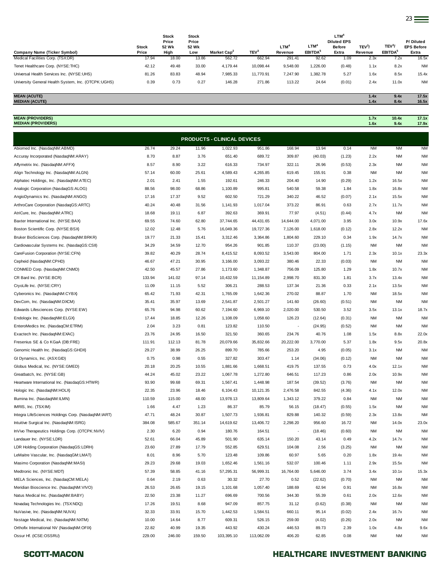|                                                     |              | <b>Stock</b>   | <b>Stock</b>   |                         |                  |            |                        | <b>LTM</b>                          |                    |                    |                                |
|-----------------------------------------------------|--------------|----------------|----------------|-------------------------|------------------|------------|------------------------|-------------------------------------|--------------------|--------------------|--------------------------------|
|                                                     | <b>Stock</b> | Price<br>52 Wk | Price<br>52 Wk |                         |                  | <b>LTM</b> | <b>LTM</b> <sup></sup> | <b>Diluted EPS</b><br><b>Before</b> | TEV <sup>3</sup> / | TEV <sup>3</sup> / | P/Diluted<br><b>EPS Before</b> |
| Company Name (Ticker Symbol)                        | Price        | High           | Low            | Market Cap <sup>2</sup> | TEV <sup>3</sup> | Revenue    | EBITDA <sup>5</sup>    | Extra                               | Revenue            | <b>EBITDA</b>      | Extra                          |
| Medical Facilities Corp. (TSX:DR)                   | 17.94        | 18.00          | 13.86          | 562.72                  | 662.94           | 291.41     | 92.62                  | 1.09                                | 2.3x               | 7.2x               | 16.5x                          |
| Tenet Healthcare Corp. (NYSE:THC)                   | 42.12        | 49.48          | 33.00          | 4.179.44                | 10.098.44        | 9.548.00   | 1.226.00               | (0.48)                              | 1.1x               | 8.2x               | <b>NM</b>                      |
| Universal Health Services Inc. (NYSE:UHS)           | 81.26        | 83.83          | 48.94          | 7.985.33                | 11.770.91        | 7.247.90   | 1.382.78               | 5.27                                | 1.6x               | 8.5x               | 15.4x                          |
| University General Health System, Inc. (OTCPK:UGHS) | 0.39         | 0.73           | 0.27           | 146.28                  | 271.86           | 113.22     | 24.64                  | (0.01)                              | 2.4x               | 11.0x              | <b>NM</b>                      |

### **MEAN (ACUTE) 1.4x 9.4x 17.5x MEDIAN (ACUTE) 1.4x 8.4x 16.5x**

**MEAN (PROVIDERS) 1.7x 10.4x 17.1x MEDIAN (PROVIDERS) 1.6x 9.4x 17.9x**

| <b>PRODUCTS - CLINICAL DEVICES</b>                  |               |               |               |            |                  |                          |                  |                |           |           |           |  |
|-----------------------------------------------------|---------------|---------------|---------------|------------|------------------|--------------------------|------------------|----------------|-----------|-----------|-----------|--|
| Abiomed Inc. (NasdaqNM:ABMD)                        | 26.74         | 29.24         | 11.96         | 1,022.93   | 951.86           | 168.94                   | 13.94            | 0.14           | <b>NM</b> | <b>NM</b> | <b>NM</b> |  |
| Accuray Incorporated (NasdaqNM:ARAY)                | 8.70          | 8.87          | 3.76          | 651.40     | 689.72           | 309.87                   | (40.03)          | (1.23)         | 2.2x      | <b>NM</b> | <b>NM</b> |  |
| Affymetrix Inc. (NasdaqNM:AFFX)                     | 8.57          | 8.90          | 3.22          | 616.33     | 734.97           | 322.11                   | 26.96            | (0.53)         | 2.3x      | <b>NM</b> | <b>NM</b> |  |
| Align Technology Inc. (NasdaqNM:ALGN)               | 57.14         | 60.00         | 25.61         | 4,589.43   | 4,265.85         | 619.45                   | 155.91           | 0.38           | NM        | <b>NM</b> | NM        |  |
| Alphatec Holdings, Inc. (NasdaqNM:ATEC)             | 2.01          | 2.41          | 1.55          | 192.61     | 246.33           | 204.40                   | 14.90            | (0.29)         | 1.2x      | 16.5x     | <b>NM</b> |  |
| Analogic Corporation (NasdaqGS:ALOG)                | 88.56         | 98.00         | 68.86         | 1,100.89   | 995.81           | 540.58                   | 59.38            | 1.84           | 1.8x      | 16.8x     | <b>NM</b> |  |
| AngioDynamics Inc. (NasdaqNM:ANGO)                  | 17.16         | 17.37         | 9.52          | 602.50     | 721.29           | 340.22                   | 46.52            | (0.07)         | 2.1x      | 15.5x     | <b>NM</b> |  |
| ArthroCare Corporation (NasdaqGS:ARTC)              | 40.24         | 40.48         | 31.56         | 1,141.93   | 1,017.04         | 373.22                   | 86.91            | 0.63           | 2.7x      | 11.7x     | <b>NM</b> |  |
| AtriCure, Inc. (NasdaqNM:ATRC)                      | 18.68         | 19.11         | 6.87          | 392.63     | 369.91           | 77.97                    | (4.51)           | (0.44)         | 4.7x      | <b>NM</b> | <b>NM</b> |  |
| Baxter International Inc. (NYSE:BAX)                | 69.55         | 74.60         | 62.80         | 37,744.65  | 44,431.65        | 14,644.00                | 4,071.00         | 3.95           | 3.0x      | 10.9x     | 17.6x     |  |
| Boston Scientific Corp. (NYSE:BSX)                  | 12.02         | 12.48         | 5.76          | 16,049.36  | 19,727.36        | 7,126.00                 | 1,618.00         | (0.12)         | 2.8x      | 12.2x     | <b>NM</b> |  |
| Bruker BioSciences Corp. (NasdaqNM:BRKR)            | 19.77         | 21.33         | 15.41         | 3,312.46   | 3,364.86         | 1,804.60                 | 229.10           | 0.34           | 1.9x      | 14.7x     | <b>NM</b> |  |
| Cardiovascular Systems Inc. (NasdaqGS:CSII)         | 34.29         | 34.59         | 12.70         | 954.26     | 901.85           | 110.37                   | (23.00)          | (1.15)         | NM        | <b>NM</b> | <b>NM</b> |  |
| CareFusion Corporation (NYSE:CFN)                   | 39.82         | 40.29         | 28.74         | 8,415.52   | 8,093.52         | 3,543.00                 | 804.00           | 1.71           | 2.3x      | 10.1x     | 23.3x     |  |
| Cepheid (NasdaqNM:CPHD)                             | 46.67         | 47.21         | 30.95         | 3,166.00   | 3,093.22         | 380.46                   | 22.33            | (0.03)         | NM        | <b>NM</b> | <b>NM</b> |  |
| CONMED Corp. (NasdaqNM:CNMD)                        | 42.50         | 45.57         | 27.86         | 1,173.60   | 1,348.87         | 756.09                   | 125.80           | 1.29           | 1.8x      | 10.7x     | <b>NM</b> |  |
| CR Bard Inc. (NYSE:BCR)                             | 133.94        | 141.02        | 97.14         | 10,432.59  | 11,154.89        | 2,998.70                 | 831.30           | 1.81           | 3.7x      | 13.4x     | <b>NM</b> |  |
| CryoLife Inc. (NYSE:CRY)                            | 11.09         | 11.15         | 5.52          | 306.21     | 288.53           | 137.34                   | 21.36            | 0.33           | 2.1x      | 13.5x     | <b>NM</b> |  |
| Cyberonics Inc. (NasdaqNM:CYBX)                     | 65.42         | 71.93         | 42.31         | 1,765.09   | 1,642.36         | 270.02                   | 88.87            | 1.70           | NM        | 18.5x     | NM        |  |
| DexCom, Inc. (NasdaqNM:DXCM)                        | 35.41         | 35.97         | 13.69         | 2,541.87   | 2,501.27         | 141.60                   | (26.60)          | (0.51)         | ΝM        | <b>NM</b> | <b>NM</b> |  |
| Edwards Lifesciences Corp. (NYSE:EW)                | 65.76         | 94.98         | 60.62         | 7,194.60   | 6,969.10         | 2,020.00                 | 530.50           | 3.52           | 3.5x      | 13.1x     | 18.7x     |  |
| Endologix Inc. (NasdaqNM:ELGX)                      | 17.44         | 18.85         | 12.26         | 1,108.09   | 1,058.60         | 126.23                   | (12.64)          | (0.31)         | NM        | <b>NM</b> | <b>NM</b> |  |
| EnteroMedics Inc. (NasdaqCM:ETRM)                   | 2.04          | 3.23          | 0.81          | 123.82     | 110.50           |                          | (24.95)          | (0.52)         | ΝM        | <b>NM</b> | <b>NM</b> |  |
| Exactech Inc. (NasdaqNM:EXAC)                       | 23.76         | 24.95         | 16.50         | 321.50     | 360.65           | 234.76                   | 40.76            | 1.08           | 1.5x      | 8.8x      | 22.0x     |  |
| Fresenius SE & Co KGaA (DB:FRE)                     | 111.91        | 112.13        | 81.78         | 20,079.66  | 35,832.66        | 20,222.00                | 3,770.00         | 5.37           | 1.8x      | 9.5x      | 20.8x     |  |
| Genomic Health Inc. (NasdaqGS:GHDX)                 | 29.27         | 38.99         | 26.25         | 899.70     | 785.66           | 253.20                   | 4.95             | (0.05)         | 3.1x      | <b>NM</b> | <b>NM</b> |  |
| GI Dynamics, Inc. (ASX:GID)                         | 0.75          | 0.98          | 0.55          | 327.82     | 303.47           | 1.14                     | (34.06)          | (0.12)         | NM        | <b>NM</b> | NM        |  |
| Globus Medical, Inc. (NYSE:GMED)                    | 20.18         | 20.25         | 10.55         | 1,881.66   | 1,668.51         | 419.75                   | 137.55           | 0.73           | 4.0x      | 12.1x     | <b>NM</b> |  |
| Greatbatch, Inc. (NYSE:GB)                          | 44.24         | 45.02         | 23.22         | 1,067.78   | 1,272.80         | 646.51                   | 117.23           | 0.86           | 2.0x      | 10.9x     | <b>NM</b> |  |
| Heartware International Inc. (NasdaqGS:HTWR)        | 93.90         | 99.68         | 69.31         | 1,567.41   | 1,448.98         | 187.54                   | (39.52)          | (3.76)         | NM        | <b>NM</b> | <b>NM</b> |  |
| Hologic Inc. (NasdaqNM:HOLX)                        | 22.35         | 23.96         | 18.46         | 6,104.43   | 10,121.35        | 2,476.58                 | 842.55           | (4.36)         | 4.1x      | 12.0x     | <b>NM</b> |  |
| Illumina Inc. (NasdaqNM:ILMN)                       | 110.59        | 115.00        | 48.00         | 13,978.13  | 13,809.64        | 1,343.12                 | 379.22           | 0.84           | NM        | <b>NM</b> | <b>NM</b> |  |
| IMRIS, Inc. (TSX:IM)                                | 1.66          | 4.47          | 1.23          | 86.37      | 85.79            | 56.15                    | (18.47)          | (0.55)         | 1.5x      | <b>NM</b> | <b>NM</b> |  |
| Integra LifeSciences Holdings Corp. (NasdaqNM:IART) | 47.71         | 48.24         | 30.87         | 1,507.73   | 1,936.81         | 829.88                   | 140.32           | (0.59)         | 2.3x      | 13.8x     | <b>NM</b> |  |
| Intuitive Surgical Inc. (NasdaqNM:ISRG)             | 384.08        | 585.67        | 351.14        | 14,619.62  | 13,406.72        | 2,298.20                 | 956.60           | 16.72          | ΝM        | 14.0x     | 23.0x     |  |
|                                                     |               |               |               | 180.76     |                  | $\overline{\phantom{a}}$ |                  |                | NM        | <b>NM</b> | <b>NM</b> |  |
| InVivo Therapeutics Holdings Corp. (OTCPK:NVIV)     | 2.30<br>52.61 | 6.20<br>66.04 | 0.94<br>45.89 | 501.90     | 164.51<br>635.14 | 150.20                   | (18.46)<br>43.14 | (0.60)<br>0.49 | 4.2x      | 14.7x     | <b>NM</b> |  |
| Landauer Inc. (NYSE:LDR)                            | 23.60         | 27.89         | 17.79         |            |                  |                          |                  |                | NM        | <b>NM</b> | <b>NM</b> |  |
| LDR Holding Corporation (NasdaqGS:LDRH)             |               |               |               | 552.85     | 629.51           | 104.08                   | 2.56             | (3.25)         |           |           |           |  |
| LeMaitre Vascular, Inc. (NasdaqGM:LMAT)             | 8.01          | 8.96          | 5.70          | 123.48     | 109.86           | 60.97                    | 5.65             | 0.20           | 1.8x      | 19.4x     | ΝM        |  |
| Masimo Corporation (NasdaqNM:MASI)                  | 29.23         | 29.68         | 19.03         | 1,652.46   | 1,561.16         | 532.07                   | 100.46           | 1.11           | 2.9x      | 15.5x     | <b>NM</b> |  |
| Medtronic Inc. (NYSE:MDT)                           | 57.39         | 58.85         | 41.16         | 57,295.31  | 56,999.31        | 16,764.00                | 5,646.00         | 3.74           | 3.4x      | 10.1x     | 15.3x     |  |
| MELA Sciences, Inc. (NasdaqCM:MELA)                 | 0.64          | 2.19          | 0.63          | 30.32      | 27.70            | 0.52                     | (22.62)          | (0.70)         | ΝM        | <b>NM</b> | NM        |  |
| Meridian Bioscience Inc. (NasdaqNM:VIVO)            | 26.53         | 26.65         | 19.15         | 1,101.68   | 1,057.40         | 188.69                   | 62.94            | 0.91           | NM        | 16.8x     | <b>NM</b> |  |
| Natus Medical Inc. (NasdaqNM:BABY)                  | 22.50         | 23.38         | 11.27         | 696.69     | 700.56           | 344.30                   | 55.39            | 0.61           | 2.0x      | 12.6x     | ΝM        |  |
| Novadaq Technologies Inc. (TSX:NDQ)                 | 17.26         | 19.51         | 8.68          | 947.09     | 857.75           | 31.12                    | (0.62)           | (0.38)         | NM        | <b>NM</b> | <b>NM</b> |  |
| NuVasive, Inc. (NasdaqNM:NUVA)                      | 32.33         | 33.91         | 15.70         | 1,442.53   | 1,584.51         | 660.11                   | 95.14            | (0.02)         | 2.4x      | 16.7x     | <b>NM</b> |  |
| Nxstage Medical, Inc. (NasdaqNM:NXTM)               | 10.00         | 14.64         | 8.77          | 609.31     | 526.15           | 259.00                   | (4.02)           | (0.26)         | 2.0x      | <b>NM</b> | <b>NM</b> |  |
| Orthofix International NV (NasdaqNM:OFIX)           | 22.82         | 40.99         | 19.35         | 443.92     | 430.24           | 446.53                   | 89.73            | 2.39           | 1.0x      | 4.8x      | 9.6x      |  |
| Ossur Hf. (ICSE:OSSRU)                              | 229.00        | 246.00        | 159.50        | 103,395.10 | 113,062.09       | 406.20                   | 62.85            | 0.08           | NM        | <b>NM</b> | <b>NM</b> |  |

# SCOTT-MACON **SCOTT-MACON HEALTHCARE INVESTMENT BANKING**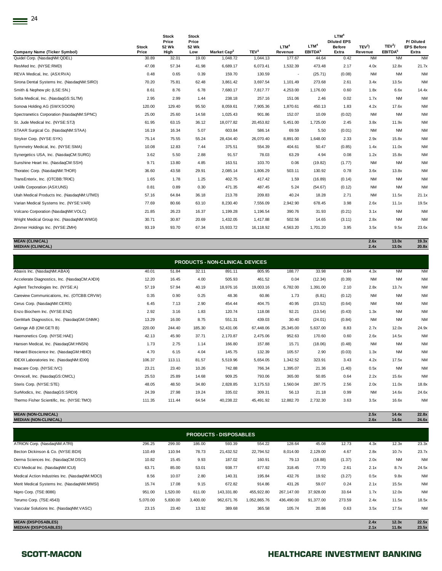| <b>Company Name (Ticker Symbol)</b>        | <b>Stock</b><br>Price | <b>Stock</b><br>Price<br>52 Wk<br>High | <b>Stock</b><br>Price<br>52 Wk<br>Low | Market Cap <sup>2</sup> | TEV <sup>3</sup> | LTM <sup>4</sup><br>Revenue | LTM <sup>4</sup><br>EBITDA <sup>5</sup> | LTM <sup>4</sup><br><b>Diluted EPS</b><br><b>Before</b><br>Extra | TEV <sup>3</sup> /<br>Revenue | TEV <sup>3</sup> /<br>EBITDA <sup>5</sup> | P/Diluted<br><b>EPS Before</b><br>Extra |
|--------------------------------------------|-----------------------|----------------------------------------|---------------------------------------|-------------------------|------------------|-----------------------------|-----------------------------------------|------------------------------------------------------------------|-------------------------------|-------------------------------------------|-----------------------------------------|
| Quidel Corp. (NasdaqNM:QDEL)               | 30.89                 | 32.01                                  | 19.00                                 | 1,048.72                | 1,044.13         | 177.67                      | 44.64                                   | 0.42                                                             | <b>NM</b>                     | <b>NM</b>                                 | <b>NM</b>                               |
| ResMed Inc. (NYSE:RMD)                     | 47.08                 | 57.34                                  | 41.98                                 | 6,689.17                | 6,073.41         | 1,532.39                    | 473.48                                  | 2.17                                                             | 4.0x                          | 12.8x                                     | 21.7x                                   |
| REVA Medical, Inc. (ASX:RVA)               | 0.48                  | 0.65                                   | 0.39                                  | 159.70                  | 130.59           | $\sim$                      | (25.71)                                 | (0.08)                                                           | <b>NM</b>                     | <b>NM</b>                                 | <b>NM</b>                               |
| Sirona Dental Systems Inc. (NasdaqNM:SIRO) | 70.20                 | 75.81                                  | 62.48                                 | 3,861.42                | 3,697.54         | 1,101.49                    | 273.68                                  | 2.61                                                             | 3.4x                          | 13.5x                                     | <b>NM</b>                               |
| Smith & Nephew plc (LSE:SN.)               | 8.61                  | 8.76                                   | 6.78                                  | 7,680.17                | 7,817.77         | 4,253.00                    | 1,176.00                                | 0.60                                                             | 1.8x                          | 6.6x                                      | 14.4x                                   |
| Solta Medical, Inc. (NasdaqGS:SLTM)        | 2.95                  | 2.99                                   | 1.44                                  | 238.18                  | 257.16           | 151.06                      | 2.46                                    | 0.02                                                             | 1.7x                          | <b>NM</b>                                 | <b>NM</b>                               |
| Sonova Holding AG (SWX:SOON)               | 120.00                | 129.40                                 | 95.50                                 | 8,059.61                | 7,905.36         | 1,870.61                    | 450.13                                  | 1.83                                                             | 4.2x                          | 17.6x                                     | <b>NM</b>                               |
| Spectranetics Corporation (NasdaqNM:SPNC)  | 25.00                 | 25.60                                  | 14.58                                 | 1,025.43                | 901.86           | 152.07                      | 10.09                                   | (0.02)                                                           | <b>NM</b>                     | <b>NM</b>                                 | <b>NM</b>                               |
| St. Jude Medical Inc. (NYSE:STJ)           | 61.95                 | 63.15                                  | 36.12                                 | 18,077.82               | 20,453.82        | 5,451.00                    | 1,725.00                                | 2.45                                                             | 3.8x                          | 11.9x                                     | <b>NM</b>                               |
| STAAR Surgical Co. (NasdaqNM:STAA)         | 16.19                 | 16.34                                  | 5.07                                  | 603.84                  | 586.14           | 69.59                       | 5.50                                    | (0.01)                                                           | <b>NM</b>                     | <b>NM</b>                                 | <b>NM</b>                               |
| Stryker Corp. (NYSE:SYK)                   | 75.14                 | 75.55                                  | 55.24                                 | 28,434.40               | 26,070.40        | 8,891.00                    | 1,648.00                                | 2.33                                                             | 2.9x                          | 15.8x                                     | <b>NM</b>                               |
| Symmetry Medical, Inc. (NYSE:SMA)          | 10.08                 | 12.83                                  | 7.44                                  | 375.51                  | 554.39           | 404.61                      | 50.47                                   | (0.85)                                                           | 1.4x                          | 11.0x                                     | <b>NM</b>                               |
| Synergetics USA, Inc. (NasdaqCM:SURG)      | 3.62                  | 5.50                                   | 2.88                                  | 91.57                   | 78.03            | 63.29                       | 4.94                                    | 0.08                                                             | 1.2x                          | 15.8x                                     | <b>NM</b>                               |
| Sunshine Heart Inc. (NasdaqCM:SSH)         | 9.71                  | 13.80                                  | 4.85                                  | 163.51                  | 103.70           | 0.06                        | (19.82)                                 | (1.77)                                                           | <b>NM</b>                     | <b>NM</b>                                 | <b>NM</b>                               |
| Thoratec Corp. (NasdaqNM:THOR)             | 36.60                 | 43.58                                  | 29.91                                 | 2,085.14                | 1,806.29         | 503.11                      | 130.92                                  | 0.78                                                             | 3.6x                          | 13.8x                                     | <b>NM</b>                               |
| TransEnterix, Inc. (OTCBB:TRXC)            | 1.65                  | 1.78                                   | 1.25                                  | 402.75                  | 417.42           | 1.59                        | (16.89)                                 | (0.14)                                                           | <b>NM</b>                     | <b>NM</b>                                 | <b>NM</b>                               |
| Unilife Corporation (ASX:UNS)              | 0.81                  | 0.89                                   | 0.30                                  | 471.35                  | 487.45           | 5.24                        | (54.67)                                 | (0.12)                                                           | <b>NM</b>                     | <b>NM</b>                                 | <b>NM</b>                               |
| Utah Medical Products Inc. (NasdaqNM:UTMD) | 57.16                 | 64.84                                  | 36.18                                 | 213.78                  | 209.83           | 40.24                       | 18.28                                   | 2.71                                                             | <b>NM</b>                     | 11.5x                                     | 21.1x                                   |
| Varian Medical Systems Inc. (NYSE:VAR)     | 77.69                 | 80.66                                  | 63.10                                 | 8,230.40                | 7,556.09         | 2,942.90                    | 678.45                                  | 3.98                                                             | 2.6x                          | 11.1x                                     | 19.5x                                   |
| Volcano Corporation (NasdaqNM:VOLC)        | 21.85                 | 26.23                                  | 16.37                                 | 1,199.28                | 1,196.54         | 390.76                      | 31.93                                   | (0.21)                                                           | 3.1x                          | <b>NM</b>                                 | <b>NM</b>                               |
| Wright Medical Group Inc. (NasdaqNM:WMGI)  | 30.71                 | 30.87                                  | 20.69                                 | 1,432.05                | 1,417.88         | 502.56                      | 14.65                                   | (3.11)                                                           | 2.8x                          | <b>NM</b>                                 | <b>NM</b>                               |
| Zimmer Holdings Inc. (NYSE:ZMH)            | 93.19                 | 93.70                                  | 67.34                                 | 15,933.72               | 16,118.92        | 4,563.20                    | 1,701.20                                | 3.95                                                             | 3.5x                          | 9.5x                                      | 23.6x                                   |

**MEAN (CLINICAL) 2.6x 13.0x 19.3x MEDIAN (CLINICAL) 2.4x 13.0x 20.8x**

| <b>PRODUCTS - NON-CLINICAL DEVICES</b>       |        |        |        |           |           |           |          |        |           |           |           |  |  |
|----------------------------------------------|--------|--------|--------|-----------|-----------|-----------|----------|--------|-----------|-----------|-----------|--|--|
| Abaxis Inc. (NasdaqNM:ABAX)                  | 40.01  | 51.84  | 32.11  | 891.11    | 805.95    | 188.77    | 33.98    | 0.84   | 4.3x      | <b>NM</b> | <b>NM</b> |  |  |
| Accelerate Diagnostics, Inc. (NasdagCM:AXDX) | 12.20  | 16.45  | 4.00   | 505.93    | 461.52    | 0.04      | (12.34)  | (0.39) | <b>NM</b> | <b>NM</b> | <b>NM</b> |  |  |
| Agilent Technologies Inc. (NYSE:A)           | 57.19  | 57.94  | 40.19  | 18,976.16 | 19,003.16 | 6,782.00  | 1,391.00 | 2.10   | 2.8x      | 13.7x     | <b>NM</b> |  |  |
| Careview Communications, Inc. (OTCBB:CRVW)   | 0.35   | 0.90   | 0.25   | 48.36     | 60.86     | 1.73      | (6.81)   | (0.12) | <b>NM</b> | <b>NM</b> | <b>NM</b> |  |  |
| Cerus Corp. (NasdaqNM:CERS)                  | 6.45   | 7.13   | 2.90   | 454.44    | 404.75    | 40.95     | (23.52)  | (0.64) | <b>NM</b> | <b>NM</b> | <b>NM</b> |  |  |
| Enzo Biochem Inc. (NYSE:ENZ)                 | 2.92   | 3.16   | 1.83   | 120.74    | 118.08    | 92.21     | (13.54)  | (0.43) | 1.3x      | <b>NM</b> | <b>NM</b> |  |  |
| GenMark Diagnostics, Inc. (NasdagGM:GNMK)    | 13.29  | 16.00  | 8.75   | 551.31    | 439.03    | 30.40     | (24.01)  | (0.84) | <b>NM</b> | <b>NM</b> | <b>NM</b> |  |  |
| Getinge AB (OM:GETI B)                       | 220.00 | 244.40 | 185.30 | 52,431.06 | 67,448.06 | 25,345.00 | 5,637.00 | 8.83   | 2.7x      | 12.0x     | 24.9x     |  |  |
| Haemonetics Corp. (NYSE:HAE)                 | 42.13  | 45.90  | 37.71  | 2,170.87  | 2,475.06  | 952.63    | 170.60   | 0.60   | 2.6x      | 14.5x     | <b>NM</b> |  |  |
| Hansen Medical, Inc. (NasdaqGM:HNSN)         | 1.73   | 2.75   | 1.14   | 166.80    | 157.88    | 15.71     | (18.06)  | (0.48) | <b>NM</b> | <b>NM</b> | <b>NM</b> |  |  |
| Harvard Bioscience Inc. (NasdaqGM:HBIO)      | 4.70   | 6.15   | 4.04   | 145.75    | 132.39    | 105.57    | 2.90     | (0.03) | 1.3x      | <b>NM</b> | <b>NM</b> |  |  |
| IDEXX Laboratories Inc. (NasdaqNM:IDXX)      | 106.37 | 113.11 | 81.57  | 5,519.96  | 5,654.05  | 1,342.52  | 323.91   | 3.43   | 4.2x      | 17.5x     | <b>NM</b> |  |  |
| Invacare Corp. (NYSE:IVC)                    | 23.21  | 23.40  | 10.26  | 742.88    | 766.34    | 1,395.07  | 21.36    | (1.40) | 0.5x      | <b>NM</b> | <b>NM</b> |  |  |
| Omnicell, Inc. (NasdaqGS:OMCL)               | 25.53  | 25.89  | 14.68  | 909.25    | 793.06    | 365.00    | 50.85    | 0.64   | 2.2x      | 15.6x     | <b>NM</b> |  |  |
| Steris Corp. (NYSE:STE)                      | 48.05  | 48.50  | 34.80  | 2,828.85  | 3,175.53  | 1,560.04  | 287.75   | 2.56   | 2.0x      | 11.0x     | 18.8x     |  |  |
| SurModics, Inc. (NasdaqGS:SRDX)              | 24.39  | 27.98  | 19.24  | 335.02    | 309.31    | 56.13     | 21.18    | 0.99   | <b>NM</b> | 14.6x     | 24.6x     |  |  |
| Thermo Fisher Scientific, Inc. (NYSE:TMO)    | 111.35 | 111.44 | 64.54  | 40,238.22 | 45.491.92 | 12.882.70 | 2,732.30 | 3.63   | 3.5x      | 16.6x     | <b>NM</b> |  |  |
|                                              |        |        |        |           |           |           |          |        |           |           |           |  |  |

**MEAN (NON-CLINICAL) 2.5x 14.4x 22.8x MEDIAN (NON-CLINICAL) 2.6x 14.6x 24.6x**

| <b>PRODUCTS - DISPOSABLES</b>                            |          |          |          |            |              |            |           |        |              |                |                |  |  |
|----------------------------------------------------------|----------|----------|----------|------------|--------------|------------|-----------|--------|--------------|----------------|----------------|--|--|
| ATRION Corp. (NasdaqNM:ATRI)                             | 296.25   | 299.00   | 186.00   | 593.39     | 554.22       | 128.64     | 45.08     | 12.73  | 4.3x         | 12.3x          | 23.3x          |  |  |
| Becton Dickinson & Co. (NYSE:BDX)                        | 110.49   | 110.94   | 78.73    | 21,432.52  | 22,794.52    | 8,014.00   | 2,129.00  | 4.67   | 2.8x         | 10.7x          | 23.7x          |  |  |
| Derma Sciences Inc. (NasdaqCM:DSCI)                      | 10.82    | 15.45    | 9.93     | 187.02     | 160.91       | 79.13      | (18.88)   | (1.37) | 2.0x         | <b>NM</b>      | <b>NM</b>      |  |  |
| ICU Medical Inc. (NasdaqNM:ICUI)                         | 63.71    | 85.00    | 53.01    | 938.77     | 677.92       | 318.45     | 77.70     | 2.61   | 2.1x         | 8.7x           | 24.5x          |  |  |
| Medical Action Industries Inc. (NasdaqNM:MDCI)           | 8.56     | 10.07    | 2.80     | 140.31     | 195.84       | 432.76     | 19.92     | (3.27) | 0.5x         | 9.8x           | <b>NM</b>      |  |  |
| Merit Medical Systems Inc. (NasdaqNM:MMSI)               | 15.74    | 17.08    | 9.15     | 672.82     | 914.86       | 431.26     | 59.07     | 0.24   | 2.1x         | 15.5x          | <b>NM</b>      |  |  |
| Nipro Corp. (TSE:8086)                                   | 951.00   | 1,520.00 | 611.00   | 143,331.80 | 455,922.80   | 267,147.00 | 37,928.00 | 33.64  | 1.7x         | 12.0x          | <b>NM</b>      |  |  |
| Terumo Corp. (TSE:4543)                                  | 5,070.00 | 5,830.00 | 3,400.00 | 962,671.76 | 1,052,865.76 | 436,490.00 | 91,377.00 | 273.59 | 2.4x         | 11.5x          | 18.5x          |  |  |
| Vascular Solutions Inc. (NasdagNM:VASC)                  | 23.15    | 23.40    | 13.92    | 389.68     | 365.58       | 105.74     | 20.86     | 0.63   | 3.5x         | 17.5x          | <b>NM</b>      |  |  |
|                                                          |          |          |          |            |              |            |           |        |              |                |                |  |  |
| <b>MEAN (DISPOSABLES)</b><br><b>MEDIAN (DISPOSABLES)</b> |          |          |          |            |              |            |           |        | 2.4x<br>2.1x | 12.3x<br>11.8x | 22.5x<br>23.5x |  |  |
|                                                          |          |          |          |            |              |            |           |        |              |                |                |  |  |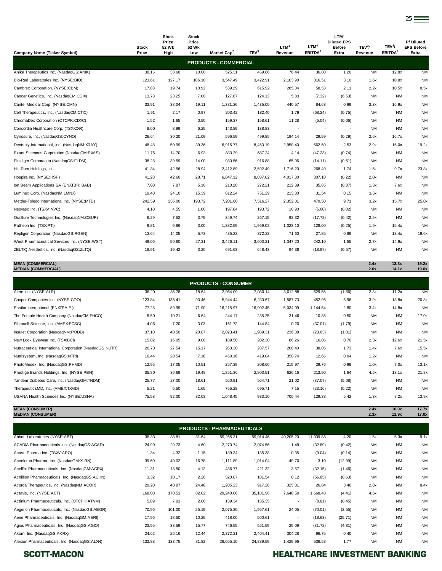| <b>Company Name (Ticker Symbol)</b>          | <b>Stock</b><br>Price | <b>Stock</b><br>Price<br>52 Wk<br>High | <b>Stock</b><br>Price<br>52 Wk<br>Low | Market Cap <sup>2</sup>      | TEV <sup>3</sup> | LTM <sup>4</sup><br>Revenue | LTM <sup>4</sup><br>EBITDA <sup>5</sup> | LTM <sup>4</sup><br><b>Diluted EPS</b><br><b>Before</b><br>Extra | TEV <sup>3</sup> /<br>Revenue | TEV <sup>3</sup> /<br>EBITDA <sup>5</sup> | P/Diluted<br><b>EPS Before</b><br>Extra |
|----------------------------------------------|-----------------------|----------------------------------------|---------------------------------------|------------------------------|------------------|-----------------------------|-----------------------------------------|------------------------------------------------------------------|-------------------------------|-------------------------------------------|-----------------------------------------|
|                                              |                       |                                        |                                       | <b>PRODUCTS - COMMERCIAL</b> |                  |                             |                                         |                                                                  |                               |                                           |                                         |
| Anika Therapeutics Inc. (NasdaqGS:ANIK)      | 38.16                 | 38.68                                  | 10.00                                 | 525.31                       | 469.66           | 76.44                       | 36.80                                   | 1.26                                                             | <b>NM</b>                     | 12.8x                                     | <b>NM</b>                               |
| Bio-Rad Laboratories Inc. (NYSE:BIO)         | 123.61                | 127.17                                 | 106.10                                | 3,547.49                     | 3,422.91         | 2,103.90                    | 316.51                                  | 3.10                                                             | 1.6x                          | 10.8x                                     | <b>NM</b>                               |
| Cambrex Corporation. (NYSE:CBM)              | 17.83                 | 19.74                                  | 10.92                                 | 539.29                       | 615.92           | 285.34                      | 58.53                                   | 2.11                                                             | 2.2x                          | 10.5x                                     | 8.5x                                    |
| Cancer Genetics, Inc. (NasdaqCM:CGIX)        | 13.78                 | 23.25                                  | 7.00                                  | 127.67                       | 124.13           | 5.83                        | (7.32)                                  | (6.53)                                                           | <b>NM</b>                     | <b>NM</b>                                 | <b>NM</b>                               |
| Cantel Medical Corp. (NYSE:CMN)              | 33.91                 | 38.04                                  | 19.11                                 | 1,381.36                     | 1,435.05         | 440.57                      | 84.68                                   | 0.99                                                             | 3.3x                          | 16.9x                                     | <b>NM</b>                               |
| Cell Therapeutics, Inc. (NasdaqCM:CTIC)      | 1.91                  | 2.17                                   | 0.97                                  | 203.42                       | 182.40           | 1.79                        | (68.24)                                 | (0.75)                                                           | <b>NM</b>                     | <b>NM</b>                                 | <b>NM</b>                               |
| ChromaDex Corporation (OTCPK:CDXC)           | 1.52                  | 1.65                                   | 0.50                                  | 159.37                       | 158.61           | 11.28                       | (5.04)                                  | (0.06)                                                           | <b>NM</b>                     | NM                                        | <b>NM</b>                               |
| Concordia Healthcare Corp. (TSX:CXR)         | 8.00                  | 8.99                                   | 6.25                                  | 143.89                       | 138.83           | $\overline{\phantom{a}}$    |                                         | $\sim$                                                           | <b>NM</b>                     | <b>NM</b>                                 | <b>NM</b>                               |
| Cynosure, Inc. (NasdaqGS:CYNO)               | 26.64                 | 30.20                                  | 21.09                                 | 596.59                       | 499.85           | 194.14                      | 29.99                                   | (0.29)                                                           | 2.6x                          | 16.7x                                     | <b>NM</b>                               |
| Dentsply International, Inc. (NasdaqNM:XRAY) | 48.48                 | 50.99                                  | 39.36                                 | 6,915.77                     | 8,453.19         | 2,950.40                    | 562.50                                  | 2.53                                                             | 2.9x                          | 15.0x                                     | 19.2x                                   |
| Exact Sciences Corporation (NasdaqCM:EXAS)   | 11.75                 | 14.70                                  | 6.93                                  | 833.29                       | 687.24           | 4.14                        | (47.23)                                 | (0.74)                                                           | <b>NM</b>                     | <b>NM</b>                                 | <b>NM</b>                               |
| Fluidigm Corporation (NasdaqGS:FLDM)         | 38.28                 | 39.59                                  | 14.00                                 | 980.56                       | 916.88           | 65.96                       | (14.11)                                 | (0.61)                                                           | <b>NM</b>                     | NM                                        | <b>NM</b>                               |
| Hill-Rom Holdings, Inc.                      | 41.34                 | 42.56                                  | 28.94                                 | 2,412.89                     | 2,592.49         | 1,716.20                    | 268.40                                  | 1.74                                                             | 1.5x                          | 9.7x                                      | 23.8x                                   |
| Hospira Inc. (NYSE:HSP)                      | 41.28                 | 42.60                                  | 28.71                                 | 6,847.32                     | 8,037.02         | 4,017.30                    | 307.10                                  | (0.22)                                                           | 2.0x                          | <b>NM</b>                                 | <b>NM</b>                               |
| Ion Beam Applications SA (ENXTBR:IBAB)       | 7.80                  | 7.87                                   | 5.36                                  | 210.20                       | 272.21           | 212.39                      | 35.85                                   | (0.07)                                                           | 1.3x                          | 7.6x                                      | <b>NM</b>                               |
| Luminex Corp. (NasdaqNM:LMNX)                | 19.40                 | 24.10                                  | 15.39                                 | 812.24                       | 751.29           | 213.80                      | 31.54                                   | 0.15                                                             | 3.5x                          | NM                                        | <b>NM</b>                               |
| Mettler-Toledo International Inc. (NYSE:MTD) | 242.59                | 255.00                                 | 193.72                                | 7,201.60                     | 7,516.27         | 2,352.01                    | 479.50                                  | 9.71                                                             | 3.2x                          | 15.7x                                     | 25.0x                                   |
| Neovasc Inc. (TSXV:NVC)                      | 4.10                  | 4.55                                   | 1.60                                  | 197.64                       | 193.72           | 10.90                       | (5.60)                                  | (0.02)                                                           | <b>NM</b>                     | <b>NM</b>                                 | <b>NM</b>                               |
| OraSure Technologies Inc. (NasdaqNM:OSUR)    | 6.29                  | 7.52                                   | 3.75                                  | 349.74                       | 267.15           | 92.32                       | (17.72)                                 | (0.42)                                                           | 2.9x                          | NM                                        | <b>NM</b>                               |
| Patheon Inc. (TSX:PTI)                       | 9.81                  | 9.86                                   | 3.00                                  | 1,382.59                     | 1,969.02         | 1.023.10                    | 128.00                                  | (0.25)                                                           | 1.9x                          | 15.4x                                     | <b>NM</b>                               |
| Repligen Corporation (NasdaqGS:RGEN)         | 13.64                 | 14.05                                  | 5.73                                  | 435.23                       | 372.23           | 71.60                       | 27.85                                   | 0.69                                                             | <b>NM</b>                     | 13.4x                                     | 19.6x                                   |
| West Pharmaceutical Services Inc. (NYSE:WST) | 49.06                 | 50.60                                  | 27.31                                 | 3,426.11                     | 3,603.21         | 1,347.20                    | 242.10                                  | 1.55                                                             | 2.7x                          | 14.9x                                     | <b>NM</b>                               |
| ZELTIQ Aesthetics, Inc. (NasdaqGS:ZLTQ)      | 18.91                 | 19.42                                  | 3.20                                  | 691.63                       | 648.43           | 94.38                       | (18.87)                                 | (0.57)                                                           | <b>NM</b>                     | NM                                        | <b>NM</b>                               |

**MEAN (COMMERCIAL) 2.4x 13.3x 19.2x MEDIAN (COMMERCIAL) 2.6x 14.1x 19.6x**

| <b>PRODUCTS - CONSUMER</b>                              |        |        |       |           |           |          |          |        |           |           |           |  |  |
|---------------------------------------------------------|--------|--------|-------|-----------|-----------|----------|----------|--------|-----------|-----------|-----------|--|--|
| Alere Inc. (NYSE:ALR)                                   | 36.20  | 36.78  | 18.64 | 2,964.09  | 7,080.14  | 3,012.88 | 629.55   | (1.86) | 2.3x      | 11.2x     | <b>NM</b> |  |  |
| Cooper Companies Inc. (NYSE:COO)                        | 123.84 | 135.41 | 93.46 | 5,944.44  | 6,230.67  | 1,587.73 | 452.96   | 5.96   | 3.9x      | 13.8x     | 20.8x     |  |  |
| Essilor International (ENXTPA:EI)                       | 77.28  | 89.99  | 71.90 | 16,215.97 | 16,902.45 | 5,034.09 | 1,144.64 | 2.80   | 3.4x      | 14.8x     | <b>NM</b> |  |  |
| The Female Health Company (NasdaqCM:FHCO)               | 8.50   | 10.21  | 6.64  | 244.17    | 235.25    | 31.46    | 10.35    | 0.50   | <b>NM</b> | <b>NM</b> | 17.0x     |  |  |
| Fibrocell Science, Inc. (AMEX-FCSC)                     | 4.06   | 7.20   | 3.03  | 161.72    | 144.84    | 0.20     | (37.01)  | (1.79) | <b>NM</b> | <b>NM</b> | <b>NM</b> |  |  |
| Insulet Corporation (NasdaqNM:PODD)                     | 37.10  | 40.50  | 20.87 | 2,023.41  | 1,989.31  | 236.38   | (23.63)  | (1.01) | <b>NM</b> | <b>NM</b> | <b>NM</b> |  |  |
| New Look Eyewear Inc. (TSX:BCI)                         | 15.02  | 16.05  | 9.00  | 189.50    | 202.30    | 86.26    | 16.06    | 0.70   | 2.3x      | 12.6x     | 21.5x     |  |  |
| Nutraceutical International Corporation (NasdaqGS:NUTR) | 26.78  | 27.54  | 15.17 | 263.30    | 287.57    | 208.40   | 38.05    | 1.73   | 1.4x      | 7.6x      | 15.5x     |  |  |
| Nutrisystem, Inc. (NasdaqGS:NTRI)                       | 16.44  | 20.54  | 7.18  | 460.16    | 419.04    | 350.74   | 12.66    | 0.04   | 1.2x      | <b>NM</b> | <b>NM</b> |  |  |
| PhotoMedex, Inc. (NasdaqGS:PHMD)                        | 12.95  | 17.05  | 10.51 | 257.39    | 208.60    | 215.97   | 29.76    | 0.99   | 1.0x      | 7.0x      | 13.1x     |  |  |
| Prestige Brands Holdings, Inc. (NYSE:PBH)               | 35.80  | 36.69  | 19.48 | 1,851.36  | 2,803.51  | 626.16   | 213.90   | 1.64   | 4.5x      | 13.1x     | 21.8x     |  |  |
| Tandem Diabetes Care, Inc. (NasdaqGM:TNDM)              | 25.77  | 27.00  | 18.61 | 550.91    | 564.71    | 21.02    | (37.07)  | (5.08) | <b>NM</b> | <b>NM</b> | <b>NM</b> |  |  |
| TherapeuticsMD, Inc. (AMEX:TXMD)                        | 5.21   | 5.50   | 1.65  | 755.28    | 695.71    | 7.15     | (23.16)  | (0.22) | <b>NM</b> | <b>NM</b> | <b>NM</b> |  |  |
| USANA Health Sciences Inc. (NYSE:USNA)                  | 75.58  | 92.00  | 32.03 | 1,048.45  | 933.10    | 700.44   | 129.38   | 5.42   | 1.3x      | 7.2x      | 13.9x     |  |  |

**MEAN (CONSUMER) 2.4x 10.9x 17.7x MEDIAN (CONSUMER) 2.3x 11.9x 17.0x**

| <b>PRODUCTS - PHARMACEUTICALS</b>               |        |        |       |           |           |                          |           |         |           |           |           |
|-------------------------------------------------|--------|--------|-------|-----------|-----------|--------------------------|-----------|---------|-----------|-----------|-----------|
| Abbott Laboratories (NYSE:ABT)                  | 38.33  | 38.81  | 31.64 | 59,265.31 | 59,014.46 | 40,205.20                | 11,039.88 | 4.20    | 1.5x      | 5.3x      | 9.1x      |
| ACADIA Pharmaceuticals Inc. (NasdaqGS:ACAD)     | 24.99  | 29.73  | 4.60  | 2,270.74  | 2,074.56  | 1.49                     | (32.89)   | (0.42)  | <b>NM</b> | <b>NM</b> | <b>NM</b> |
| Acasti Pharma Inc. (TSXV:APO)                   | 1.34   | 4.32   | 1.15  | 139.34    | 135.38    | 0.35                     | (9.04)    | (0.14)  | <b>NM</b> | <b>NM</b> | <b>NM</b> |
| Acceleron Pharma, Inc. (NasdaqGM:XLRN)          | 39.60  | 40.02  | 16.78 | 1,111.89  | 1,014.04  | 49.70                    | 3.10      | (12.99) | <b>NM</b> | <b>NM</b> | <b>NM</b> |
| AcelRx Pharmaceuticals, Inc. (NasdaqGM:ACRX)    | 11.31  | 13.50  | 4.12  | 486.77    | 421.32    | 3.57                     | (32.15)   | (1.46)  | <b>NM</b> | <b>NM</b> | <b>NM</b> |
| Achillion Pharmaceuticals, Inc. (NasdaqGS:ACHN) | 3.32   | 10.17  | 2.26  | 320.87    | 181.54    | 0.12                     | (56.85)   | (0.63)  | <b>NM</b> | <b>NM</b> | <b>NM</b> |
| Acorda Therapeutics, Inc. (NasdaqNM:ACOR)       | 29.20  | 40.87  | 24.48 | 1,205.23  | 917.26    | 325.31                   | 26.84     | 3.46    | 2.8x      | <b>NM</b> | 8.4x      |
| Actavis, Inc. (NYSE:ACT)                        | 168.00 | 170.51 | 82.02 | 29,240.06 | 35,181.96 | 7,648.50                 | 1,668.40  | (4.41)  | 4.6x      | <b>NM</b> | <b>NM</b> |
| Actinium Pharmaceuticals, Inc. (OTCPK:ATNM)     | 5.89   | 7.91   | 2.00  | 139.34    | 135.35    | $\overline{\phantom{a}}$ | (8.81)    | (0.45)  | <b>NM</b> | <b>NM</b> | <b>NM</b> |
| Aegerion Pharmaceuticals, Inc. (NasdagGS:AEGR)  | 70.96  | 101.00 | 25.19 | 2,075.30  | 1,957.61  | 24.05                    | (70.01)   | (2.55)  | <b>NM</b> | <b>NM</b> | <b>NM</b> |
| Aerie Pharmaceuticals, Inc. (NasdaqGM:AERI)     | 17.96  | 18.50  | 10.25 | 418.00    | 500.61    | ٠                        | (18.63)   | (25.71) | <b>NM</b> | <b>NM</b> | <b>NM</b> |
| Agios Pharmaceuticals, Inc. (NasdagGS:AGIO)     | 23.95  | 33.59  | 15.77 | 746.55    | 551.59    | 25.09                    | (31.72)   | (4.81)  | <b>NM</b> | <b>NM</b> | <b>NM</b> |
| Akorn, Inc. (NasdaqGS:AKRX)                     | 24.62  | 26.16  | 12.44 | 2,372.31  | 2,404.41  | 304.28                   | 96.75     | 0.40    | <b>NM</b> | <b>NM</b> | <b>NM</b> |
| Alexion Pharmaceuticals, Inc. (NasdaqGS:ALXN)   | 132.88 | 133.75 | 81.82 | 26,055.10 | 24,889.59 | 1,429.96                 | 536.58    | 1.77    | <b>NM</b> | <b>NM</b> | <b>NM</b> |

## SCOTT-MACON **SCOTT-MACON HEALTHCARE INVESTMENT BANKING**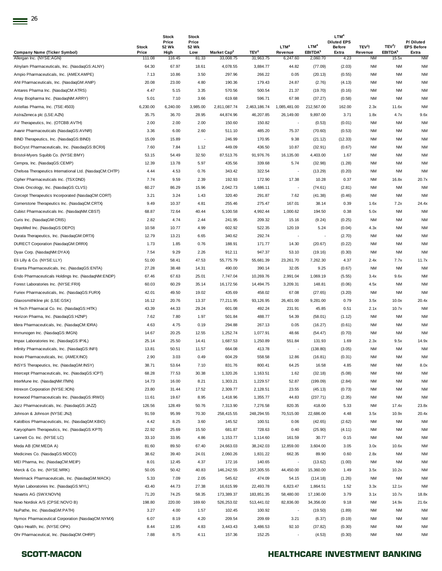| <b>Company Name (Ticker Symbol)</b>                                                                | <b>Stock</b><br>Price | <b>Stock</b><br>Price<br>52 Wk<br>High | <b>Stock</b><br>Price<br>52 Wk<br>Low | Market Cap <sup>2</sup> | TEV <sup>3</sup> | LTM <sup>4</sup><br>Revenue | LTM <sup>4</sup><br><b>EBITDA</b> <sup>5</sup> | LTM <sup>4</sup><br><b>Diluted EPS</b><br><b>Before</b><br>Extra | TEV <sup>3</sup> /<br>Revenue | TEV <sup>3</sup> /<br>EBITDA <sup>5</sup> | P/Diluted<br><b>EPS Before</b><br>Extra |
|----------------------------------------------------------------------------------------------------|-----------------------|----------------------------------------|---------------------------------------|-------------------------|------------------|-----------------------------|------------------------------------------------|------------------------------------------------------------------|-------------------------------|-------------------------------------------|-----------------------------------------|
| Allergan Inc. (NYSE:AGN)                                                                           | 111.08                | 116.45                                 | 81.33                                 | 33,008.75               | 31,963.75        | 6,247.60                    | 2,060.70                                       | 4.23                                                             | <b>NM</b>                     | 15.5x                                     | <b>NM</b>                               |
| Alnylam Pharmaceuticals, Inc. (NasdaqGS:ALNY)                                                      | 64.30                 | 67.97                                  | 18.61                                 | 4,078.55                | 3,884.77         | 44.82                       | (77.09)                                        | (2.03)                                                           | ΝM                            | <b>NM</b>                                 | ΝM                                      |
| Ampio Pharmaceuticals, Inc. (AMEX:AMPE)                                                            | 7.13                  | 10.86                                  | 3.50                                  | 297.96                  | 266.22           | 0.05                        | (20.13)                                        | (0.55)                                                           | <b>NM</b>                     | <b>NM</b>                                 | <b>NM</b>                               |
| ANI Pharmaceuticals, Inc. (NasdaqGM:ANIP)                                                          | 20.08                 | 23.00                                  | 4.80                                  | 190.36                  | 179.43           | 24.87                       | (2.76)                                         | (4.13)                                                           | NM                            | <b>NM</b>                                 | <b>NM</b>                               |
| Antares Pharma Inc. (NasdaqCM:ATRS)                                                                | 4.47                  | 5.15                                   | 3.35                                  | 570.56                  | 500.54           | 21.37                       | (19.70)                                        | (0.16)                                                           | NM                            | <b>NM</b>                                 | <b>NM</b>                               |
| Array Biopharma Inc. (NasdaqNM:ARRY)                                                               | 5.01                  | 7.10                                   | 3.66                                  | 619.68                  | 596.71           | 67.98                       | (37.27)                                        | (0.58)                                                           | ΝM                            | <b>NM</b>                                 | <b>NM</b>                               |
| Astellas Pharma, Inc. (TSE:4503)                                                                   | 6,230.00              | 6,240.00                               | 3,985.00                              | 2,811,087.74            | 2,463,186.74     | 1,085,481.00                | 212,567.00                                     | 162.00                                                           | 2.3x                          | 11.6x                                     | <b>NM</b>                               |
| AstraZeneca plc (LSE:AZN)                                                                          | 35.75                 | 36.70                                  | 28.95                                 | 44,874.96               | 46,207.85        | 26,149.00                   | 9,897.00                                       | 3.71                                                             | 1.8x                          | 4.7x                                      | 9.6x                                    |
| AV Therapeutics, Inc. (OTCBB:AVTH)                                                                 | 2.00                  | 2.00                                   | 2.00                                  | 150.60                  | 150.82           | $\overline{\phantom{a}}$    | (0.53)                                         | (0.01)                                                           | NM                            | <b>NM</b>                                 | <b>NM</b>                               |
| Avanir Pharmaceuticals (NasdaqGS:AVNR)                                                             | 3.36                  | 6.00                                   | 2.60                                  | 511.10                  | 485.20           | 75.37                       | (70.60)                                        | (0.53)                                                           | NM                            | <b>NM</b>                                 | <b>NM</b>                               |
| BIND Therapeutics, Inc. (NasdaqGS:BIND)                                                            | 15.09                 | 15.89                                  |                                       | 246.99                  | 170.95           | 9.38                        | (21.12)                                        | (12.33)                                                          | NM                            | <b>NM</b>                                 | <b>NM</b>                               |
| BioCryst Pharmaceuticals, Inc. (NasdaqGS:BCRX)                                                     | 7.60                  | 7.84                                   | 1.12                                  | 449.09                  | 436.50           | 10.87                       | (32.91)                                        | (0.67)                                                           | ΝM                            | <b>NM</b>                                 | <b>NM</b>                               |
| Bristol-Myers Squibb Co. (NYSE:BMY)                                                                | 53.15                 | 54.49                                  | 32.50                                 | 87,513.76               | 91,976.76        | 16,135.00                   | 4,403.00                                       | 1.67                                                             | NM                            | <b>NM</b>                                 | <b>NM</b>                               |
| Cempra, Inc. (NasdaqGS:CEMP)                                                                       | 12.39                 | 13.78                                  | 5.97                                  | 435.56                  | 339.68           | 5.74                        | (32.98)                                        | (1.28)                                                           | ΝM                            | <b>NM</b>                                 | <b>NM</b>                               |
| Chelsea Therapeutics International Ltd. (NasdaqCM:CHTP)                                            | 4.44                  | 4.53                                   | 0.76                                  | 343.42                  | 322.54           |                             | (13.29)                                        | (0.20)                                                           | NM                            | <b>NM</b>                                 | <b>NM</b>                               |
| Cipher Pharmaceuticals Inc. (TSX:DND)                                                              | 7.74                  | 9.59                                   | 2.39                                  | 192.93                  | 172.90           | 17.38                       | 10.28                                          | 0.37                                                             | NM                            | 16.8x                                     | 20.7x                                   |
| Clovis Oncology, Inc. (NasdaqGS:CLVS)                                                              | 60.27                 | 86.29                                  | 15.96                                 | 2,042.73                | 1,686.11         | $\overline{\phantom{a}}$    | (74.61)                                        | (2.81)                                                           | NM                            | <b>NM</b>                                 | <b>NM</b>                               |
| Corcept Therapeutics Incorporated (NasdaqCM:CORT)                                                  | 3.21                  | 3.24                                   | 1.43                                  | 320.40                  | 291.87           | 7.62                        | (41.38)                                        | (0.46)                                                           | NM                            | <b>NM</b>                                 | <b>NM</b>                               |
| Cornerstone Therapeutics Inc. (NasdaqCM:CRTX)                                                      | 9.49                  | 10.37                                  | 4.81                                  | 255.46                  | 275.47           | 167.01                      | 38.14                                          | 0.39                                                             | 1.6x                          | 7.2x                                      | 24.4x                                   |
| Cubist Pharmaceuticals Inc. (NasdaqNM:CBST)                                                        | 68.87                 | 72.64                                  | 40.44                                 | 5,100.58                | 4,992.44         | 1,000.62                    | 194.50                                         | 0.38                                                             | 5.0x                          | <b>NM</b>                                 | <b>NM</b>                               |
| Curis Inc. (NasdaqGM:CRIS)                                                                         | 2.82                  | 4.74                                   | 2.44                                  | 241.95                  | 209.32           | 15.16<br>120.19             | (9.24)                                         | (0.25)                                                           | <b>NM</b>                     | <b>NM</b><br><b>NM</b>                    | <b>NM</b>                               |
| DepoMed Inc. (NasdaqGS:DEPO)<br>Durata Therapeutics, Inc. (NasdaqGM:DRTX)                          | 10.58                 | 10.77                                  | 4.99                                  | 602.92                  | 522.35           | $\overline{\phantom{a}}$    | 5.24                                           | (0.04)                                                           | 4.3x                          |                                           | <b>NM</b>                               |
|                                                                                                    | 12.79                 | 13.21<br>1.85                          | 6.65                                  | 340.62                  | 292.74           |                             |                                                | (2.70)                                                           | ΝM                            | <b>NM</b><br><b>NM</b>                    | <b>NM</b><br><b>NM</b>                  |
| DURECT Corporation (NasdaqGM:DRRX)                                                                 | 1.73                  | 9.29                                   | 0.76                                  | 188.91<br>912.11        | 171.77<br>947.37 | 14.30                       | (20.67)                                        | (0.22)                                                           | NM                            | <b>NM</b>                                 | <b>NM</b>                               |
| Dyax Corp. (NasdaqNM:DYAX)                                                                         | 7.54<br>51.00         |                                        | 2.26                                  |                         | 55,681.39        | 53.10                       | (19.16)                                        | (0.30)                                                           | ΝM                            | 7.7x                                      |                                         |
| Eli Lilly & Co. (NYSE:LLY)                                                                         |                       | 58.41                                  | 47.53                                 | 55,775.79<br>490.00     | 390.14           | 23,261.70                   | 7,262.30                                       | 4.37                                                             | 2.4x<br><b>NM</b>             | <b>NM</b>                                 | 11.7x<br><b>NM</b>                      |
| Enanta Pharmaceuticals, Inc. (NasdaqGS:ENTA)<br>Endo Pharmaceuticals Holdings Inc. (NasdaqNM:ENDP) | 27.28<br>67.46        | 38.48<br>67.63                         | 14.31<br>25.01                        | 7,747.04                | 10,269.76        | 32.05<br>2,991.04           | 9.25<br>1,069.19                               | (0.67)<br>(5.55)                                                 | 3.4x                          | 9.6x                                      | <b>NM</b>                               |
| Forest Laboratories Inc. (NYSE:FRX)                                                                | 60.03                 | 60.29                                  | 35.14                                 | 16,172.56               | 14,494.75        | 3,209.31                    | 148.81                                         | (0.06)                                                           | 4.5x                          | <b>NM</b>                                 | <b>NM</b>                               |
| Furiex Pharmaceuticals, Inc. (NasdaqGS:FURX)                                                       | 42.01                 | 49.50                                  | 19.02                                 | 435.69                  | 458.02           | 67.08                       | (27.65)                                        | (3.20)                                                           | ΝM                            | <b>NM</b>                                 | <b>NM</b>                               |
| Glaxosmithkline plc (LSE:GSK)                                                                      | 16.12                 | 20.76                                  | 13.37                                 | 77,211.95               | 93,126.95        | 26,401.00                   | 9,281.00                                       | 0.79                                                             | 3.5x                          | 10.0x                                     | 20.4x                                   |
| Hi Tech Pharmacal Co. Inc. (NasdaqGS:HITK)                                                         | 43.39                 | 44.33                                  | 29.24                                 | 601.08                  | 492.24           | 231.91                      | 45.85                                          | 0.51                                                             | 2.1x                          | 10.7x                                     | <b>NM</b>                               |
| Horizon Pharma, Inc. (NasdaqGS:HZNP)                                                               | 7.62                  | 7.80                                   | 1.97                                  | 501.84                  | 488.77           | 54.39                       | (58.01)                                        | (1.12)                                                           | ΝM                            | <b>NM</b>                                 | <b>NM</b>                               |
| Idera Pharmaceuticals, Inc. (NasdaqCM:IDRA)                                                        | 4.63                  | 4.75                                   | 0.19                                  | 294.88                  | 267.13           | 0.05                        | (16.27)                                        | (0.61)                                                           | NM                            | <b>NM</b>                                 | <b>NM</b>                               |
| Immunogen Inc. (NasdaqGS:IMGN)                                                                     | 14.67                 | 20.25                                  | 12.55                                 | 1,252.74                | 1,077.91         | 48.66                       | (54.47)                                        | (0.70)                                                           | NM                            | <b>NM</b>                                 | <b>NM</b>                               |
| Impax Laboratories Inc. (NasdaqGS:IPXL)                                                            | 25.14                 | 25.50                                  | 14.41                                 | 1,687.53                | 1,250.89         | 551.84                      | 131.93                                         | 1.69                                                             | 2.3x                          | 9.5x                                      | 14.9x                                   |
| Infinity Pharmaceuticals, Inc. (NasdaqGS:INFI)                                                     | 13.81                 | 50.51                                  | 11.57                                 | 664.08                  | 413.78           |                             | (138.80)                                       | (3.05)                                                           | <b>NM</b>                     | <b>NM</b>                                 | <b>NM</b>                               |
| Inovio Pharmaceuticals, Inc. (AMEXINO)                                                             | 2.90                  | 3.03                                   | 0.49                                  | 604.29                  | 558.58           | 12.86                       | (16.81)                                        | (0.31)                                                           | ΝM                            | <b>NM</b>                                 | <b>NM</b>                               |
| INSYS Therapeutics, Inc. (NasdaqGM:INSY)                                                           | 38.71                 | 53.64                                  | 7.10                                  | 831.76                  | 800.41           | 64.25                       | 16.58                                          | 4.85                                                             | ΝM                            | <b>NM</b>                                 | 8.0x                                    |
| Intercept Pharmaceuticals, Inc. (NasdaqGS:ICPT)                                                    | 68.28                 | 77.53                                  | 30.38                                 | 1,320.26                | 1,163.51         | 1.62                        | (32.18)                                        | (5.08)                                                           | <b>NM</b>                     | <b>NM</b>                                 | <b>NM</b>                               |
| InterMune Inc. (NasdaqNM:ITMN)                                                                     | 14.73                 | 16.00                                  | 8.21                                  | 1,303.21                | 1,229.57         | 52.87                       | (199.09)                                       | (2.84)                                                           | <b>NM</b>                     | <b>NM</b>                                 | <b>NM</b>                               |
| Intrexon Corporation (NYSE:XON)                                                                    | 23.80                 | 31.44                                  | 17.52                                 | 2,309.77                | 2,128.51         | 23.55                       | (45.13)                                        | (0.73)                                                           | ΝM                            | <b>NM</b>                                 | <b>NM</b>                               |
| Ironwood Pharmaceuticals Inc. (NasdaqGS:IRWD)                                                      | 11.61                 | 19.67                                  | 8.95                                  | 1,418.96                | 1,355.77         | 44.83                       | (237.71)                                       | (2.35)                                                           | <b>NM</b>                     | <b>NM</b>                                 | <b>NM</b>                               |
| Jazz Pharmaceuticals, Inc. (NasdaqGS:JAZZ)                                                         | 126.56                | 128.49                                 | 50.76                                 | 7,313.90                | 7,276.58         | 820.35                      | 418.00                                         | 5.33                                                             | <b>NM</b>                     | 17.4x                                     | 23.8x                                   |
| Johnson & Johnson (NYSE:JNJ)                                                                       | 91.59                 | 95.99                                  | 70.30                                 | 258,415.55              | 248,294.55       | 70,515.00                   | 22,686.00                                      | 4.48                                                             | 3.5x                          | 10.9x                                     | 20.4x                                   |
| KaloBios Pharmaceuticals, Inc. (NasdaqGM:KBIO)                                                     | 4.42                  | 8.25                                   | 3.60                                  | 145.52                  | 100.51           | 0.06                        | (42.65)                                        | (2.62)                                                           | <b>NM</b>                     | <b>NM</b>                                 | <b>NM</b>                               |
| Karyopharm Therapeutics, Inc. (NasdaqGS:KPTI)                                                      | 22.92                 | 25.69                                  | 15.50                                 | 681.87                  | 728.63           | 0.40                        | (25.90)                                        | (4.11)                                                           | ΝM                            | <b>NM</b>                                 | <b>NM</b>                               |
| Lannett Co. Inc. (NYSE:LC)                                                                         | 33.10                 | 33.95                                  | 4.86                                  | 1,153.77                | 1,114.60         | 161.59                      | 30.77                                          | 0.15                                                             | <b>NM</b>                     | <b>NM</b>                                 | <b>NM</b>                               |
| Meda AB (OM:MEDA A)                                                                                | 81.60                 | 89.50                                  | 67.40                                 | 24,663.03               | 38,242.03        | 12,859.00                   | 3,604.00                                       | 3.05                                                             | 3.0x                          | 10.6x                                     | <b>NM</b>                               |
| Medicines Co. (NasdaqGS:MDCO)                                                                      | 38.62                 | 39.40                                  | 24.01                                 | 2,060.26                | 1,831.22         | 662.35                      | 89.90                                          | 0.60                                                             | 2.8x                          | <b>NM</b>                                 | <b>NM</b>                               |
| MEI Pharma, Inc. (NasdaqCM:MEIP)                                                                   | 8.01                  | 12.45                                  | 4.37                                  | 172.16                  | 140.65           | $\overline{\phantom{a}}$    | (13.62)                                        | (1.00)                                                           | <b>NM</b>                     | <b>NM</b>                                 | ΝM                                      |
| Merck & Co. Inc. (NYSE:MRK)                                                                        | 50.05                 | 50.42                                  | 40.83                                 | 146,242.55              | 157,305.55       | 44,450.00                   | 15,360.00                                      | 1.49                                                             | 3.5x                          | 10.2x                                     | <b>NM</b>                               |
| Merrimack Pharmaceuticals, Inc. (NasdaqGM:MACK)                                                    | 5.33                  | 7.09                                   | 2.05                                  | 545.62                  | 474.09           | 54.15                       | (114.18)                                       | (1.26)                                                           | ΝM                            | <b>NM</b>                                 | <b>NM</b>                               |
| Mylan Laboratories Inc. (NasdaqGS:MYL)                                                             | 43.40                 | 44.73                                  | 27.38                                 | 16,615.99               | 22,493.78        | 6,823.47                    | 1,864.51                                       | 1.52                                                             | 3.3x                          | 12.1x                                     | <b>NM</b>                               |
| Novartis AG (SWX:NOVN)                                                                             | 71.20                 | 74.25                                  | 58.35                                 | 173,389.37              | 183,851.35       | 58,480.00                   | 17,190.00                                      | 3.79                                                             | 3.1x                          | 10.7x                                     | 18.8x                                   |
| Novo Nordisk A/S (CPSE:NOVO B)                                                                     | 198.80                | 220.00                                 | 169.60                                | 526,253.02              | 513,441.02       | 82,836.00                   | 34,356.00                                      | 9.18                                                             | ΝM                            | 14.9x                                     | 21.6x                                   |
| NuPathe, Inc. (NasdaqGM:PATH)                                                                      | 3.27                  | 4.00                                   | 1.57                                  | 102.45                  | 100.92           | $\overline{\phantom{a}}$    | (19.50)                                        | (1.89)                                                           | <b>NM</b>                     | <b>NM</b>                                 | <b>NM</b>                               |
| Nymox Pharmaceutical Corporation (NasdaqCM:NYMX)                                                   | 6.07                  | 8.19                                   | 4.20                                  | 209.54                  | 209.69           | 3.21                        | (6.37)                                         | (0.19)                                                           | <b>NM</b>                     | <b>NM</b>                                 | <b>NM</b>                               |
| Opko Health, Inc. (NYSE:OPK)                                                                       | 8.44                  | 12.95                                  | 4.83                                  | 3,443.43                | 3,486.53         | 92.10                       | (37.82)                                        | (0.30)                                                           | <b>NM</b>                     | <b>NM</b>                                 | <b>NM</b>                               |
| Ohr Pharmaceutical, Inc. (NasdaqCM:OHRP)                                                           | 7.88                  | 8.75                                   | 4.11                                  | 157.36                  | 152.25           |                             | (4.53)                                         | (0.30)                                                           | ΝM                            | <b>NM</b>                                 | <b>NM</b>                               |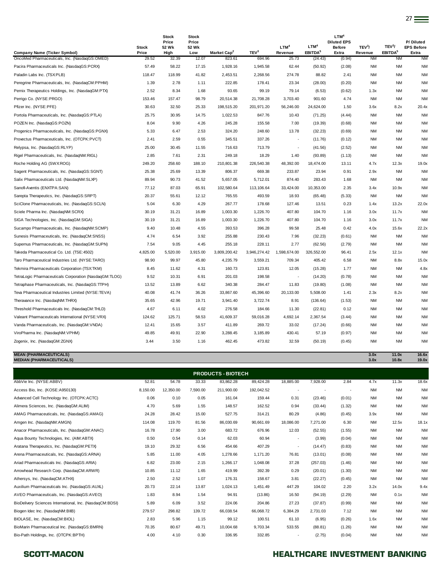|                                                                                      | <b>Stock</b>   | <b>Stock</b><br>Price<br>52 Wk | <b>Stock</b><br>Price<br>52 Wk |                                   |                            | LTM <sup>4</sup>         | LTM <sup>4</sup>               | LTM <sup>4</sup><br><b>Diluted EPS</b><br><b>Before</b> | TEV <sup>3</sup> /   | TEV <sup>3</sup> /               | P/Diluted<br><b>EPS Before</b> |
|--------------------------------------------------------------------------------------|----------------|--------------------------------|--------------------------------|-----------------------------------|----------------------------|--------------------------|--------------------------------|---------------------------------------------------------|----------------------|----------------------------------|--------------------------------|
| <b>Company Name (Ticker Symbol)</b><br>OncoMed Pharmaceuticals, Inc. (NasdaqGS:OMED) | Price<br>29.52 | High<br>32.39                  | Low<br>12.07                   | Market Cap <sup>2</sup><br>823.61 | TEV <sup>3</sup><br>694.96 | Revenue<br>25.73         | EBITDA <sup>5</sup><br>(24.43) | Extra<br>(0.94)                                         | Revenue<br><b>NM</b> | EBITDA <sup>5</sup><br><b>NM</b> | Extra<br><b>NM</b>             |
| Pacira Pharmaceuticals Inc. (NasdaqGS:PCRX)                                          | 57.49          | 58.22                          | 17.15                          | 1,928.16                          | 1,945.58                   | 62.44                    | (50.92)                        | (2.08)                                                  | <b>NM</b>            | <b>NM</b>                        | <b>NM</b>                      |
| Paladin Labs Inc. (TSX:PLB)                                                          | 118.47         | 118.99                         | 41.82                          | 2,453.51                          | 2,268.56                   | 274.78                   | 88.82                          | 2.41                                                    | <b>NM</b>            | <b>NM</b>                        | <b>NM</b>                      |
| Peregrine Pharmaceuticals, Inc. (NasdaqCM:PPHM)                                      | 1.39           | 2.78                           | 1.11                           | 222.85                            | 178.41                     | 23.34                    | (28.00)                        | (0.20)                                                  | <b>NM</b>            | <b>NM</b>                        | <b>NM</b>                      |
| Pernix Therapeutics Holdings, Inc. (NasdaqGM:PTX)                                    | 2.52           | 8.34                           | 1.68                           | 93.65                             | 99.19                      | 79.14                    | (6.53)                         | (0.62)                                                  | 1.3x                 | <b>NM</b>                        | <b>NM</b>                      |
| Perrigo Co. (NYSE:PRGO)                                                              | 153.46         | 157.47                         | 98.79                          | 20,514.38                         | 21,708.28                  | 3,703.40                 | 901.60                         | 4.74                                                    | <b>NM</b>            | <b>NM</b>                        | <b>NM</b>                      |
| Pfizer Inc. (NYSE:PFE)                                                               | 30.63          | 32.50                          | 25.33                          | 198,515.20                        | 201,971.20                 | 56,246.00                | 24,624.00                      | 1.50                                                    | 3.6x                 | 8.2x                             | 20.4x                          |
| Portola Pharmaceuticals, Inc. (NasdaqGS:PTLA)                                        | 25.75          | 30.95                          | 14.75                          | 1,022.53                          | 847.76                     | 10.43                    | (71.25)                        | (4.44)                                                  | <b>NM</b>            | <b>NM</b>                        | <b>NM</b>                      |
| POZEN Inc. (NasdaqGS:POZN)                                                           | 8.04           | 9.90                           | 4.26                           | 245.28                            | 155.58                     | 7.00                     | (19.39)                        | (0.68)                                                  | <b>NM</b>            | <b>NM</b>                        | <b>NM</b>                      |
| Progenics Pharmaceuticals, Inc. (NasdaqGS:PGNX)                                      | 5.33           | 6.47                           | 2.53                           | 324.20                            | 248.60                     | 13.78                    | (32.23)                        | (0.69)                                                  | <b>NM</b>            | <b>NM</b>                        | <b>NM</b>                      |
| Provectus Pharmaceuticals, Inc. (OTCPK:PVCT)                                         | 2.41           | 2.59                           | 0.55                           | 345.51                            | 337.26                     | $\overline{\phantom{a}}$ | (11.76)                        | (0.12)                                                  | <b>NM</b>            | <b>NM</b>                        | <b>NM</b>                      |
| Relypsa, Inc. (NasdaqGS:RLYP)                                                        | 25.00          | 30.45                          | 11.55                          | 716.63                            | 713.79                     | $\overline{\phantom{a}}$ | (41.56)                        | (2.52)                                                  | <b>NM</b>            | <b>NM</b>                        | <b>NM</b>                      |
| Rigel Pharmaceuticals, Inc. (NasdaqNM:RIGL)                                          | 2.85           | 7.61                           | 2.31                           | 249.18                            | 18.29                      | 1.40                     | (93.89)                        | (1.13)                                                  | <b>NM</b>            | <b>NM</b>                        | <b>NM</b>                      |
| Roche Holding AG (SWX:ROG)                                                           | 249.20         | 258.60                         | 188.10                         | 210,801.38                        | 226,540.38                 | 48,392.00                | 18,474.00                      | 13.11                                                   | 4.7x                 | 12.3x                            | 19.0x                          |
| Sagent Pharmaceuticals, Inc. (NasdaqGS:SGNT)                                         | 25.38          | 25.69                          | 13.39                          | 806.37                            | 669.38                     | 233.87                   | 23.94                          | 0.91                                                    | 2.9x                 | <b>NM</b>                        | <b>NM</b>                      |
| Salix Pharmaceuticals Ltd. (NasdaqNM:SLXP)                                           | 89.94          | 90.73                          | 41.52                          | 5,657.05                          | 5,712.01                   | 874.40                   | 283.43                         | 1.68                                                    | <b>NM</b>            | <b>NM</b>                        | <b>NM</b>                      |
| Sanofi-Aventis (ENXTPA:SAN)                                                          | 77.12          | 87.03                          | 65.91                          | 102,580.64                        | 113,106.64                 | 33,424.00                | 10,353.00                      | 2.35                                                    | 3.4x                 | 10.9x                            | <b>NM</b>                      |
| Sarepta Therapeutics, Inc. (NasdaqGS:SRPT)                                           | 20.37          | 55.61                          | 12.12                          | 765.55                            | 493.59                     | 18.93                    | (65.48)                        | (5.33)                                                  | <b>NM</b>            | <b>NM</b>                        | <b>NM</b>                      |
| SciClone Pharmaceuticals, Inc. (NasdaqGS:SCLN)                                       | 5.04           | 6.30                           | 4.29                           | 267.77                            | 178.68                     | 127.46                   | 13.51                          | 0.23                                                    | 1.4x                 | 13.2x                            | 22.0x                          |
| Sciele Pharma Inc. (NasdaqNM:SCRX)                                                   | 30.19          | 31.21                          | 16.89                          | 1,003.30                          | 1,226.70                   | 407.80                   | 104.70                         | 1.16                                                    | 3.0x                 | 11.7x                            | <b>NM</b>                      |
| SIGA Technologies, Inc. (NasdaqGM:SIGA)                                              | 30.19          | 31.21                          | 16.89                          | 1,003.30                          | 1,226.70                   | 407.80                   | 104.70                         | 1.16                                                    | 3.0x                 | 11.7x                            | <b>NM</b>                      |
| Sucampo Pharmaceuticals, Inc. (NasdaqNM:SCMP)                                        | 9.40           | 10.48                          | 4.55                           | 393.53                            | 396.28                     | 99.58                    | 25.48                          | 0.42                                                    | 4.0x                 | 15.6x                            | 22.2x                          |
| Sunesis Pharmaceuticals, Inc. (NasdaqCM:SNSS)                                        | 4.74           | 6.54                           | 3.92                           | 255.88                            | 230.43                     | 7.96                     | (32.23)                        | (0.61)                                                  | <b>NM</b>            | <b>NM</b>                        | <b>NM</b>                      |
| Supernus Pharmaceuticals, Inc. (NasdaqGM:SUPN)                                       | 7.54           | 9.05                           | 4.45                           | 255.18                            | 228.11                     | 2.77                     | (62.56)                        | (2.79)                                                  | <b>NM</b>            | <b>NM</b>                        | <b>NM</b>                      |
| Takeda Pharmaceutical Co. Ltd. (TSE:4502)                                            | 4,825.00       | 5,520.00                       | 3,915.00                       | 3,809,200.42                      | 3,946,274.42               | 1,598,674.00             | 326,552.00                     | 96.41                                                   | 2.5x                 | 12.1x                            | <b>NM</b>                      |
| Taro Pharmaceutical Industries Ltd. (NYSE:TARO)                                      | 98.90          | 99.97                          | 45.80                          | 4,235.79                          | 3,559.21                   | 709.34                   | 405.42                         | 6.58                                                    | <b>NM</b>            | 8.8x                             | 15.0x                          |
| Tekmira Pharmaceuticals Corporation (TSX:TKM)                                        | 8.45           | 11.62                          | 4.31                           | 160.73                            | 123.81                     | 12.05                    | (15.28)                        | 1.77                                                    | <b>NM</b>            | <b>NM</b>                        | 4.8x                           |
| TetraLogic Pharmaceuticals Corporation (NasdaqGM:TLOG)                               | 9.52           | 10.31                          | 6.91                           | 201.03                            | 198.58                     | $\overline{\phantom{a}}$ | (14.20)                        | (0.78)                                                  | <b>NM</b>            | <b>NM</b>                        | <b>NM</b>                      |
| Tetraphase Pharmaceuticals, Inc. (NasdaqGS:TTPH)                                     | 13.52          | 13.89                          | 6.62                           | 340.38                            | 284.47                     | 11.83                    | (19.80)                        | (1.08)                                                  | <b>NM</b>            | <b>NM</b>                        | <b>NM</b>                      |
| Teva Pharmaceutical Industries Limited (NYSE:TEVA)                                   | 40.08          | 41.74                          | 36.26                          | 33,867.60                         | 45,396.60                  | 20,133.00                | 5,508.00                       | 1.41                                                    | 2.3x                 | 8.2x                             | <b>NM</b>                      |
| Theravance Inc. (NasdaqNM:THRX)                                                      | 35.65          | 42.96                          | 19.71                          | 3,941.40                          | 3,722.74                   | 8.91                     | (136.64)                       | (1.53)                                                  | <b>NM</b>            | <b>NM</b>                        | <b>NM</b>                      |
| Threshold Pharmaceuticals Inc. (NasdaqCM:THLD)                                       | 4.67           | 6.11                           | 4.02                           | 276.58                            | 184.66                     | 11.30                    | (22.81)                        | 0.12                                                    | <b>NM</b>            | <b>NM</b>                        | <b>NM</b>                      |
| Valeant Pharmaceuticals International (NYSE:VRX)                                     | 124.62         | 125.71                         | 58.53                          | 41,609.37                         | 59,016.28                  | 4,692.14                 | 2,367.54                       | (3.44)                                                  | <b>NM</b>            | <b>NM</b>                        | <b>NM</b>                      |
| Vanda Pharmaceuticals, Inc. (NasdaqGM:VNDA)                                          | 12.41          | 15.65                          | 3.57                           | 411.89                            | 269.72                     | 33.02                    | (17.24)                        | (0.66)                                                  | <b>NM</b>            | <b>NM</b>                        | <b>NM</b>                      |
| ViroPharma Inc. (NasdaqNM:VPHM)                                                      | 49.85          | 49.91                          | 22.90                          | 3,288.45                          | 3,185.89                   | 430.41                   | 57.19                          | (0.97)                                                  | <b>NM</b>            | <b>NM</b>                        | <b>NM</b>                      |
| Zogenix, Inc. (NasdaqGM:ZGNX)                                                        | 3.44           | 3.50                           | 1.16                           | 462.45                            | 473.82                     | 32.59                    | (50.19)                        | (0.45)                                                  | <b>NM</b>            | <b>NM</b>                        | <b>NM</b>                      |

### **MEAN (PHARMACEUTICALS) 3.0x 11.0x 16.6x MEDIAN (PHARMACEUTICALS) 3.0x 10.8x 19.0x**

| <b>PRODUCTS - BIOTECH</b> |           |          |            |            |                          |                          |        |           |           |           |
|---------------------------|-----------|----------|------------|------------|--------------------------|--------------------------|--------|-----------|-----------|-----------|
| 52.81                     | 54.78     | 33.33    | 83,862.28  | 89,424.28  | 18,885.00                | 7,928.00                 | 2.84   | 4.7x      | 11.3x     | 18.6x     |
| 8,150.00                  | 12.350.00 | 7,590.00 | 211,900.00 | 192,042.52 | $\overline{\phantom{a}}$ | $\overline{\phantom{a}}$ |        | <b>NM</b> | <b>NM</b> | <b>NM</b> |
| 0.06                      | 0.10      | 0.05     | 161.04     | 159.44     | 0.31                     | (23.46)                  | (0.01) | <b>NM</b> | <b>NM</b> | <b>NM</b> |
| 4.70                      | 5.69      | 1.55     | 148.57     | 162.52     | 0.94                     | (33.44)                  | (1.32) | <b>NM</b> | <b>NM</b> | <b>NM</b> |
| 24.28                     | 28.42     | 15.00    | 527.75     | 314.21     | 80.29                    | (4.86)                   | (0.45) | 3.9x      | <b>NM</b> | <b>NM</b> |
| 114.08                    | 119.70    | 81.56    | 86,030.69  | 90,661.69  | 18,086.00                | 7,271.00                 | 6.30   | <b>NM</b> | 12.5x     | 18.1x     |
| 16.78                     | 17.90     | 3.00     | 683.72     | 676.96     | 12.03                    | (52.55)                  | (1.55) | <b>NM</b> | <b>NM</b> | <b>NM</b> |
| 0.50                      | 0.54      | 0.14     | 62.03      | 60.94      | ٠                        | (3.99)                   | (0.04) | <b>NM</b> | <b>NM</b> | <b>NM</b> |
| 19.10                     | 29.32     | 6.56     | 454.66     | 407.29     | ٠                        | (14.47)                  | (0.83) | <b>NM</b> | <b>NM</b> | <b>NM</b> |
| 5.85                      | 11.00     | 4.05     | 1,278.66   | 1,171.20   | 76.81                    | (13.01)                  | (0.08) | <b>NM</b> | <b>NM</b> | <b>NM</b> |
| 6.82                      | 23.00     | 2.15     | 1,266.17   | 1,048.08   | 37.28                    | (257.03)                 | (1.46) | <b>NM</b> | <b>NM</b> | <b>NM</b> |
| 10.85                     | 11.12     | 1.65     | 419.99     | 392.39     | 0.29                     | (20.01)                  | (1.30) | NM        | <b>NM</b> | <b>NM</b> |
| 2.50                      | 2.52      | 1.07     | 176.31     | 158.67     | 3.81                     | (22.27)                  | (0.45) | <b>NM</b> | <b>NM</b> | <b>NM</b> |
| 20.73                     | 22.14     | 13.87    | 1,024.13   | 1,451.49   | 447.29                   | 104.02                   | 2.20   | 3.2x      | 14.0x     | 9.4x      |
| 1.83                      | 8.94      | 1.54     | 94.91      | (13.86)    | 16.50                    | (94.19)                  | (2.29) | <b>NM</b> | 0.1x      | <b>NM</b> |
| 5.89                      | 6.09      | 3.52     | 224.06     | 204.86     | 27.23                    | (37.87)                  | (0.99) | <b>NM</b> | <b>NM</b> | <b>NM</b> |
| 279.57                    | 298.82    | 139.72   | 66,038.54  | 66,068.72  | 6,384.29                 | 2,731.03                 | 7.12   | <b>NM</b> | <b>NM</b> | <b>NM</b> |
| 2.83                      | 5.96      | 1.15     | 99.12      | 100.51     | 61.10                    | (6.95)                   | (0.26) | 1.6x      | <b>NM</b> | <b>NM</b> |
| 70.35                     | 80.67     | 49.71    | 10,004.68  | 9,703.34   | 533.55                   | (88.81)                  | (1.26) | <b>NM</b> | <b>NM</b> | <b>NM</b> |
| 4.00                      | 4.10      | 0.30     | 336.95     | 332.85     | ٠                        | (2.75)                   | (0.04) | <b>NM</b> | <b>NM</b> | <b>NM</b> |
|                           |           |          |            |            |                          |                          |        |           |           |           |

# SCOTT-MACON **SCOTT-MACON HEALTHCARE INVESTMENT BANKING**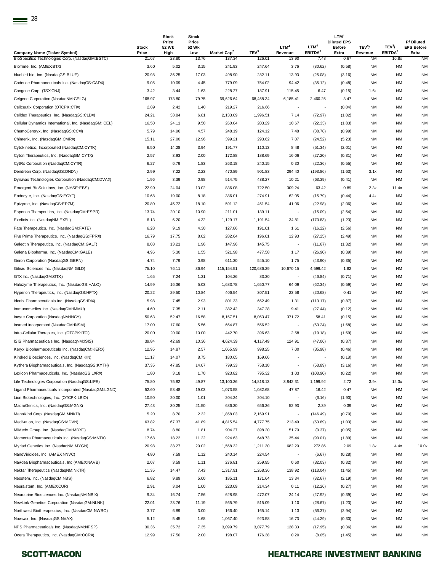|                                                                                        | <b>Stock</b>   | <b>Stock</b><br>Price<br>52 Wk | <b>Stock</b><br>Price<br>52 Wk |                                   |                            | LTM <sup>4</sup>         | LTM <sup>4</sup>            | LTM <sup>4</sup><br><b>Diluted EPS</b><br><b>Before</b> | TEV <sup>3</sup> /   | TEV <sup>3</sup> /           | P/Diluted<br><b>EPS Before</b> |
|----------------------------------------------------------------------------------------|----------------|--------------------------------|--------------------------------|-----------------------------------|----------------------------|--------------------------|-----------------------------|---------------------------------------------------------|----------------------|------------------------------|--------------------------------|
| <b>Company Name (Ticker Symbol)</b><br>BioSpecifics Technologies Corp. (NasdaqGM:BSTC) | Price<br>21.67 | High<br>23.80                  | Low<br>13.76                   | Market Cap <sup>2</sup><br>137.34 | TEV <sup>3</sup><br>126.01 | Revenue<br>13.90         | EBITDA <sup>5</sup><br>7.48 | Extra<br>0.67                                           | Revenue<br><b>NM</b> | EBITDA <sup>5</sup><br>16.8x | Extra<br><b>NM</b>             |
| BioTime, Inc. (AMEX:BTX)                                                               | 3.60           | 5.02                           | 3.15                           | 241.93                            | 247.64                     | 3.76                     | (30.62)                     | (0.58)                                                  | ΝM                   | <b>NM</b>                    | <b>NM</b>                      |
| bluebird bio, Inc. (NasdaqGS:BLUE)                                                     | 20.98          | 36.25                          | 17.03                          | 498.90                            | 282.11                     | 13.93                    | (25.08)                     | (3.16)                                                  | NM                   | <b>NM</b>                    | <b>NM</b>                      |
| Cadence Pharmaceuticals Inc. (NasdaqGS:CADX)                                           | 9.05           | 10.09                          | 4.45                           | 779.09                            | 754.02                     | 94.42                    | (35.12)                     | (0.48)                                                  | ΝM                   | <b>NM</b>                    | <b>NM</b>                      |
| Cangene Corp. (TSX:CNJ)                                                                | 3.42           | 3.44                           | 1.63                           | 228.27                            | 187.91                     | 115.45                   | 6.47                        | (0.15)                                                  | 1.6x                 | <b>NM</b>                    | <b>NM</b>                      |
| Celgene Corporation (NasdaqNM:CELG)                                                    | 168.97         | 173.80                         | 79.75                          | 69,626.64                         | 68,458.34                  | 6,185.41                 | 2,460.25                    | 3.47                                                    | NM                   | <b>NM</b>                    | ΝM                             |
| Cellceutix Corporation (OTCPK:CTIX)                                                    | 2.09           | 2.42                           | 1.40                           | 219.27                            | 216.66                     | $\overline{\phantom{a}}$ |                             | (0.04)                                                  | ΝM                   | <b>NM</b>                    | NM                             |
| Celldex Therapeutics, Inc. (NasdaqGS:CLDX)                                             | 24.21          | 38.84                          | 6.81                           | 2,133.09                          | 1,996.51                   | 7.14                     | (72.97)                     | (1.02)                                                  | NM                   | <b>NM</b>                    | <b>NM</b>                      |
|                                                                                        |                |                                |                                | 260.04                            | 203.29                     |                          |                             |                                                         |                      | <b>NM</b>                    | <b>NM</b>                      |
| Cellular Dynamics International, Inc. (NasdaqGM:ICEL)                                  | 16.50          | 24.11                          | 9.50                           |                                   |                            | 10.67                    | (22.33)                     | (1.83)                                                  | ΝM                   | <b>NM</b>                    |                                |
| ChemoCentryx, Inc. (NasdaqGS:CCXI)                                                     | 5.79           | 14.96                          | 4.57                           | 248.19                            | 124.12                     | 7.48                     | (38.78)                     | (0.99)                                                  | ΝM                   |                              | <b>NM</b>                      |
| Chimerix, Inc. (NasdaqGM:CMRX)                                                         | 15.11          | 27.00                          | 12.96                          | 399.21                            | 293.62                     | 7.07                     | (24.52)                     | (5.23)                                                  | ΝM                   | <b>NM</b>                    | <b>NM</b>                      |
| Cytokinetics, Incorporated (NasdaqCM:CYTK)                                             | 6.50           | 14.28                          | 3.94                           | 191.77                            | 110.13                     | 8.48                     | (51.34)                     | (2.01)                                                  | ΝM                   | <b>NM</b>                    | <b>NM</b>                      |
| Cytori Therapeutics, Inc. (NasdaqGM:CYTX)                                              | 2.57           | 3.93                           | 2.00                           | 172.88                            | 188.69                     | 16.06                    | (27.20)                     | (0.31)                                                  | NM                   | <b>NM</b>                    | <b>NM</b>                      |
| CytRx Corporation (NasdaqCM:CYTR)                                                      | 6.27           | 6.79                           | 1.83                           | 263.18                            | 240.15                     | 0.30                     | (22.36)                     | (0.55)                                                  | NM                   | <b>NM</b>                    | ΝM                             |
| Dendreon Corp. (NasdaqGS:DNDN)                                                         | 2.99           | 7.22                           | 2.23                           | 470.89                            | 901.83                     | 294.40                   | (193.86)                    | (1.63)                                                  | 3.1x                 | <b>NM</b>                    | ΝM                             |
| Dynavax Technologies Corporation (NasdaqCM:DVAX)                                       | 1.96           | 3.39                           | 0.98                           | 514.75                            | 438.27                     | 10.21                    | (63.39)                     | (0.41)                                                  | NM                   | <b>NM</b>                    | <b>NM</b>                      |
| Emergent BioSolutions, Inc. (NYSE:EBS)                                                 | 22.99          | 24.04                          | 13.02                          | 836.08                            | 722.50                     | 309.24                   | 63.42                       | 0.89                                                    | 2.3x                 | 11.4x                        | <b>NM</b>                      |
| Endocyte, Inc. (NasdaqGS:ECYT)                                                         | 10.68          | 19.00                          | 8.18                           | 386.01                            | 274.91                     | 62.05                    | (15.79)                     | (0.44)                                                  | 4.4x                 | <b>NM</b>                    | <b>NM</b>                      |
| Epizyme, Inc. (NasdaqGS:EPZM)                                                          | 20.80          | 45.72                          | 18.10                          | 591.12                            | 451.54                     | 41.06                    | (22.98)                     | (2.06)                                                  | ΝM                   | <b>NM</b>                    | ΝM                             |
| Esperion Therapeutics, Inc. (NasdaqGM:ESPR)                                            | 13.74          | 20.10                          | 10.90                          | 211.01                            | 139.11                     | $\overline{\phantom{a}}$ | (15.09)                     | (2.54)                                                  | NM                   | <b>NM</b>                    | <b>NM</b>                      |
| Exelixis Inc. (NasdaqNM:EXEL)                                                          | 6.13           | 6.20                           | 4.32                           | 1,129.17                          | 1,191.54                   | 34.81                    | (170.83)                    | (1.23)                                                  | ΝM                   | <b>NM</b>                    | <b>NM</b>                      |
| Fate Therapeutics, Inc. (NasdaqGM:FATE)                                                | 6.28           | 9.19                           | 4.30                           | 127.86                            | 191.01                     | 1.61                     | (16.22)                     | (2.56)                                                  | ΝM                   | <b>NM</b>                    | <b>NM</b>                      |
| Five Prime Therapeutics, Inc. (NasdaqGS:FPRX)                                          | 16.79          | 17.75                          | 8.02                           | 282.64                            | 196.01                     | 12.93                    | (27.25)                     | (2.49)                                                  | ΝM                   | <b>NM</b>                    | <b>NM</b>                      |
| Galectin Therapeutics, Inc. (NasdaqCM:GALT)                                            | 8.08           | 13.21                          | 1.96                           | 147.96                            | 145.75                     | $\overline{\phantom{a}}$ | (11.67)                     | (1.32)                                                  | NM                   | <b>NM</b>                    | <b>NM</b>                      |
| Galena Biopharma, Inc. (NasdaqCM:GALE)                                                 | 4.96           | 5.30                           | 1.55                           | 521.98                            | 477.58                     | 1.17                     | (26.90)                     | (0.39)                                                  | ΝM                   | <b>NM</b>                    | <b>NM</b>                      |
| Geron Corporation (NasdaqGS:GERN)                                                      | 4.74           | 7.79                           | 0.98                           | 611.30                            | 545.10                     | 1.75                     | (43.90)                     | (0.35)                                                  | ΝM                   | <b>NM</b>                    | <b>NM</b>                      |
| Gilead Sciences Inc. (NasdaqNM:GILD)                                                   | 75.10          | 76.11                          | 36.94                          | 115, 154.51                       | 120,686.29                 | 10,670.15                | 4,599.42                    | 1.82                                                    | ΝM                   | <b>NM</b>                    | <b>NM</b>                      |
| GTX Inc. (NasdaqGM:GTXI)                                                               | 1.65           | 7.24                           | 1.31                           | 104.26                            | 83.30                      | $\overline{\phantom{a}}$ | (46.84)                     | (0.71)                                                  | NM                   | <b>NM</b>                    | <b>NM</b>                      |
| Halozyme Therapeutics, Inc. (NasdaqGS:HALO)                                            | 14.99          | 16.36                          | 5.03                           | 1,683.78                          | 1,650.77                   | 64.09                    | (62.34)                     | (0.59)                                                  | NM                   | <b>NM</b>                    | ΝM                             |
| Hyperion Therapeutics, Inc. (NasdaqGS:HPTX)                                            | 20.22          | 29.50                          | 10.84                          | 406.54                            | 307.51                     | 23.58                    | (20.68)                     | 0.41                                                    | ΝM                   | <b>NM</b>                    | ΝM                             |
| Idenix Pharmaceuticals Inc. (NasdaqGS:IDIX)                                            | 5.98           | 7.45                           | 2.93                           | 801.33                            | 652.49                     | 1.31                     | (113.17)                    | (0.87)                                                  | NM                   | <b>NM</b>                    | <b>NM</b>                      |
| Immunomedics Inc. (NasdaqGM:IMMU)                                                      | 4.60           | 7.35                           | 2.11                           | 382.42                            | 347.28                     | 9.41                     | (27.44)                     | (0.12)                                                  | NM                   | <b>NM</b>                    | <b>NM</b>                      |
| Incyte Corporation (NasdaqNM:INCY)                                                     | 50.63          | 52.47                          | 16.58                          | 8,157.51                          | 8,053.47                   | 371.72                   | 58.41                       | (0.15)                                                  | ΝM                   | <b>NM</b>                    | <b>NM</b>                      |
| Insmed Incorporated (NasdaqCM:INSM)                                                    | 17.00          | 17.60                          | 5.56                           | 664.87                            | 556.52                     |                          | (63.24)                     | (1.68)                                                  | ΝM                   | <b>NM</b>                    | ΝM                             |
| Intra-Cellular Therapies, Inc. (OTCPK:ITCI)                                            | 20.00          | 20.00                          | 10.00                          | 442.70                            | 396.63                     | 2.58                     | (19.18)                     | (1.69)                                                  | NM                   | <b>NM</b>                    | <b>NM</b>                      |
| ISIS Pharmaceuticals Inc. (NasdaqNM:ISIS)                                              | 39.84          | 42.69                          | 10.36                          | 4,624.39                          | 4,117.49                   | 124.91                   | (47.06)                     | (0.37)                                                  | ΝM                   | <b>NM</b>                    | ΝM                             |
| Keryx Biopharmaceuticals Inc. (NasdaqCM:KERX)                                          | 12.95          | 14.87                          | 2.57                           | 1,065.99                          | 998.25                     | 7.00                     | (35.98)                     | (0.46)                                                  | NM                   | <b>NM</b>                    | <b>NM</b>                      |
| Kindred Biosciences, Inc. (NasdaqCM:KIN)                                               | 11.17          | 14.07                          | 8.75                           | 180.65                            | 169.66                     |                          |                             | (0.18)                                                  | ΝM                   | <b>NM</b>                    | ΝM                             |
| Kythera Biopharmaceuticals, Inc. (NasdaqGS:KYTH)                                       | 37.35          | 47.85                          | 14.07                          | 799.33                            | 758.10                     | $\overline{\phantom{a}}$ | (53.89)                     | (3.16)                                                  | ΝM                   | <b>NM</b>                    | <b>NM</b>                      |
| Lexicon Pharmaceuticals, Inc. (NasdaqGS:LXRX)                                          | 1.80           | 3.18                           | 1.70                           | 923.82                            | 795.32                     | 1.03                     | (103.90)                    | (0.22)                                                  | NM                   | <b>NM</b>                    | <b>NM</b>                      |
| Life Technologies Corporation (NasdaqGS:LIFE)                                          | 75.80          | 75.82                          | 49.87                          | 13,100.36                         | 14,818.13                  | 3,842.31                 | 1,199.92                    | 2.72                                                    | 3.9x                 | 12.3x                        | <b>NM</b>                      |
| Ligand Pharmaceuticals Incorporated (NasdaqGM:LGND)                                    | 52.60          | 58.48                          | 19.03                          | 1,073.58                          | 1,082.68                   | 47.87                    | 16.42                       | 0.47                                                    | NM                   | <b>NM</b>                    | <b>NM</b>                      |
| Lion Biotechnologies, Inc. (OTCPK:LBIO)                                                | 10.50          | 20.00                          | 1.01                           | 204.24                            | 204.10                     | $\overline{\phantom{a}}$ | (6.16)                      | (1.90)                                                  | ΝM                   | <b>NM</b>                    | ΝM                             |
| MacroGenics, Inc. (NasdaqGS:MGNX)                                                      | 27.43          | 30.25                          | 21.50                          | 686.30                            | 656.36                     | 52.93                    | 2.39                        | 0.39                                                    | NM                   | <b>NM</b>                    | <b>NM</b>                      |
| MannKind Corp. (NasdaqGM:MNKD)                                                         | 5.20           | 8.70                           | 2.32                           | 1,858.03                          | 2,169.91                   |                          | (146.49)                    | (0.70)                                                  | NM                   | <b>NM</b>                    | ΝM                             |
| Medivation, Inc. (NasdaqGS:MDVN)                                                       | 63.82          | 67.37                          | 41.89                          | 4,815.54                          | 4,777.75                   | 213.49                   | (53.89)                     | (1.03)                                                  | NM                   | <b>NM</b>                    | <b>NM</b>                      |
| MiMedx Group, Inc. (NasdaqCM:MDXG)                                                     | 8.74           | 8.80                           | 1.81                           | 904.27                            | 898.20                     | 51.70                    | (0.37)                      | (0.05)                                                  | ΝM                   | <b>NM</b>                    | <b>NM</b>                      |
| Momenta Pharmaceuticals Inc. (NasdaqGS:MNTA)                                           | 17.68          | 18.22                          | 11.22                          | 924.63                            | 648.73                     | 35.44                    | (90.01)                     | (1.89)                                                  | NM                   | <b>NM</b>                    | <b>NM</b>                      |
| Myriad Genetics Inc. (NasdaqNM:MYGN)                                                   | 20.98          | 38.27                          | 20.02                          | 1,568.32                          | 1,211.30                   | 682.20                   | 272.86                      | 2.09                                                    | 1.8x                 | 4.4x                         | 10.0x                          |
| NanoViricides, Inc. (AMEX:NNVC)                                                        | 4.80           | 7.59                           | 1.12                           | 240.14                            | 224.54                     | $\overline{\phantom{a}}$ | (6.67)                      | (0.28)                                                  | NM                   | <b>NM</b>                    | <b>NM</b>                      |
| Navidea Biopharmaceuticals, Inc (AMEX:NAVB)                                            | 2.07           | 3.59                           | 1.11                           | 276.81                            | 259.95                     | 0.60                     | (32.03)                     | (0.32)                                                  | ΝM                   | <b>NM</b>                    | ΝM                             |
| Nektar Therapeutics (NasdaqNM:NKTR)                                                    | 11.35          | 14.47                          | 7.43                           | 1,317.91                          | 1,268.36                   | 138.92                   | (113.04)                    |                                                         | NM                   | <b>NM</b>                    | ΝM                             |
|                                                                                        | 6.82           |                                |                                | 185.11                            |                            |                          |                             | (1.45)                                                  |                      | <b>NM</b>                    |                                |
| Neostem, Inc. (NasdaqCM:NBS)                                                           |                | 9.89                           | 5.00                           |                                   | 171.64                     | 13.34                    | (32.67)                     | (2.19)                                                  | ΝM                   |                              | ΝM                             |
| Neuralstem, Inc. (AMEX:CUR)                                                            | 2.91           | 3.04                           | 1.00                           | 223.09                            | 214.34                     | 0.11                     | (12.26)                     | (0.27)                                                  | ΝM                   | <b>NM</b>                    | <b>NM</b>                      |
| Neurocrine Biosciences Inc. (NasdaqNM:NBIX)                                            | 9.34           | 16.74                          | 7.56                           | 628.98                            | 472.07                     | 24.14                    | (27.92)                     | (0.39)                                                  | ΝM                   | <b>NM</b>                    | ΝM                             |
| NewLink Genetics Corporation (NasdaqGM:NLNK)                                           | 22.01          | 23.76                          | 11.19                          | 565.79                            | 515.09                     | 1.10                     | (28.67)                     | (1.23)                                                  | NM                   | <b>NM</b>                    | <b>NM</b>                      |
| Northwest Biotherapeutics, Inc. (NasdaqCM:NWBO)                                        | 3.77           | 6.89                           | 3.00                           | 166.40                            | 165.14                     | 1.13                     | (56.37)                     | (2.94)                                                  | NM                   | <b>NM</b>                    | <b>NM</b>                      |
| Novavax, Inc. (NasdaqGS:NVAX)                                                          | 5.12           | 5.45                           | 1.68                           | 1,067.40                          | 923.58                     | 16.73                    | (44.29)                     | (0.30)                                                  | ΝM                   | <b>NM</b>                    | ΝM                             |
| NPS Pharmaceuticals Inc. (NasdaqNM:NPSP)                                               | 30.36          | 35.72                          | 7.35                           | 3,099.79                          | 3,077.79                   | 128.33                   | (17.95)                     | (0.36)                                                  | NM                   | <b>NM</b>                    | ΝM                             |
| Ocera Therapeutics, Inc. (NasdaqGM:OCRX)                                               | 12.99          | 17.50                          | 2.00                           | 198.07                            | 176.38                     | 0.20                     | (8.05)                      | (1.45)                                                  | ΝM                   | <b>NM</b>                    | NM                             |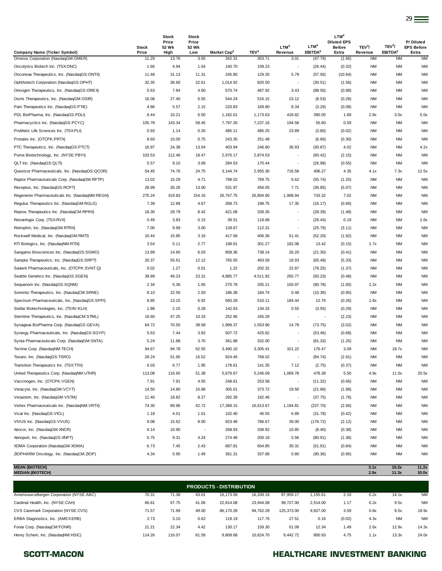|                                                                           | <b>Stock</b>   | Stock<br>Price<br>52 Wk | <b>Stock</b><br>Price<br>52 Wk |                                   |                            | LTM <sup>4</sup>         | LTM <sup>4</sup>               | LTM <sup>4</sup><br><b>Diluted EPS</b><br><b>Before</b> | TEV <sup>3</sup> /   | TEV <sup>3</sup> /               | P/Diluted<br><b>EPS Before</b> |
|---------------------------------------------------------------------------|----------------|-------------------------|--------------------------------|-----------------------------------|----------------------------|--------------------------|--------------------------------|---------------------------------------------------------|----------------------|----------------------------------|--------------------------------|
| <b>Company Name (Ticker Symbol)</b><br>Omeros Corporation (NasdaqGM:OMER) | Price<br>11.29 | High<br>13.76           | Low<br>3.65                    | Market Cap <sup>2</sup><br>342.31 | TEV <sup>3</sup><br>353.71 | Revenue<br>3.01          | EBITDA <sup>5</sup><br>(47.79) | Extra<br>(1.66)                                         | Revenue<br><b>NM</b> | EBITDA <sup>5</sup><br><b>NM</b> | Extra<br><b>NM</b>             |
| Oncolytics Biotech Inc. (TSX:ONC)                                         | 1.66           | 4.94                    | 1.54                           | 140.70                            | 109.23                     | $\overline{\phantom{a}}$ | (26.44)                        | (0.32)                                                  | ΝM                   | NM                               | <b>NM</b>                      |
| Onconova Therapeutics, Inc. (NasdaqGS:ONTX)                               | 11.48          | 31.13                   | 11.31                          | 245.80                            | 129.20                     | 5.79                     | (57.56)                        | (10.64)                                                 | NM                   | NM                               | <b>NM</b>                      |
| Ophthotech Corporation (NasdaqGS:OPHT)                                    | 32.35          | 36.60                   | 22.61                          | 1,014.92                          | 820.50                     | $\overline{\phantom{a}}$ | (30.51)                        | (1.56)                                                  | NM                   | <b>NM</b>                        | <b>NM</b>                      |
| Orexigen Therapeutics, Inc. (NasdaqGS:OREX)                               | 5.63           | 7.84                    | 4.60                           | 570.74                            | 487.92                     | 3.43                     | (88.56)                        | (0.98)                                                  | NM                   | NM                               | <b>NM</b>                      |
| Osiris Therapeutics, Inc. (NasdaqGM:OSIR)                                 | 16.08          | 27.40                   | 6.55                           | 544.24                            | 516.15                     | 23.12                    | (8.53)                         | (0.28)                                                  | NM                   | NM                               | <b>NM</b>                      |
| Pain Therapeutics Inc. (NasdaqGS:PTIE)                                    | 4.86           | 5.57                    | 2.15                           | 220.83                            | 169.80                     | 8.34                     | (3.29)                         | (0.08)                                                  | <b>NM</b>            | NM                               | <b>NM</b>                      |
| PDL BioPharma, Inc. (NasdaqGS:PDLI)                                       | 8.44           | 10.21                   | 6.50                           | 1,182.01                          | 1,173.63                   | 418.82                   | 390.05                         | 1.69                                                    | 2.8x                 | 3.0x                             | 5.0x                           |
| Pharmacyclics Inc. (NasdaqGS:PCYC)                                        | 105.78         | 143.34                  | 59.45                          | 7,797.26                          | 7,237.16                   | 194.58                   | 55.60                          | 0.59                                                    | <b>NM</b>            | NM                               | <b>NM</b>                      |
| ProMetic Life Sciences Inc. (TSX:PLI)                                     | 0.93           | 1.14                    | 0.26                           | 485.11                            | 485.25                     | 23.89                    | (3.80)                         | (0.02)                                                  | <b>NM</b>            | NM                               | <b>NM</b>                      |
| Protalex Inc. (OTCPK:PRTX)                                                | 8.60           | 10.00                   | 0.75                           | 243.35                            | 251.48                     |                          | (6.66)                         | (0.30)                                                  | NM                   | <b>NM</b>                        | <b>NM</b>                      |
| PTC Therapeutics, Inc. (NasdaqGS:PTCT)                                    | 16.97          | 24.38                   | 13.04                          | 403.94                            | 246.80                     | 36.93                    | (30.87)                        | 4.02                                                    | NM                   | NM                               | 4.2x                           |
| Puma Biotechnology, Inc. (NYSE:PBYI)                                      | 103.53         | 112.46                  | 18.47                          | 2,970.17                          | 2,874.53                   | $\overline{\phantom{a}}$ | (60.42)                        | (2.15)                                                  | <b>NM</b>            | NM                               | <b>NM</b>                      |
| QLT Inc. (NasdaqGS:QLTI)                                                  | 5.57           | 9.10                    | 3.69                           | 284.53                            | 170.44                     | $\sim$                   | (26.98)                        | (0.55)                                                  | NM                   | NM                               | <b>NM</b>                      |
| Questcor Pharmaceuticals, Inc. (NasdaqGS:QCOR)                            | 54.45          | 74.76                   | 24.75                          | 3,144.74                          | 2,955.30                   | 716.58                   | 406.27                         | 4.35                                                    | 4.1x                 | 7.3x                             | 12.5x                          |
| Raptor Pharmaceuticals Corp. (NasdaqGM:RPTP)                              | 13.02          | 15.29                   | 4.71                           | 798.02                            | 759.75                     | 6.62                     | (55.74)                        | (1.25)                                                  | ΝM                   | NM                               | <b>NM</b>                      |
| Receptos, Inc. (NasdaqGS:RCPT)                                            | 28.99          | 35.26                   | 13.00                          | 531.97                            | 456.05                     | 7.71                     | (36.85)                        | (5.07)                                                  | ΝM                   | NM                               | <b>NM</b>                      |
| Regeneron Pharmaceuticals Inc. (NasdaqNM:REGN)                            | 275.24         | 319.83                  | 154.16                         | 26,767.75                         | 26,804.60                  | 1,908.94                 | 733.32                         | 7.02                                                    | NM                   | <b>NM</b>                        | <b>NM</b>                      |
| Regulus Therapeutics Inc. (NasdaqGM:RGLS)                                 | 7.39           | 12.89                   | 4.67                           | 308.73                            | 198.75                     | 17.35                    | (16.17)                        | (0.66)                                                  | NM                   | <b>NM</b>                        | <b>NM</b>                      |
| Repros Therapeutics Inc. (NasdaqCM:RPRX)                                  | 18.30          | 29.79                   | 8.42                           | 421.08                            | 339.26                     | $\sim$                   | (28.39)                        | (1.48)                                                  | NM                   | NM                               | <b>NM</b>                      |
| Resverlogix Corp. (TSX:RVX)                                               | 0.49           | 3.83                    | 0.15                           | 39.51                             | 119.88                     |                          | (26.44)                        | 0.19                                                    | NM                   | <b>NM</b>                        | 2.6x                           |
| Retrophin, Inc. (NasdaqGM:RTRX)                                           | 7.00           | 9.99                    | 3.00                           | 128.67                            | 112.31                     | $\blacksquare$           | (25.79)                        | (3.11)                                                  | <b>NM</b>            | NM                               | <b>NM</b>                      |
| Rockwell Medical, Inc. (NasdaqGM:RMTI)                                    | 10.44          | 15.85                   | 3.16                           | 417.58                            | 406.36                     | 51.41                    | (52.20)                        | (1.92)                                                  | NM                   | NM                               | <b>NM</b>                      |
| RTI Biologics, Inc. (NasdaqNM:RTIX)                                       | 3.54           | 5.11                    | 2.77                           | 199.61                            | 301.27                     | 182.08                   | 13.42                          | (0.15)                                                  | 1.7x                 | NM                               | <b>NM</b>                      |
| Sangamo Biosciences Inc. (NasdaqGS:SGMO)                                  | 13.89          | 14.60                   | 6.03                           | 858.36                            | 738.14                     | 26.20                    | (21.30)                        | (0.41)                                                  | NM                   | <b>NM</b>                        | <b>NM</b>                      |
| Sarepta Therapeutics, Inc. (NasdaqGS:SRPT)                                | 20.37          | 55.61                   | 12.12                          | 765.55                            | 493.59                     | 18.93                    | (65.48)                        | (5.33)                                                  | <b>NM</b>            | NM                               | <b>NM</b>                      |
| Savient Pharmaceuticals, Inc. (OTCPK:SVNT.Q)                              | 0.02           | 1.27                    | 0.01                           | 1.22                              | 202.32                     | 22.87                    | (78.25)                        | (1.37)                                                  | NM                   | <b>NM</b>                        | <b>NM</b>                      |
| Seattle Genetics Inc. (NasdaqGS:SGEN)                                     | 39.89          | 49.23                   | 23.31                          | 4,885.77                          | 4,511.92                   | 265.77                   | (50.23)                        | (0.48)                                                  | <b>NM</b>            | NM                               | <b>NM</b>                      |
| Sequenom Inc. (NasdaqGS:SQNM)                                             | 2.34           | 5.36                    | 1.65                           | 270.78                            | 335.21                     | 150.97                   | (90.78)                        | (1.05)                                                  | 2.2x                 | NM                               | <b>NM</b>                      |
| Sorrento Therapeutics, Inc. (NasdaqCM:SRNE)                               | 8.10           | 22.50                   | 2.50                           | 186.38                            | 184.74                     | 0.48                     | (10.36)                        | (0.95)                                                  | <b>NM</b>            | ΝM                               | <b>NM</b>                      |
| Spectrum Pharmaceuticals, Inc. (NasdaqGS:SPPI)                            | 8.85           | 13.15                   | 6.92                           | 560.28                            | 510.11                     | 184.44                   | 12.76                          | (0.26)                                                  | 2.8x                 | NM                               | <b>NM</b>                      |
| Stellar Biotechnologies, Inc. (TSXV:KLH)                                  | 1.88           | 2.15                    | 0.28                           | 142.63                            | 134.33                     | 0.55                     | (3.55)                         | (0.29)                                                  | ΝM                   | NM                               | <b>NM</b>                      |
| Stemline Therapeutics, Inc. (NasdaqCM:STML)                               | 19.60          | 47.25                   | 10.33                          | 252.96                            | 165.29                     |                          |                                | (2.23)                                                  | ΝM                   | <b>NM</b>                        | <b>NM</b>                      |
| Synageva BioPharma Corp. (NasdaqGS:GEVA)                                  | 64.72          | 70.50                   | 38.58                          | 1,989.37                          | 1,553.90                   | 14.78                    | (73.75)                        | (3.02)                                                  | NM                   | NM                               | <b>NM</b>                      |
| Synergy Pharmaceuticals, Inc. (NasdaqGS:SGYP)                             | 5.63           | 7.44                    | 3.83                           | 507.72                            | 425.62                     | $\overline{\phantom{a}}$ | (53.46)                        | (0.68)                                                  | ΝM                   | NM                               | <b>NM</b>                      |
| Synta Pharmaceuticals Corp. (NasdaqGM:SNTA)                               | 5.24           | 11.88                   | 3.70                           | 361.88                            | 332.00                     | $\overline{\phantom{a}}$ | (81.33)                        | (1.25)                                                  | NM                   | NM                               | ΝM                             |
| Techne Corp. (NasdaqNM:TECH)                                              | 94.67          | 94.78                   | 62.55                          | 3,490.10                          | 3,305.41                   | 321.22                   | 176.47                         | 3.09                                                    | <b>NM</b>            | 18.7x                            | <b>NM</b>                      |
| Tesaro, Inc. (NasdaqGS:TSRO)                                              | 28.24          | 51.95                   | 16.52                          | 924.46                            | 768.02                     |                          | (84.74)                        | (2.91)                                                  | ΝM                   | ΝM                               | <b>NM</b>                      |
| Transition Therapeutics Inc. (TSX:TTH)                                    | 6.03           | 6.77                    | 1.95                           | 178.61                            | 141.35                     | 7.12                     | (2.75)                         | (0.37)                                                  | <b>NM</b>            | ΝM                               | <b>NM</b>                      |
| United Therapeutics Corp. (NasdaqNM:UTHR)                                 | 113.08         | 116.65                  | 51.38                          | 5,679.67                          | 5,246.09                   | 1,069.78                 | 478.39                         | 5.50                                                    | 4.9x                 | 11.0x                            | 20.5x                          |
| Vaccinogen, Inc. (OTCPK:VGEN)                                             | 7.91           | 7.91                    | 4.55                           | 248.61                            | 253.58                     |                          | (11.32)                        | (0.66)                                                  | <b>NM</b>            | NM                               | <b>NM</b>                      |
| Veracyte, Inc. (NasdaqGM:VCYT)                                            | 14.50          | 14.80                   | 10.88                          | 305.01                            | 373.72                     | 19.50                    | (21.68)                        | (1.98)                                                  | <b>NM</b>            | NM                               | <b>NM</b>                      |
| Verastem, Inc. (NasdaqGM:VSTM)                                            | 11.40          | 18.82                   | 8.27                           | 292.39                            | 192.46                     | $\overline{\phantom{a}}$ | (37.75)                        | (1.76)                                                  | NM                   | NM                               | <b>NM</b>                      |
| Vertex Pharmaceuticals Inc. (NasdaqNM:VRTX)                               | 74.30          | 89.96                   | 42.72                          | 17,368.15                         | 16,613.67                  | 1,194.81                 | (237.70)                       | (2.56)                                                  | NM                   | NM                               | <b>NM</b>                      |
| Vical Inc. (NasdaqGS:VICL)                                                | 1.18           | 4.51                    | 1.01                           | 102.40                            | 46.55                      | 6.89                     | (31.78)                        | (0.42)                                                  | NM                   | NM                               | <b>NM</b>                      |
| VIVUS Inc. (NasdaqGS:VVUS)                                                | 9.08           | 15.62                   | 8.00                           | 923.48                            | 786.67                     | 39.00                    | (176.72)                       | (2.12)                                                  | NM                   | NM                               | <b>NM</b>                      |
| Xencor, Inc. (NasdaqGM:XNCR)                                              | 9.14           | 10.90                   | $\overline{\phantom{a}}$       | 268.93                            | 338.92                     | 10.85                    | (8.40)                         | (0.38)                                                  | NM                   | NM                               | ΝM                             |
| Xenoport, Inc. (NasdaqGS:XNPT)                                            | 5.75           | 9.31                    | 4.24                           | 274.48                            | 200.18                     | 5.56                     | (80.91)                        | (1.36)                                                  | NM                   | NM                               | <b>NM</b>                      |
| XOMA Corporation (NasdaqGM:XOMA)                                          | 6.73           | 7.45                    | 2.43                           | 687.81                            | 654.85                     | 30.31                    | (51.91)                        | (0.84)                                                  | <b>NM</b>            | NM                               | <b>NM</b>                      |
| ZIOPHARM Oncology, Inc. (NasdaqCM:ZIOP)                                   | 4.34           | 5.95                    | 1.49                           | 361.31                            | 337.68                     | 0.80                     | (90.36)                        | (0.95)                                                  | <b>NM</b>            | NM                               | <b>NM</b>                      |
| <b>MEAN (BIOTECH)</b><br><b>MEDIAN (BIOTECH)</b>                          |                |                         |                                |                                   |                            |                          |                                |                                                         | 3.1x<br>2.9x         | 10.2x<br>11.3x                   | 11.2x<br>10.0x                 |

| <b>PRODUCTS - DISTRIBUTION</b>           |        |        |       |           |           |            |          |        |      |           |           |
|------------------------------------------|--------|--------|-------|-----------|-----------|------------|----------|--------|------|-----------|-----------|
| AmerisourceBergen Corporation (NYSE:ABC) | 70.31  | 71.38  | 43.01 | 16,173.56 | 16.339.16 | 87.959.17  | 1.155.61 | 2.10   | 0.2x | 14.1x     | <b>NM</b> |
| Cardinal Health, Inc. (NYSE:CAH)         | 66.81  | 67.75  | 41.06 | 22.814.08 | 23.944.08 | 99.727.00  | 2.514.00 | 1.17   | 0.2x | 9.5x      | <b>NM</b> |
| CVS Caremark Corporation (NYSE:CVS)      | 71.57  | 71.99  | 49.00 | 86,170.28 | 94.762.28 | 125.373.00 | 9.927.00 | 3.59   | 0.8x | 9.5x      | 19.9x     |
| ERBA Diagnostics, Inc. (AMEXERB)         | 2.73   | 3.10   | 0.62  | 119.19    | 117.76    | 27.51      | 0.16     | (0.02) | 4.3x | <b>NM</b> | <b>NM</b> |
| Fonar Corp. (NasdaqCM:FONR)              | 21.21  | 22.34  | 4.42  | 130.17    | 159.30    | 61.09      | 12.34    | 1.49   | 2.6x | 12.9x     | 14.3x     |
| Henry Schein, Inc. (NasdaqNM:HSIC)       | 114.26 | 116.07 | 81.59 | 9.809.68  | 10.624.70 | 9.442.72   | 800.93   | 4.75   | 1.1x | 13.3x     | 24.0x     |

### SCOTT-MACON **SCOTT-MACON HEALTHCARE INVESTMENT BANKING**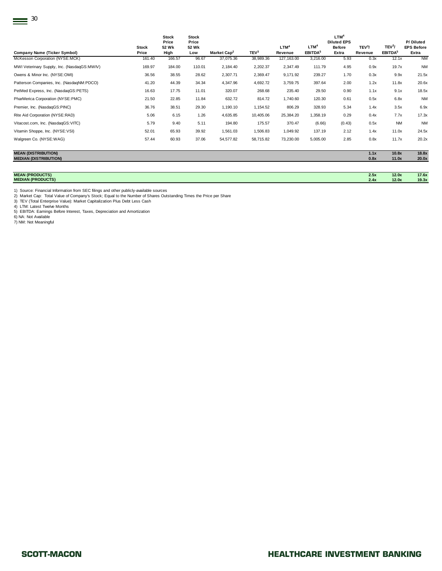| <b>Company Name (Ticker Symbol)</b>                        | <b>Stock</b><br>Price | <b>Stock</b><br>Price<br>52 Wk<br>High | <b>Stock</b><br>Price<br>52 Wk<br>Low | Market Cap <sup>2</sup> | TEV <sup>3</sup> | LTM <sup>4</sup><br>Revenue | LTM <sup>4</sup><br>EBITDA <sup>5</sup> | LTM <sup>4</sup><br><b>Diluted EPS</b><br><b>Before</b><br>Extra | TEV <sup>3</sup> /<br>Revenue | TEV <sup>3</sup> /<br>EBITDA <sup>5</sup> | P/Diluted<br><b>EPS Before</b><br>Extra |
|------------------------------------------------------------|-----------------------|----------------------------------------|---------------------------------------|-------------------------|------------------|-----------------------------|-----------------------------------------|------------------------------------------------------------------|-------------------------------|-------------------------------------------|-----------------------------------------|
| McKesson Corporation (NYSE:MCK)                            | 161.40                | 166.57                                 | 96.67                                 | 37,075.36               | 38,989.36        | 127, 163.00                 | 3,216.00                                | 5.93                                                             | 0.3x                          | 12.1x                                     | <b>NM</b>                               |
| MWI Veterinary Supply, Inc. (NasdaqGS:MWIV)                | 169.97                | 184.00                                 | 110.01                                | 2,184.40                | 2,202.37         | 2,347.49                    | 111.79                                  | 4.95                                                             | 0.9x                          | 19.7x                                     | <b>NM</b>                               |
| Owens & Minor Inc. (NYSE:OMI)                              | 36.56                 | 38.55                                  | 28.62                                 | 2,307.71                | 2,369.47         | 9,171.92                    | 239.27                                  | 1.70                                                             | 0.3x                          | 9.9x                                      | 21.5x                                   |
| Patterson Companies, Inc. (NasdaqNM:PDCO)                  | 41.20                 | 44.39                                  | 34.34                                 | 4,347.96                | 4,692.72         | 3,759.75                    | 397.64                                  | 2.00                                                             | 1.2x                          | 11.8x                                     | 20.6x                                   |
| PetMed Express, Inc. (NasdaqGS:PETS)                       | 16.63                 | 17.75                                  | 11.01                                 | 320.07                  | 268.68           | 235.40                      | 29.50                                   | 0.90                                                             | 1.1x                          | 9.1x                                      | 18.5x                                   |
| PharMerica Corporation (NYSE:PMC)                          | 21.50                 | 22.85                                  | 11.84                                 | 632.72                  | 814.72           | 1,740.60                    | 120.30                                  | 0.61                                                             | 0.5x                          | 6.8x                                      | <b>NM</b>                               |
| Premier, Inc. (NasdaqGS:PINC)                              | 36.76                 | 38.51                                  | 29.30                                 | 1,190.10                | 1,154.52         | 806.29                      | 328.93                                  | 5.34                                                             | 1.4x                          | 3.5x                                      | 6.9x                                    |
| Rite Aid Corporation (NYSE:RAD)                            | 5.06                  | 6.15                                   | 1.26                                  | 4,635.85                | 10,405.06        | 25,384.20                   | 1,358.19                                | 0.29                                                             | 0.4x                          | 7.7x                                      | 17.3x                                   |
| Vitacost.com, Inc. (NasdaqGS:VITC)                         | 5.79                  | 9.40                                   | 5.11                                  | 194.80                  | 175.57           | 370.47                      | (6.66)                                  | (0.43)                                                           | 0.5x                          | NM                                        | <b>NM</b>                               |
| Vitamin Shoppe, Inc. (NYSE:VSI)                            | 52.01                 | 65.93                                  | 39.92                                 | 1,561.03                | 1,506.83         | 1,049.92                    | 137.19                                  | 2.12                                                             | 1.4x                          | 11.0x                                     | 24.5x                                   |
| Walgreen Co. (NYSE:WAG)                                    | 57.44                 | 60.93                                  | 37.06                                 | 54,577.82               | 58,715.82        | 73,230.00                   | 5,005.00                                | 2.85                                                             | 0.8x                          | 11.7x                                     | 20.2x                                   |
| <b>MEAN (DISTRIBUTION)</b><br><b>MEDIAN (DISTRIBUTION)</b> |                       |                                        |                                       |                         |                  |                             |                                         |                                                                  | 1.1x<br>0.8x                  | 10.8x<br>11.0x                            | 18.8x<br>20.0x                          |

| <b>MEAN (PRODUCTS)</b>          | . .<br>--- | 12.0x | 17.6x             |
|---------------------------------|------------|-------|-------------------|
| <b><i>MEDIAN (PRODUCTS)</i></b> |            | 12.0x | 19.3 <sub>h</sub> |
|                                 |            |       |                   |

1) Source: Financial Information from SEC filings and other publicly-available sources<br>2) Market Cap: Total Value of Company's Stock; Equal to the Number of Shares Outstanding Times the Price per Share<br>3) TEV (Total Enterp

7) NM: Not Meaningful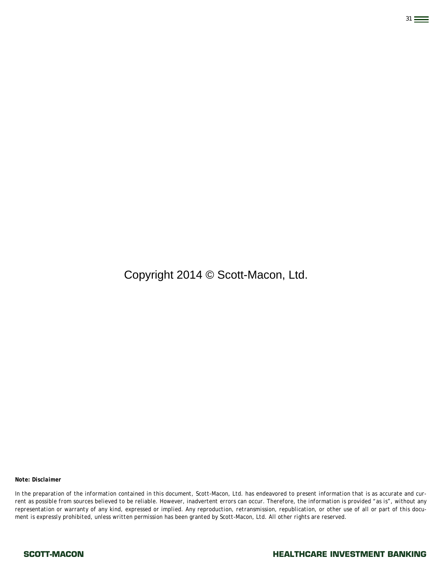Copyright 2014 © Scott-Macon, Ltd.

31

*Note: Disclaimer* 

*In the preparation of the information contained in this document, Scott-Macon, Ltd. has endeavored to present information that is as accurate and current as possible from sources believed to be reliable. However, inadvertent errors can occur. Therefore, the information is provided "as is", without any representation or warranty of any kind, expressed or implied. Any reproduction, retransmission, republication, or other use of all or part of this document is expressly prohibited, unless written permission has been granted by Scott-Macon, Ltd. All other rights are reserved.*